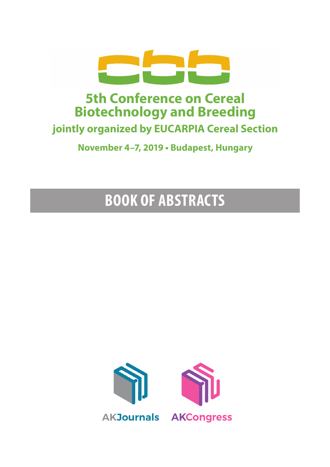

## **5th Conference on Cereal Biotechnology and Breeding jointly organized by EUCARPIA Cereal Section**

**November 4–7, 2019 • Budapest, Hungary**

# **BOOK OF ABSTRACTS**

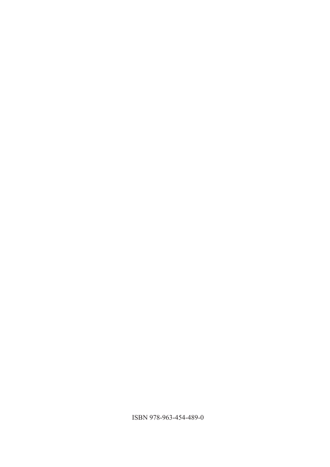ISBN 978-963-454-489-0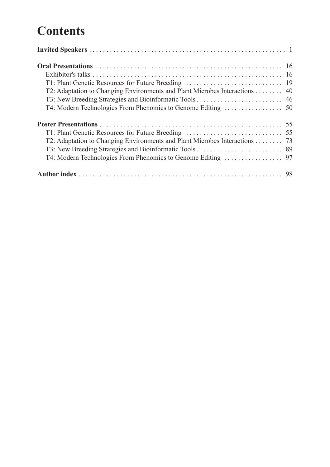## **Contents**

| T2: Adaptation to Changing Environments and Plant Microbes Interactions 40 |  |
|----------------------------------------------------------------------------|--|
|                                                                            |  |
|                                                                            |  |
|                                                                            |  |
|                                                                            |  |
| T2: Adaptation to Changing Environments and Plant Microbes Interactions 73 |  |
|                                                                            |  |
|                                                                            |  |
|                                                                            |  |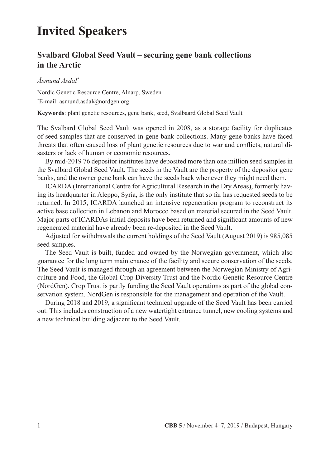## **Invited Speakers**

## **Svalbard Global Seed Vault – securing gene bank collections in the Arctic**

#### *Åsmund Asdal\**

Nordic Genetic Resource Centre, Alnarp, Sweden \* E-mail: asmund.asdal@nordgen.org

**Keywords**: plant genetic resources, gene bank, seed, Svalbaard Global Seed Vault

The Svalbard Global Seed Vault was opened in 2008, as a storage facility for duplicates of seed samples that are conserved in gene bank collections. Many gene banks have faced threats that often caused loss of plant genetic resources due to war and conflicts, natural disasters or lack of human or economic resources.

By mid-2019 76 depositor institutes have deposited more than one million seed samples in the Svalbard Global Seed Vault. The seeds in the Vault are the property of the depositor gene banks, and the owner gene bank can have the seeds back whenever they might need them.

ICARDA (International Centre for Agricultural Research in the Dry Areas), formerly having its headquarter in Aleppo, Syria, is the only institute that so far has requested seeds to be returned. In 2015, ICARDA launched an intensive regeneration program to reconstruct its active base collection in Lebanon and Morocco based on material secured in the Seed Vault. Major parts of ICARDAs initial deposits have been returned and significant amounts of new regenerated material have already been re-deposited in the Seed Vault.

Adjusted for withdrawals the current holdings of the Seed Vault (August 2019) is 985,085 seed samples.

The Seed Vault is built, funded and owned by the Norwegian government, which also guarantee for the long term maintenance of the facility and secure conservation of the seeds. The Seed Vault is managed through an agreement between the Norwegian Ministry of Agriculture and Food, the Global Crop Diversity Trust and the Nordic Genetic Resource Centre (NordGen). Crop Trust is partly funding the Seed Vault operations as part of the global conservation system. NordGen is responsible for the management and operation of the Vault.

During 2018 and 2019, a significant technical upgrade of the Seed Vault has been carried out. This includes construction of a new watertight entrance tunnel, new cooling systems and a new technical building adjacent to the Seed Vault.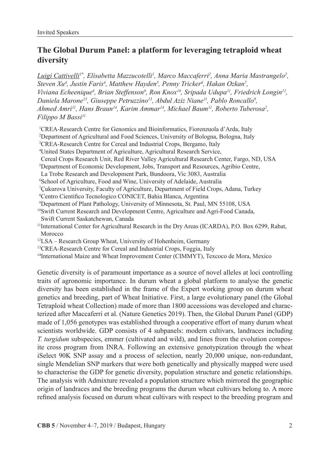## **The Global Durum Panel: a platform for leveraging tetraploid wheat diversity**

 $L$ uigi Cattivelli<sup>1\*</sup>, Elisabetta Mazzucotelli<sup>1</sup>, Marco Maccaferri<sup>2</sup>, Anna Maria Mastrangelo<sup>3</sup>, *Steven Xu4 , Justin Faris4 , Matthew Hayden5 , Penny Tricker6 , Hakan Ozkan7 ,*  Viviana Echeenique<sup>8</sup>, Brian Steffenson<sup>9</sup>, Ron Knox<sup>10</sup>, Sripada Udupa<sup>11</sup>, Friedrich Longin<sup>12</sup>, *Daniela Marone13, Giuseppe Petruzzino13, Abdul Aziz Niane11, Pablo Roncallo8 ,*  Ahmed Amri<sup>11</sup>, Hans Braun<sup>14</sup>, Karim Ammar<sup>14</sup>, Michael Baum<sup>11</sup>, Roberto Tuberosa<sup>2</sup>, *Filippo M Bassi11*

- <sup>1</sup>CREA-Research Centre for Genomics and Bioinformatics, Fiorenzuola d'Arda, Italy <sup>2</sup>Department of Agricultural and Food Sciences, University of Bologna, Bologna, Italy <sup>3</sup>CREA-Research Centre for Cereal and Industrial Crops, Bergamo, Italy <sup>4</sup>United States Department of Agriculture, Agricultural Research Service, Cereal Crops Research Unit, Red River Valley Agricultural Research Center, Fargo, ND, USA <sup>5</sup>Department of Economic Development, Jobs, Transport and Resources, Agribio Centre, La Trobe Research and Development Park, Bundoora, Vic 3083, Australia <sup>6</sup>School of Agriculture, Food and Wine, University of Adelaide, Australia <sup>7</sup>Çukurova University, Faculty of Agriculture, Department of Field Crops, Adana, Turkey 8Centro Cientifico Tecnologico CONICET, Bahia Blanca, Argentina <sup>9</sup>Department of Plant Pathology, University of Minnesota, St. Paul, MN 55108, USA 10Swift Current Research and Development Centre, Agriculture and Agri-Food Canada, Swift Current Saskatchewan, Canada <sup>11</sup>International Center for Agricultural Research in the Dry Areas (ICARDA), P.O. Box 6299, Rabat, Morocco 12LSA – Research Group Wheat, University of Hohenheim, Germany 13CREA-Research Centre for Cereal and Industrial Crops, Foggia, Italy
- 14International Maize and Wheat Improvement Center (CIMMYT), Texcoco de Mora, Mexico

Genetic diversity is of paramount importance as a source of novel alleles at loci controlling traits of agronomic importance. In durum wheat a global platform to analyse the genetic diversity has been established in the frame of the Expert working group on durum wheat genetics and breeding, part of Wheat Initiative. First, a large evolutionary panel (the Global Tetraploid wheat Collection) made of more than 1800 accessions was developed and characterized after Maccaferri et al. (Nature Genetics 2019). Then, the Global Durum Panel (GDP) made of 1,056 genotypes was established through a cooperative effort of many durum wheat scientists worldwide. GDP consists of 4 subpanels: modern cultivars, landraces including *T. turgidum* subspecies, emmer (cultivated and wild), and lines from the evolution composite cross program from INRA. Following an extensive genotypization through the wheat iSelect 90K SNP assay and a process of selection, nearly 20,000 unique, non-redundant, single Mendelian SNP markers that were both genetically and physically mapped were used to characterise the GDP for genetic diversity, population structure and genetic relationships. The analysis with Admixture revealed a population structure which mirrored the geographic origin of landraces and the breeding programs the durum wheat cultivars belong to. A more refined analysis focused on durum wheat cultivars with respect to the breeding program and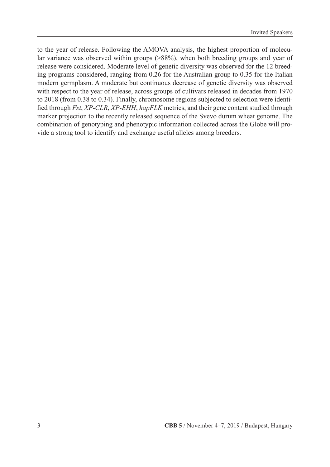to the year of release. Following the AMOVA analysis, the highest proportion of molecular variance was observed within groups (>88%), when both breeding groups and year of release were considered. Moderate level of genetic diversity was observed for the 12 breeding programs considered, ranging from 0.26 for the Australian group to 0.35 for the Italian modern germplasm. A moderate but continuous decrease of genetic diversity was observed with respect to the year of release, across groups of cultivars released in decades from 1970 to 2018 (from 0.38 to 0.34). Finally, chromosome regions subjected to selection were identified through *Fst*, *XP-CLR*, *XP-EHH*, *hapFLK* metrics, and their gene content studied through marker projection to the recently released sequence of the Svevo durum wheat genome. The combination of genotyping and phenotypic information collected across the Globe will provide a strong tool to identify and exchange useful alleles among breeders.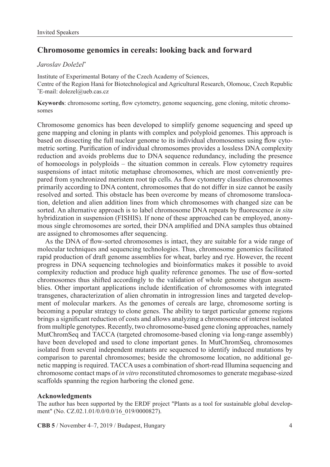## **Chromosome genomics in cereals: looking back and forward**

#### *Jaroslav Doležel\**

Institute of Experimental Botany of the Czech Academy of Sciences, Centre of the Region Haná for Biotechnological and Agricultural Research, Olomouc, Czech Republic \* E-mail: dolezel@ueb.cas.cz

**Keywords**: chromosome sorting, flow cytometry, genome sequencing, gene cloning, mitotic chromosomes

Chromosome genomics has been developed to simplify genome sequencing and speed up gene mapping and cloning in plants with complex and polyploid genomes. This approach is based on dissecting the full nuclear genome to its individual chromosomes using flow cytometric sorting. Purification of individual chromosomes provides a lossless DNA complexity reduction and avoids problems due to DNA sequence redundancy, including the presence of homoeologs in polyploids – the situation common in cereals. Flow cytometry requires suspensions of intact mitotic metaphase chromosomes, which are most conveniently prepared from synchronized meristem root tip cells. As flow cytometry classifies chromosomes primarily according to DNA content, chromosomes that do not differ in size cannot be easily resolved and sorted. This obstacle has been overcome by means of chromosome translocation, deletion and alien addition lines from which chromosomes with changed size can be sorted. An alternative approach is to label chromosome DNA repeats by fluorescence *in situ* hybridization in suspension (FISHIS). If none of these approached can be employed, anonymous single chromosomes are sorted, their DNA amplified and DNA samples thus obtained are assigned to chromosomes after sequencing.

As the DNA of flow-sorted chromosomes is intact, they are suitable for a wide range of molecular techniques and sequencing technologies. Thus, chromosome genomics facilitated rapid production of draft genome assemblies for wheat, barley and rye. However, the recent progress in DNA sequencing technologies and bioinformatics makes it possible to avoid complexity reduction and produce high quality reference genomes. The use of flow-sorted chromosomes thus shifted accordingly to the validation of whole genome shotgun assemblies. Other important applications include identification of chromosomes with integrated transgenes, characterization of alien chromatin in introgression lines and targeted development of molecular markers. As the genomes of cereals are large, chromosome sorting is becoming a popular strategy to clone genes. The ability to target particular genome regions brings a significant reduction of costs and allows analyzing a chromosome of interest isolated from multiple genotypes. Recently, two chromosome-based gene cloning approaches, namely MutChromSeq and TACCA (targeted chromosome-based cloning via long-range assembly) have been developed and used to clone important genes. In MutChromSeq, chromosomes isolated from several independent mutants are sequenced to identify induced mutations by comparison to parental chromosomes; beside the chromosome location, no additional genetic mapping is required. TACCA uses a combination of short-read Illumina sequencing and chromosome contact maps of *in vitro* reconstituted chromosomes to generate megabase-sized scaffolds spanning the region harboring the cloned gene.

#### **Acknowledgments**

The author has been supported by the ERDF project "Plants as a tool for sustainable global development" (No. CZ.02.1.01/0.0/0.0/16 019/0000827).

**CBB 5** / November 4–7, 2019 / Budapest, Hungary 4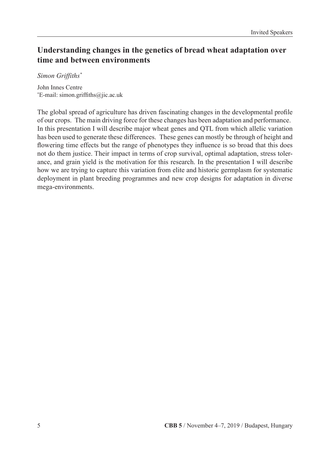## **Understanding changes in the genetics of bread wheat adaptation over time and between environments**

*Simon Griffiths\**

John Innes Centre \* E-mail: simon.griffiths@jic.ac.uk

The global spread of agriculture has driven fascinating changes in the developmental profile of our crops. The main driving force for these changes has been adaptation and performance. In this presentation I will describe major wheat genes and QTL from which allelic variation has been used to generate these differences. These genes can mostly be through of height and flowering time effects but the range of phenotypes they influence is so broad that this does not do them justice. Their impact in terms of crop survival, optimal adaptation, stress tolerance, and grain yield is the motivation for this research. In the presentation I will describe how we are trying to capture this variation from elite and historic germplasm for systematic deployment in plant breeding programmes and new crop designs for adaptation in diverse mega-environments.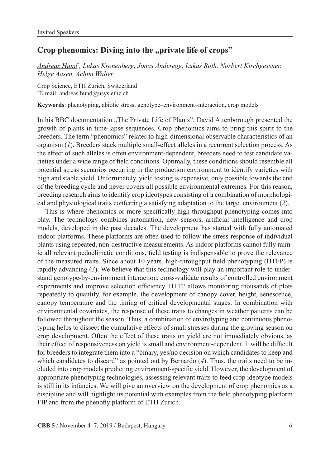## Crop phenomics: Diving into the "private life of crops"

*Andreas Hund\* , Lukas Kronenberg, Jonas Anderegg, Lukas Roth, Norbert Kirchgessner, Helge Aasen, Achim Walter*

Crop Science, ETH Zurich, Switzerland \* E-mail: andreas.hund@usys.ethz.ch

**Keywords**: phenotyping, abiotic stress, genotype–environment–interaction, crop models

In his BBC documentation "The Private Life of Plants", David Attenborough presented the growth of plants in time-lapse sequences. Crop phenomics aims to bring this spirit to the breeders. The term "phenomics" relates to high-dimensional observable characteristics of an organism (*1*). Breeders stack multiple small-effect alleles in a recurrent selection process. As the effect of such alleles is often environment-dependent, breeders need to test candidate varieties under a wide range of field conditions. Optimally, these conditions should resemble all potential stress scenarios occurring in the production environment to identify varieties with high and stable yield. Unfortunately, yield testing is expensive, only possible towards the end of the breeding cycle and never covers all possible environmental extremes. For this reason, breeding research aims to identify crop ideotypes consisting of a combination of morphological and physiological traits conferring a satisfying adaptation to the target environment (*2*).

This is where phenomics or more specifically high-throughput phenotyping comes into play. The technology combines automation, new sensors, artificial intelligence and crop models, developed in the past decades. The development has started with fully automated indoor platforms. These platforms are often used to follow the stress-response of individual plants using repeated, non-destructive measurements. As indoor platforms cannot fully mimic all relevant pedoclimatic conditions, field testing is indispensable to prove the relevance of the measured traits. Since about 10 years, high-throughput field phenotyping (HTFP) is rapidly advancing (*3*). We believe that this technology will play an important role to understand genotype-by-environment interaction, cross-validate results of controlled environment experiments and improve selection efficiency. HTFP allows monitoring thousands of plots repeatedly to quantify, for example, the development of canopy cover, height, senescence, canopy temperature and the timing of critical developmental stages. In combination with environmental covariates, the response of these traits to changes in weather patterns can be followed throughout the season. Thus, a combination of envirotyping and continuous phenotyping helps to dissect the cumulative effects of small stresses during the growing season on crop development. Often the effect of these traits on yield are not immediately obvious, as their effect of responsiveness on yield is small and environment-dependent. It will be difficult for breeders to integrate them into a "binary, yes/no decision on which candidates to keep and which candidates to discard" as pointed out by Bernardo (4). Thus, the traits need to be included into crop models predicting environment-specific yield. However, the development of appropriate phenotyping technologies, assessing relevant traits to feed crop ideotype models is still in its infancies. We will give an overview on the development of crop phenomics as a discipline and will highlight its potential with examples from the field phenotyping platform FIP and from the phenofly platform of ETH Zurich.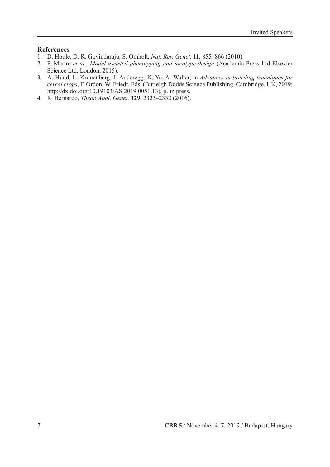#### **References**

- 1. D. Houle, D. R. Govindaraju, S. Omholt, *Nat. Rev. Genet.* **11**, 855–866 (2010).
- 2. P. Martre *et al.*, *Model-assisted phenotyping and ideotype design* (Academic Press Ltd-Elsevier Science Ltd, London, 2015).
- 3. A. Hund, L. Kronenberg, J. Anderegg, K. Yu, A. Walter, in *Advances in breeding techniques for cereal crops*, F. Ordon, W. Friedt, Eds. (Burleigh Dodds Science Publishing, Cambridge, UK, 2019; http://dx.doi.org/10.19103/AS.2019.0051.13), p. in press.
- 4. R. Bernardo, *Theor. Appl. Genet.* **129**, 2323–2332 (2016).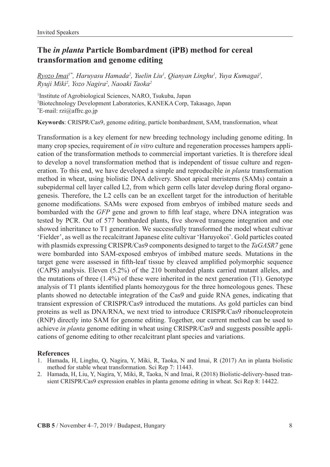## **The** *in planta* **Particle Bombardment (iPB) method for cereal transformation and genome editing**

<u>Ryozo Imai</u>!\*, Haruyasu Hamada<sup>2</sup>, Yuelin Liu<sup>1</sup>, Qianyan Linghu<sup>1</sup>, Yuya Kumagai<sup>1</sup>, *Ryuji Miki2 , Yozo Nagira2 , Naoaki Taoka2*

1 Institute of Agrobiological Sciences, NARO, Tsukuba, Japan 2 Biotechnology Development Laboratories, KANEKA Corp, Takasago, Japan \* E-mail: rzi@affrc.go.jp

**Keywords**: CRISPR/Cas9, genome editing, particle bombardment, SAM, transformation, wheat

Transformation is a key element for new breeding technology including genome editing. In many crop species, requirement of *in vitro* culture and regeneration processes hampers application of the transformation methods to commercial important varieties. It is therefore ideal to develop a novel transformation method that is independent of tissue culture and regeneration. To this end, we have developed a simple and reproducible *in planta* transformation method in wheat, using biolistic DNA delivery. Shoot apical meristems (SAMs) contain a subepidermal cell layer called L2, from which germ cells later develop during floral organogenesis. Therefore, the L2 cells can be an excellent target for the introduction of heritable genome modifications. SAMs were exposed from embryos of imbibed mature seeds and bombarded with the *GFP* gene and grown to fifth leaf stage, where DNA integration was tested by PCR. Out of 577 bombarded plants, five showed transgene integration and one showed inheritance to T1 generation. We successfully transformed the model wheat cultivar 'Fielder', as well as the recalcitrant Japanese elite cultivar 'Haruyokoi'. Gold particles coated with plasmids expressing CRISPR/Cas9 components designed to target to the *TaGASR7* gene were bombarded into SAM-exposed embryos of imbibed mature seeds. Mutations in the target gene were assessed in fifth-leaf tissue by cleaved amplified polymorphic sequence (CAPS) analysis. Eleven (5.2%) of the 210 bombarded plants carried mutant alleles, and the mutations of three  $(1.4\%)$  of these were inherited in the next generation (T1). Genotype analysis of T1 plants identified plants homozygous for the three homeologous genes. These plants showed no detectable integration of the Cas9 and guide RNA genes, indicating that transient expression of CRISPR/Cas9 introduced the mutations. As gold particles can bind proteins as well as DNA/RNA, we next tried to introduce CRISPR/Cas9 ribonucleoprotein (RNP) directly into SAM for genome editing. Together, our current method can be used to achieve *in planta* genome editing in wheat using CRISPR/Cas9 and suggests possible applications of genome editing to other recalcitrant plant species and variations.

#### **References**

- 1. Hamada, H, Linghu, Q, Nagira, Y, Miki, R, Taoka, N and Imai, R (2017) An in planta biolistic method for stable wheat transformation. Sci Rep 7: 11443.
- 2. Hamada, H, Liu, Y, Nagira, Y, Miki, R, Taoka, N and Imai, R (2018) Biolistic-delivery-based transient CRISPR/Cas9 expression enables in planta genome editing in wheat. Sci Rep 8: 14422.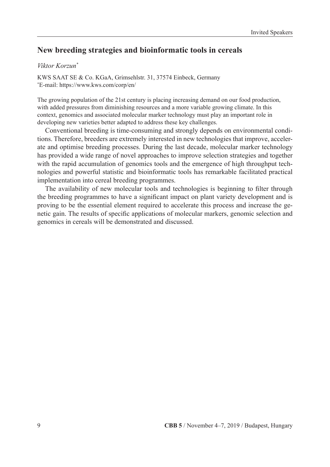## **New breeding strategies and bioinformatic tools in cereals**

#### *Viktor Korzun\**

KWS SAAT SE & Co. KGaA, Grimsehlstr. 31, 37574 Einbeck, Germany \* E-mail: https://www.kws.com/corp/en/

The growing population of the 21st century is placing increasing demand on our food production, with added pressures from diminishing resources and a more variable growing climate. In this context, genomics and associated molecular marker technology must play an important role in developing new varieties better adapted to address these key challenges.

Conventional breeding is time-consuming and strongly depends on environmental conditions. Therefore, breeders are extremely interested in new technologies that improve, accelerate and optimise breeding processes. During the last decade, molecular marker technology has provided a wide range of novel approaches to improve selection strategies and together with the rapid accumulation of genomics tools and the emergence of high throughput technologies and powerful statistic and bioinformatic tools has remarkable facilitated practical implementation into cereal breeding programmes.

The availability of new molecular tools and technologies is beginning to filter through the breeding programmes to have a significant impact on plant variety development and is proving to be the essential element required to accelerate this process and increase the genetic gain. The results of specific applications of molecular markers, genomic selection and genomics in cereals will be demonstrated and discussed.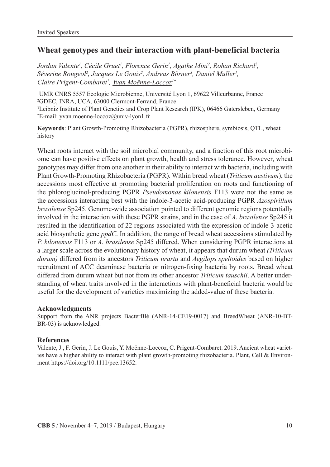## **Wheat genotypes and their interaction with plant-beneficial bacteria**

Jordan Valente<sup>1</sup>, Cécile Gruet<sup>1</sup>, Florence Gerin<sup>1</sup>, Agathe Mini<sup>2</sup>, Rohan Richard<sup>2</sup>, *Séverine Rougeol2 , Jacques Le Gouis2 , Andreas Börner3 , Daniel Muller1 , Claire Prigent-Combaret1 , Yvan Moënne-Loccoz1\**

 UMR CNRS 5557 Ecologie Microbienne, Université Lyon 1, 69622 Villeurbanne, France GDEC, INRA, UCA, 63000 Clermont-Ferrand, France Leibniz Institute of Plant Genetics and Crop Plant Research (IPK), 06466 Gatersleben, Germany \* E-mail: yvan.moenne-loccoz@univ-lyon1.fr

**Keywords**: Plant Growth-Promoting Rhizobacteria (PGPR), rhizosphere, symbiosis, QTL, wheat history

Wheat roots interact with the soil microbial community, and a fraction of this root microbiome can have positive effects on plant growth, health and stress tolerance. However, wheat genotypes may differ from one another in their ability to interact with bacteria, including with Plant Growth-Promoting Rhizobacteria (PGPR). Within bread wheat (*Triticum aestivum*), the accessions most effective at promoting bacterial proliferation on roots and functioning of the phloroglucinol-producing PGPR *Pseudomonas kilonensis* F113 were not the same as the accessions interacting best with the indole-3-acetic acid-producing PGPR *Azospirillum brasilense* Sp245. Genome-wide association pointed to different genomic regions potentially involved in the interaction with these PGPR strains, and in the case of *A. brasilense* Sp245 it resulted in the identification of 22 regions associated with the expression of indole-3-acetic acid biosynthetic gene *ppdC*. In addition, the range of bread wheat accessions stimulated by *P. kilonensis* F113 or *A. brasilense* Sp245 differed. When considering PGPR interactions at a larger scale across the evolutionary history of wheat, it appears that durum wheat *(Triticum durum)* differed from its ancestors *Triticum urartu* and *Aegilops speltoides* based on higher recruitment of ACC deaminase bacteria or nitrogen-fixing bacteria by roots. Bread wheat differed from durum wheat but not from its other ancestor *Triticum tauschii*. A better understanding of wheat traits involved in the interactions with plant-beneficial bacteria would be useful for the development of varieties maximizing the added-value of these bacteria.

#### **Acknowledgments**

Support from the ANR projects BacterBlé (ANR-14-CE19-0017) and BreedWheat (ANR-10-BT-BR-03) is acknowledged.

#### **References**

Valente, J., F. Gerin, J. Le Gouis, Y. Moënne-Loccoz, C. Prigent-Combaret. 2019. Ancient wheat varieties have a higher ability to interact with plant growth-promoting rhizobacteria. Plant, Cell & Environment https://doi.org/10.1111/pce.13652.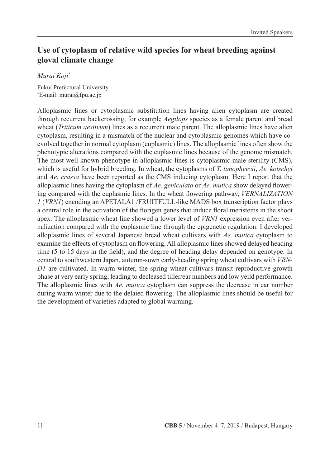## **Use of cytoplasm of relative wild species for wheat breeding against gloval climate change**

### *Murai Koji\**

Fukui Prefectural University \* E-mail: murai@fpu.ac.jp

Alloplasmic lines or cytoplasmic substitution lines having alien cytoplasm are created through recurrent backcrossing, for example *Aegilops* species as a female parent and bread wheat *(Triticum aestivum)* lines as a recurrent male parent. The alloplasmic lines have alien cytoplasm, resulting in a mismatch of the nuclear and cytoplasmic genomes which have coevolved together in normal cytoplasm (euplasmic) lines. The alloplasmic lines often show the phenotypic alterations compared with the euplasmic lines because of the genome mismatch. The most well known phenotype in alloplasmic lines is cytoplasmic male sterility (CMS), which is useful for hybrid breeding. In wheat, the cytoplasms of *T. timopheevii*, *Ae. kotschyi* and *Ae. crassa* have been reported as the CMS inducing cytoplasm. Here I report that the alloplasmic lines having the cytoplasm of *Ae. geniculata* or *Ae. mutica* show delayed flowering compared with the euplasmic lines. In the wheat flowering pathway, *VERNALIZATION 1* (*VRN1*) encoding an APETALA1 /FRUITFULL-like MADS box transcription factor plays a central role in the activation of the florigen genes that induce floral meristems in the shoot apex. The alloplasmic wheat line showed a lower level of *VRN1* expression even after vernalization compared with the euplasmic line through the epigenetic regulation. I developed alloplasmic lines of several Japanese bread wheat cultivars with *Ae. mutica* cytoplasm to examine the effects of cytoplasm on flowering. All alloplasmic lines showed delayed heading time (5 to 15 days in the field), and the degree of heading delay depended on genotype. In central to southwestern Japan, autumn-sown early-heading spring wheat cultivars with *VRN-D1* are cultivated. In warm winter, the spring wheat cultivars transit reproductive growth phase at very early spring, leading to decleased tiller/ear numbers and low yeild performance. The alloplasmic lines with *Ae. mutica* cytoplasm can suppress the decrease in ear number during warm winter due to the delaied flowering. The alloplasmic lines should be useful for the development of varieties adapted to global warming.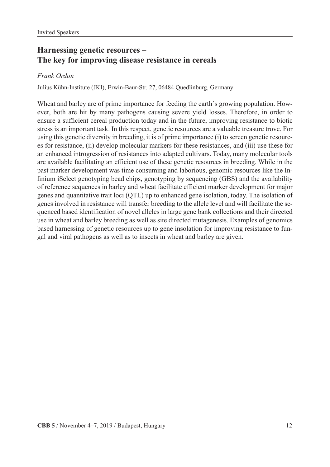## **Harnessing genetic resources – The key for improving disease resistance in cereals**

#### *Frank Ordon*

Julius Kühn-Institute (JKI), Erwin-Baur-Str. 27, 06484 Quedlinburg, Germany

Wheat and barley are of prime importance for feeding the earth´s growing population. However, both are hit by many pathogens causing severe yield losses. Therefore, in order to ensure a sufficient cereal production today and in the future, improving resistance to biotic stress is an important task. In this respect, genetic resources are a valuable treasure trove. For using this genetic diversity in breeding, it is of prime importance (i) to screen genetic resources for resistance, (ii) develop molecular markers for these resistances, and (iii) use these for an enhanced introgression of resistances into adapted cultivars. Today, many molecular tools are available facilitating an efficient use of these genetic resources in breeding. While in the past marker development was time consuming and laborious, genomic resources like the Infinium iSelect genotyping bead chips, genotyping by sequencing (GBS) and the availability of reference sequences in barley and wheat facilitate efficient marker development for major genes and quantitative trait loci (QTL) up to enhanced gene isolation, today. The isolation of genes involved in resistance will transfer breeding to the allele level and will facilitate the sequenced based identification of novel alleles in large gene bank collections and their directed use in wheat and barley breeding as well as site directed mutagenesis. Examples of genomics based harnessing of genetic resources up to gene insolation for improving resistance to fungal and viral pathogens as well as to insects in wheat and barley are given.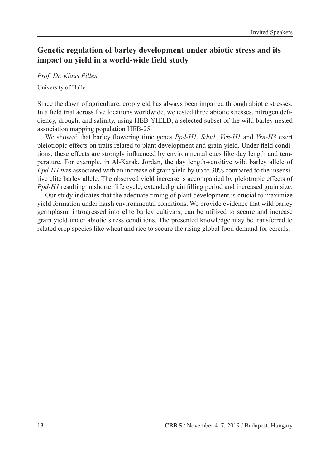## **Genetic regulation of barley development under abiotic stress and its impact on yield in a world-wide field study**

#### *Prof. Dr. Klaus Pillen*

University of Halle

Since the dawn of agriculture, crop yield has always been impaired through abiotic stresses. In a field trial across five locations worldwide, we tested three abiotic stresses, nitrogen deficiency, drought and salinity, using HEB-YIELD, a selected subset of the wild barley nested association mapping population HEB-25.

We showed that barley flowering time genes *Ppd-H1*, *Sdw1*, *Vrn-H1* and *Vrn-H3* exert pleiotropic effects on traits related to plant development and grain yield. Under field conditions, these effects are strongly influenced by environmental cues like day length and temperature. For example, in Al-Karak, Jordan, the day length-sensitive wild barley allele of *Ppd-H1* was associated with an increase of grain yield by up to 30% compared to the insensitive elite barley allele. The observed yield increase is accompanied by pleiotropic effects of *Ppd-H1* resulting in shorter life cycle, extended grain filling period and increased grain size.

Our study indicates that the adequate timing of plant development is crucial to maximize yield formation under harsh environmental conditions. We provide evidence that wild barley germplasm, introgressed into elite barley cultivars, can be utilized to secure and increase grain yield under abiotic stress conditions. The presented knowledge may be transferred to related crop species like wheat and rice to secure the rising global food demand for cereals.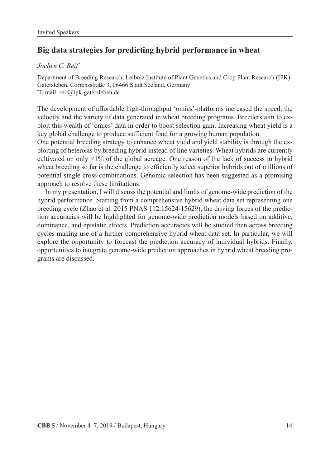## **Big data strategies for predicting hybrid performance in wheat**

#### *Jochen C. Reif\**

Department of Breeding Research, Leibniz Institute of Plant Genetics and Crop Plant Research (IPK) Gatersleben, Corrensstraße 3, 06466 Stadt Seeland, Germany \* E-mail: reif@ipk-gatersleben.de

The development of affordable high-throughput 'omics'-platforms increased the speed, the velocity and the variety of data generated in wheat breeding programs. Breeders aim to exploit this wealth of 'omics' data in order to boost selection gain. Increasing wheat yield is a key global challenge to produce sufficient food for a growing human population.

One potential breeding strategy to enhance wheat yield and yield stability is through the exploiting of heterosis by breeding hybrid instead of line varieties. Wheat hybrids are currently cultivated on only <1% of the global acreage. One reason of the lack of success in hybrid wheat breeding so far is the challenge to efficiently select superior hybrids out of millions of potential single cross-combinations. Genomic selection has been suggested as a promising approach to resolve these limitations.

In my presentation, I will discuss the potential and limits of genome-wide prediction of the hybrid performance. Starting from a comprehensive hybrid wheat data set representing one breeding cycle (Zhao et al. 2015 PNAS 112:15624-15629), the driving forces of the prediction accuracies will be highlighted for genome-wide prediction models based on additive, dominance, and epistatic effects. Prediction accuracies will be studied then across breeding cycles making use of a further comprehensive hybrid wheat data set. In particular, we will explore the opportunity to forecast the prediction accuracy of individual hybrids. Finally, opportunities to integrate genome-wide prediction approaches in hybrid wheat breeding programs are discussed.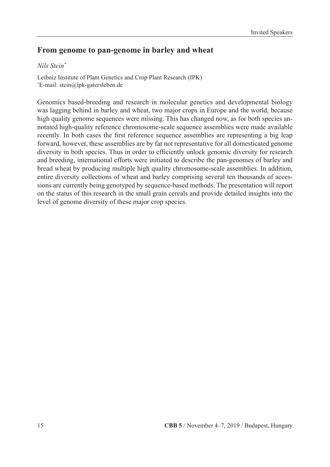## **From genome to pan-genome in barley and wheat**

### *Nils Stein\**

Leibniz Institute of Plant Genetics and Crop Plant Research (IPK) \* E-mail: stein@ipk-gatersleben.de

Genomics based-breeding and research in molecular genetics and developmental biology was lagging behind in barley and wheat, two major crops in Europe and the world, because high quality genome sequences were missing. This has changed now, as for both species annotated high-quality reference chromosome-scale sequence assemblies were made available recently. In both cases the first reference sequence assemblies are representing a big leap forward, however, these assemblies are by far not representative for all domesticated genome diversity in both species. Thus in order to efficiently unlock genomic diversity for research and breeding, international efforts were initiated to describe the pan-genomes of barley and bread wheat by producing multiple high quality chromosome-scale assemblies. In addition, entire diversity collections of wheat and barley comprising several ten thousands of accessions are currently being genotyped by sequence-based methods. The presentation will report on the status of this research in the small grain cereals and provide detailed insights into the level of genome diversity of these major crop species.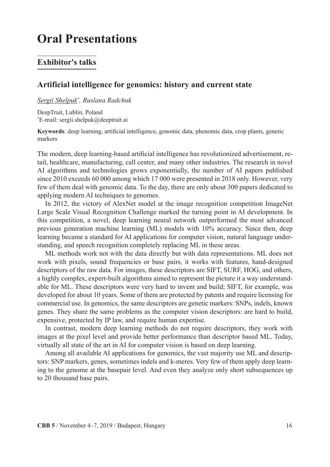## **Oral Presentations**

## **Exhibitor's talks**

#### **Artificial intelligence for genomics: history and current state**

*Sergii Shelpuk\* , Ruslana Radchuk*

DeepTrait, Lublin, Poland \* E-mail: sergii.shelpuk@deeptrait.ai

**Keywords**: deep learning, artificial intelligence, genomic data, phenomic data, crop plants, genetic markers

The modern, deep learning-based artificial intelligence has revolutionized advertisement, retail, healthcare, manufacturing, call center, and many other industries. The research in novel AI algorithms and technologies grows exponentially, the number of AI papers published since 2010 exceeds 60 000 among which 17 000 were presented in 2018 only. However, very few of them deal with genomic data. To the day, there are only about 300 papers dedicated to applying modern AI techniques to genomes.

In 2012, the victory of AlexNet model at the image recognition competition ImageNet Large Scale Visual Recognition Challenge marked the turning point in AI development. In this competition, a novel, deep learning neural network outperformed the most advanced previous generation machine learning (ML) models with 10% accuracy. Since then, deep learning became a standard for AI applications for computer vision, natural language understanding, and speech recognition completely replacing ML in these areas.

ML methods work not with the data directly but with data representations. ML does not work with pixels, sound frequencies or base pairs, it works with features, hand-designed descriptors of the raw data. For images, these descriptors are SIFT, SURF, HOG, and others, a highly complex, expert-built algorithms aimed to represent the picture it a way understandable for ML. These descriptors were very hard to invent and build; SIFT, for example, was developed for about 10 years. Some of them are protected by patents and require licensing for commercial use. In genomics, the same descriptors are genetic markers: SNPs, indels, known genes. They share the same problems as the computer vision descriptors: are hard to build, expensive, protected by IP law, and require human expertise.

In contrast, modern deep learning methods do not require descriptors, they work with images at the pixel level and provide better performance than descriptor based ML. Today, virtually all state of the art in AI for computer vision is based on deep learning.

Among all available AI applications for genomics, the vast majority use ML and descriptors: SNP markers, genes, sometimes indels and k-meres. Very few of them apply deep learning to the genome at the basepair level. And even they analyze only short subsequences up to 20 thousand base pairs.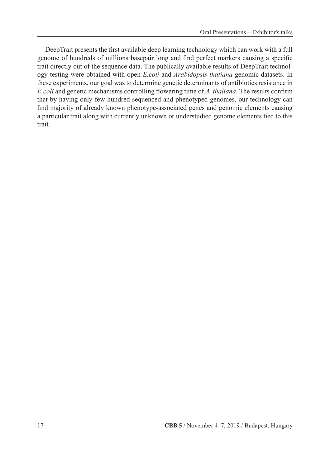DeepTrait presents the first available deep learning technology which can work with a full genome of hundreds of millions basepair long and find perfect markers causing a specific trait directly out of the sequence data. The publically available results of DeepTrait technology testing were obtained with open *E.coli* and *Arabidopsis thaliana* genomic datasets. In these experiments, our goal was to determine genetic determinants of antibiotics resistance in *E.coli* and genetic mechanisms controlling flowering time of *A. thaliana*. The results confirm that by having only few hundred sequenced and phenotyped genomes, our technology can find majority of already known phenotype-associated genes and genomic elements causing a particular trait along with currently unknown or understudied genome elements tied to this trait.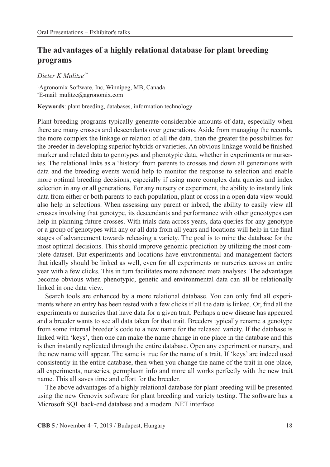## **The advantages of a highly relational database for plant breeding programs**

*Dieter K Mulitze1\**

1 Agronomix Software, Inc, Winnipeg, MB, Canada \* E-mail: mulitze@agronomix.com

**Keywords**: plant breeding, databases, information technology

Plant breeding programs typically generate considerable amounts of data, especially when there are many crosses and descendants over generations. Aside from managing the records, the more complex the linkage or relation of all the data, then the greater the possibilities for the breeder in developing superior hybrids or varieties. An obvious linkage would be finished marker and related data to genotypes and phenotypic data, whether in experiments or nurseries. The relational links as a 'history' from parents to crosses and down all generations with data and the breeding events would help to monitor the response to selection and enable more optimal breeding decisions, especially if using more complex data queries and index selection in any or all generations. For any nursery or experiment, the ability to instantly link data from either or both parents to each population, plant or cross in a open data view would also help in selections. When assessing any parent or inbred, the ability to easily view all crosses involving that genotype, its descendants and performance with other geneotypes can help in planning future crosses. With trials data across years, data queries for any genotype or a group of genotypes with any or all data from all years and locations will help in the final stages of advancement towards releasing a variety. The goal is to mine the database for the most optimal decisions. This should improve genomic prediction by utilizing the most complete dataset. But experiments and locations have environmental and management factors that ideally should be linked as well, even for all experiments or nurseries across an entire year with a few clicks. This in turn facilitates more advanced meta analyses. The advantages become obvious when phenotypic, genetic and environmental data can all be relationally linked in one data view.

Search tools are enhanced by a more relational database. You can only find all experiments where an entry has been tested with a few clicks if all the data is linked. Or, find all the experiments or nurseries that have data for a given trait. Perhaps a new disease has appeared and a breeder wants to see all data taken for that trait. Breeders typically rename a genotype from some internal breeder's code to a new name for the released variety. If the database is linked with 'keys', then one can make the name change in one place in the database and this is then instantly replicated through the entire database. Open any experiment or nursery, and the new name will appear. The same is true for the name of a trait. If 'keys' are indeed used consistently in the entire database, then when you change the name of the trait in one place, all experiments, nurseries, germplasm info and more all works perfectly with the new trait name. This all saves time and effort for the breeder.

The above advantages of a highly relational database for plant breeding will be presented using the new Genovix software for plant breeding and variety testing. The software has a Microsoft SQL back-end database and a modern .NET interface.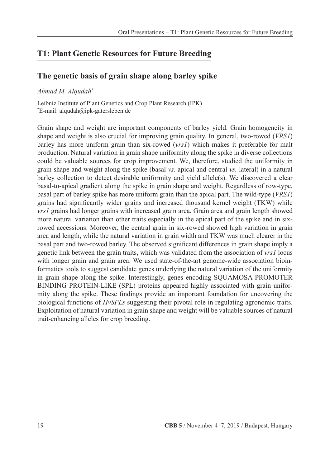## **T1: Plant Genetic Resources for Future Breeding**

## **The genetic basis of grain shape along barley spike**

#### *Ahmad M. Alqudah\**

Leibniz Institute of Plant Genetics and Crop Plant Research (IPK) \* E-mail: alqudah@ipk-gatersleben.de

Grain shape and weight are important components of barley yield. Grain homogeneity in shape and weight is also crucial for improving grain quality. In general, two-rowed (*VRS1*) barley has more uniform grain than six-rowed (*vrs1*) which makes it preferable for malt production. Natural variation in grain shape uniformity along the spike in diverse collections could be valuable sources for crop improvement. We, therefore, studied the uniformity in grain shape and weight along the spike (basal *vs.* apical and central *vs.* lateral) in a natural barley collection to detect desirable uniformity and yield allele(s). We discovered a clear basal-to-apical gradient along the spike in grain shape and weight. Regardless of row-type, basal part of barley spike has more uniform grain than the apical part. The wild-type (*VRS1*) grains had significantly wider grains and increased thousand kernel weight (TKW) while *vrs1* grains had longer grains with increased grain area. Grain area and grain length showed more natural variation than other traits especially in the apical part of the spike and in sixrowed accessions. Moreover, the central grain in six-rowed showed high variation in grain area and length, while the natural variation in grain width and TKW was much clearer in the basal part and two-rowed barley. The observed significant differences in grain shape imply a genetic link between the grain traits, which was validated from the association of *vrs1* locus with longer grain and grain area. We used state-of-the-art genome-wide association bioinformatics tools to suggest candidate genes underlying the natural variation of the uniformity in grain shape along the spike. Interestingly, genes encoding SQUAMOSA PROMOTER BINDING PROTEIN-LIKE (SPL) proteins appeared highly associated with grain uniformity along the spike. These findings provide an important foundation for uncovering the biological functions of *HvSPLs* suggesting their pivotal role in regulating agronomic traits. Exploitation of natural variation in grain shape and weight will be valuable sources of natural trait-enhancing alleles for crop breeding.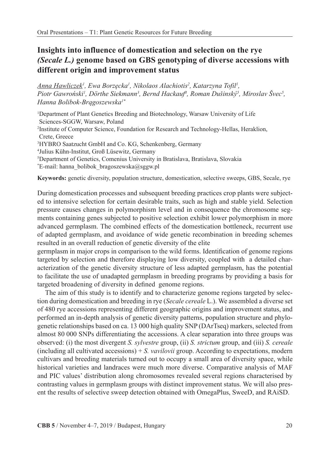## **Insights into influence of domestication and selection on the rye**  *(Secale L.)* **genome based on GBS genotyping of diverse accessions with different origin and improvement status**

*Anna Hawliczek1 , Ewa Borzęcka<sup>1</sup> , Nikolaos Alachiotis2 , Katarzyna Tofil1 ,*  Piotr Gawroński<sup>*i*</sup>, Dörthe Siekmann<sup>3</sup>, Bernd Hackauf<sup>4</sup>, Roman Dušinský<sup>5</sup>, Miroslav Švec<sup>5</sup>, *Hanna Bolibok-Brągoszewska1\**

<sup>1</sup>Department of Plant Genetics Breeding and Biotechnology, Warsaw University of Life Sciences-SGGW, Warsaw, Poland 2 Institute of Computer Science, Foundation for Research and Technology-Hellas, Heraklion, Crete, Greece 3 HYBRO Saatzucht GmbH and Co. KG, Schenkenberg, Germany 4 Julius Kühn-Institut, Groß Lüsewitz, Germany 5 Department of Genetics, Comenius University in Bratislava, Bratislava, Slovakia \* E-mail: hanna\_bolibok\_bragoszewska@sggw.pl

**Keywords:** genetic diversity, population structure, domestication, selective sweeps, GBS, Secale, rye

During domestication processes and subsequent breeding practices crop plants were subjected to intensive selection for certain desirable traits, such as high and stable yield. Selection pressure causes changes in polymorphism level and in consequence the chromosome segments containing genes subjected to positive selection exhibit lower polymorphism in more advanced germplasm. The combined effects of the domestication bottleneck, recurrent use of adapted germplasm, and avoidance of wide genetic recombination in breeding schemes resulted in an overall reduction of genetic diversity of the elite

germplasm in major crops in comparison to the wild forms. Identification of genome regions targeted by selection and therefore displaying low diversity, coupled with a detailed characterization of the genetic diversity structure of less adapted germplasm, has the potential to facilitate the use of unadapted germplasm in breeding programs by providing a basis for targeted broadening of diversity in defined genome regions.

The aim of this study is to identify and to characterize genome regions targeted by selection during domestication and breeding in rye (*Secale cereale* L.). We assembled a diverse set of 480 rye accessions representing different geographic origins and improvement status, and performed an in-depth analysis of genetic diversity patterns, population structure and phylogenetic relationships based on ca. 13 000 high quality SNP (DArTseq) markers, selected from almost 80 000 SNPs differentiating the accessions. A clear separation into three groups was observed: (i) the most divergent *S. sylvestre* group, (ii) *S. strictum* group, and (iii) *S. cereale* (including all cultivated accessions) + *S. vavilovii* group. According to expectations, modern cultivars and breeding materials turned out to occupy a small area of diversity space, while historical varieties and landraces were much more diverse. Comparative analysis of MAF and PIC values' distribution along chromosomes revealed several regions characterised by contrasting values in germplasm groups with distinct improvement status. We will also present the results of selective sweep detection obtained with OmegaPlus, SweeD, and RAiSD.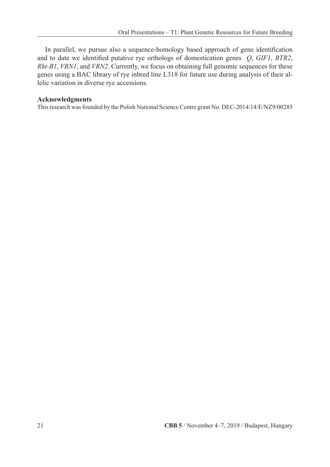In parallel, we pursue also a sequence-homology based approach of gene identification and to date we identified putative rye orthologs of domestication genes *Q*, *GIF1*, *BTR2*, *Rht-B1*, *VRN1*, and *VRN2*. Currently, we focus on obtaining full genomic sequences for these genes using a BAC library of rye inbred line L318 for future use during analysis of their allelic variation in diverse rye accessions.

#### **Acknowledgments**

This research was founded by the Polish National Science Centre grant No. DEC-2014/14/E/NZ9/00285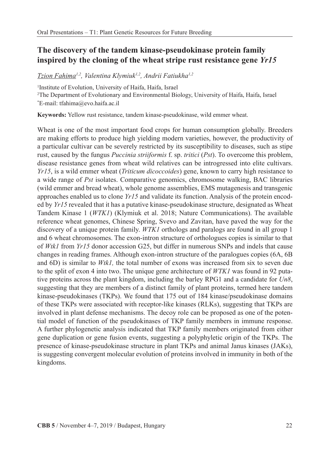## **The discovery of the tandem kinase-pseudokinase protein family inspired by the cloning of the wheat stripe rust resistance gene** *Yr15*

*Tzion Fahima1,2, Valentina Klymiuk1,2, Andrii Fatiukha1,2*

1 Institute of Evolution, University of Haifa, Haifa, Israel 2 The Department of Evolutionary and Environmental Biology, University of Haifa, Haifa, Israel \* E-mail: tfahima@evo.haifa.ac.il

**Keywords:** Yellow rust resistance, tandem kinase-pseudokinase, wild emmer wheat.

Wheat is one of the most important food crops for human consumption globally. Breeders are making efforts to produce high yielding modern varieties, however, the productivity of a particular cultivar can be severely restricted by its susceptibility to diseases, such as stipe rust, caused by the fungus *Puccinia striiformis* f. sp.*tritici* (*Pst*). To overcome this problem, disease resistance genes from wheat wild relatives can be introgressed into elite cultivars. *Yr15*, is a wild emmer wheat (*Triticum dicoccoides*) gene, known to carry high resistance to a wide range of *Pst* isolates. Comparative genomics, chromosome walking, BAC libraries (wild emmer and bread wheat), whole genome assemblies, EMS mutagenesis and transgenic approaches enabled us to clone *Yr15* and validate its function. Analysis of the protein encoded by *Yr15* revealed that it has a putative kinase-pseudokinase structure, designated as Wheat Tandem Kinase 1 (*WTK1*) (Klymiuk et al. 2018; Nature Communications). The available reference wheat genomes, Chinese Spring, Svevo and Zavitan, have paved the way for the discovery of a unique protein family.*WTK1* orthologs and paralogs are found in all group 1 and 6 wheat chromosomes. The exon-intron structure of orthologues copies is similar to that of *Wtk1* from *Yr15* donor accession G25, but differ in numerous SNPs and indels that cause changes in reading frames. Although exon-intron structure of the paralogues copies (6A, 6B and 6D) is similar to *Wtk1,* the total number of exons was increased from six to seven due to the split of exon 4 into two. The unique gene architecture of *WTK1* was found in 92 putative proteins across the plant kingdom, including the barley RPG1 and a candidate for *Un8*, suggesting that they are members of a distinct family of plant proteins, termed here tandem kinase-pseudokinases (TKPs). We found that 175 out of 184 kinase/pseudokinase domains of these TKPs were associated with receptor-like kinases (RLKs), suggesting that TKPs are involved in plant defense mechanisms. The decoy role can be proposed as one of the potential model of function of the pseudokinases of TKP family members in immune response. A further phylogenetic analysis indicated that TKP family members originated from either gene duplication or gene fusion events, suggesting a polyphyletic origin of the TKPs. The presence of kinase-pseudokinase structure in plant TKPs and animal Janus kinases (JAKs), is suggesting convergent molecular evolution of proteins involved in immunity in both of the kingdoms.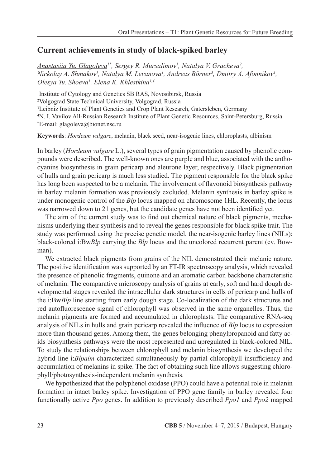### **Current achievements in study of black-spiked barley**

*Anastasiia Yu. Glagoleva1\*, Sergey R. Mursalimov1 , Natalya V. Gracheva2 ,*   $Nickolay A$ . Shmakov<sup>1</sup>, Natalya M. Levanova<sup>1</sup>, Andreas Börner<sup>3</sup>, Dmitry A. Afonnikov<sup>1</sup>, *Olesya Yu. Shoeva1 , Elena K. Khlestkina1,4*

 Institute of Cytology and Genetics SB RAS, Novosibirsk, Russia Volgograd State Technical University, Volgograd, Russia Leibniz Institute of Plant Genetics and Crop Plant Research, Gatersleben, Germany N. I. Vavilov All-Russian Research Institute of Plant Genetic Resources, Saint-Petersburg, Russia \* E-mail: glagoleva@bionet.nsc.ru

**Keywords**: *Hordeum vulgare*, melanin, black seed, near-isogenic lines, chloroplasts, albinism

In barley (*Hordeum vulgare* L.), several types of grain pigmentation caused by phenolic compounds were described. The well-known ones are purple and blue, associated with the anthocyanins biosynthesis in grain pericarp and aleurone layer, respectively. Black pigmentation of hulls and grain pericarp is much less studied. The pigment responsible for the black spike has long been suspected to be a melanin. The involvement of flavonoid biosynthesis pathway in barley melanin formation was previously excluded. Melanin synthesis in barley spike is under monogenic control of the *Blp* locus mapped on chromosome 1HL. Recently, the locus was narrowed down to 21 genes, but the candidate genes have not been identified yet.

The aim of the current study was to find out chemical nature of black pigments, mechanisms underlying their synthesis and to reveal the genes responsible for black spike trait. The study was performed using the precise genetic model, the near-isogenic barley lines (NILs): black-colored i:Bw*Blp* carrying the *Blp* locus and the uncolored recurrent parent (cv. Bowman).

We extracted black pigments from grains of the NIL demonstrated their melanic nature. The positive identification was supported by an FT-IR spectroscopy analysis, which revealed the presence of phenolic fragments, quinone and an aromatic carbon backbone characteristic of melanin. The comparative microscopy analysis of grains at early, soft and hard dough developmental stages revealed the intracellular dark structures in cells of pericarp and hulls of the i:Bw*Blp* line starting from early dough stage. Co-localization of the dark structures and red autofluorescence signal of chlorophyll was observed in the same organelles. Thus, the melanin pigments are formed and accumulated in chloroplasts. The comparative RNA-seq analysis of NILs in hulls and grain pericarp revealed the influence of *Blp* locus to expression more than thousand genes. Among them, the genes belonging phenylpropanoid and fatty acids biosynthesis pathways were the most represented and upregulated in black-colored NIL. To study the relationships between chlorophyll and melanin biosynthesis we developed the hybrid line i:*Blpalm* characterized simultaneously by partial chlorophyll insufficiency and accumulation of melanins in spike. The fact of obtaining such line allows suggesting chlorophyll/photosynthesis-independent melanin synthesis.

We hypothesized that the polyphenol oxidase (PPO) could have a potential role in melanin formation in intact barley spike. Investigation of PPO gene family in barley revealed four functionally active *Ppo* genes. In addition to previously described *Ppo1* and *Ppo2* mapped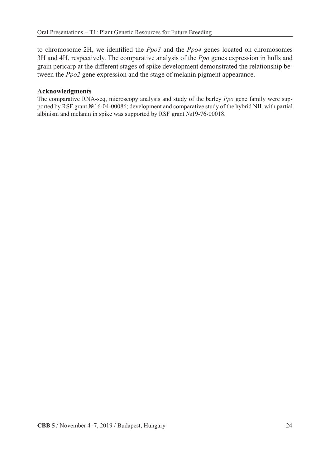to chromosome 2H, we identified the *Ppo3* and the *Ppo4* genes located on chromosomes 3H and 4H, respectively. The comparative analysis of the *Ppo* genes expression in hulls and grain pericarp at the different stages of spike development demonstrated the relationship between the *Ppo2* gene expression and the stage of melanin pigment appearance.

#### **Acknowledgments**

The comparative RNA-seq, microscopy analysis and study of the barley *Ppo* gene family were supported by RSF grant №16-04-00086; development and comparative study of the hybrid NIL with partial albinism and melanin in spike was supported by RSF grant №19-76-00018.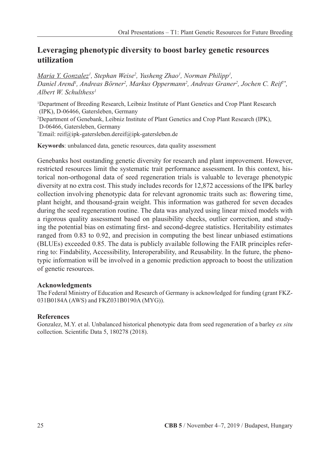## **Leveraging phenotypic diversity to boost barley genetic resources utilization**

*Maria Y. Gonzalez1 , Stephan Weise2 , Yusheng Zhao1 , Norman Philipp1 ,*  Daniel Arend<sup>i</sup>, Andreas Börner<sup>2</sup>, Markus Oppermann<sup>2</sup>, Andreas Graner<sup>2</sup>, Jochen C. Reif<sup>1\*</sup>, *Albert W. Schulthess1*

1 Department of Breeding Research, Leibniz Institute of Plant Genetics and Crop Plant Research (IPK), D-06466, Gatersleben, Germany 2 Department of Genebank, Leibniz Institute of Plant Genetics and Crop Plant Research (IPK), D-06466, Gatersleben, Germany \* Email: reif@ipk-gatersleben.dereif@ipk-gatersleben.de

**Keywords**: unbalanced data, genetic resources, data quality assessment

Genebanks host oustanding genetic diversity for research and plant improvement. However, restricted resources limit the systematic trait performance assessment. In this context, historical non-orthogonal data of seed regeneration trials is valuable to leverage phenotypic diversity at no extra cost. This study includes records for 12,872 accessions of the IPK barley collection involving phenotypic data for relevant agronomic traits such as: flowering time, plant height, and thousand-grain weight. This information was gathered for seven decades during the seed regeneration routine. The data was analyzed using linear mixed models with a rigorous quality assessment based on plausibility checks, outlier correction, and studying the potential bias on estimating first- and second-degree statistics. Heritability estimates ranged from 0.83 to 0.92, and precision in computing the best linear unbiased estimations (BLUEs) exceeded 0.85. The data is publicly available following the FAIR principles referring to: Findability, Accessibility, Interoperability, and Reusability. In the future, the phenotypic information will be involved in a genomic prediction approach to boost the utilization of genetic resources.

#### **Acknowledgments**

The Federal Ministry of Education and Research of Germany is acknowledged for funding (grant FKZ-031B0184A (AWS) and FKZ031B0190A (MYG)).

## **References**

Gonzalez, M.Y. et al. Unbalanced historical phenotypic data from seed regeneration of a barley *ex situ* collection. Scientific Data 5, 180278 (2018).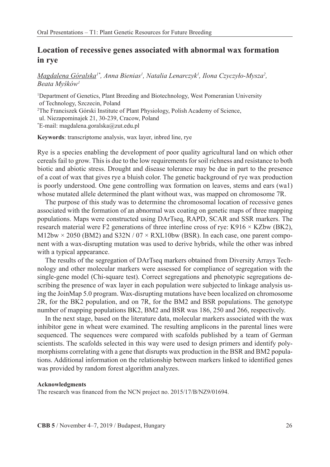## **Location of recessive genes associated with abnormal wax formation in rye**

*Magdalena Góralska1\*, Anna Bienias1 , Natalia Lenarczyk1 , Ilona Czyczyło-Mysza<sup>2</sup> , Beata Myśków<sup>1</sup>*

1 Department of Genetics, Plant Breeding and Biotechnology, West Pomeranian University of Technology, Szczecin, Poland 2 The Franciszek Górski Institute of Plant Physiology, Polish Academy of Science, ul. Niezapominajek 21, 30-239, Cracow, Poland \* E-mail: magdalena.goralska@zut.edu.pl

**Keywords**: transcriptome analysis, wax layer, inbred line, rye

Rye is a species enabling the development of poor quality agricultural land on which other cereals fail to grow. This is due to the low requirements for soil richness and resistance to both biotic and abiotic stress. Drought and disease tolerance may be due in part to the presence of a coat of wax that gives rye a bluish color. The genetic background of rye wax production is poorly understood. One gene controlling wax formation on leaves, stems and ears (wa1) whose mutated allele determined the plant without wax, was mapped on chromosome 7R.

The purpose of this study was to determine the chromosomal location of recessive genes associated with the formation of an abnormal wax coating on genetic maps of three mapping populations. Maps were constructed using DArTseq, RAPD, SCAR and SSR markers. The research material were F2 generations of three interline cross of rye: K916  $\times$  KZbw (BK2),  $M12bw \times 2050$  (BM2) and S32N / 07  $\times$  RXL10bw (BSR). In each case, one parent component with a wax-disrupting mutation was used to derive hybrids, while the other was inbred with a typical appearance.

The results of the segregation of DArTseq markers obtained from Diversity Arrays Technology and other molecular markers were assessed for compliance of segregation with the single-gene model (Chi-square test). Correct segregations and phenotypic segregations describing the presence of wax layer in each population were subjected to linkage analysis using the JoinMap 5.0 program. Wax-disrupting mutations have been localized on chromosome 2R, for the BK2 population, and on 7R, for the BM2 and BSR populations. The genotype number of mapping populations BK2, BM2 and BSR was 186, 250 and 266, respectively.

In the next stage, based on the literature data, molecular markers associated with the wax inhibitor gene in wheat were examined. The resulting amplicons in the parental lines were sequenced. The sequences were compared with scafolds published by a team of German scientists. The scafolds selected in this way were used to design primers and identify polymorphisms correlating with a gene that disrupts wax production in the BSR and BM2 populations. Additional information on the relationship between markers linked to identified genes was provided by random forest algorithm analyzes.

#### **Acknowledgments**

The research was financed from the NCN project no. 2015/17/B/NZ9/01694.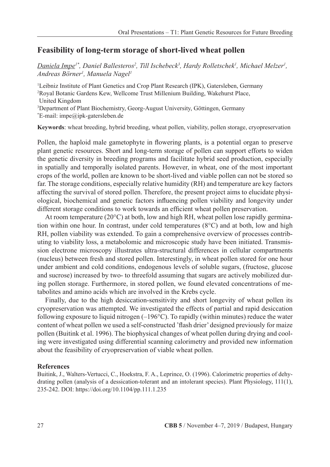### **Feasibility of long-term storage of short-lived wheat pollen**

*Daniela Impe1\*, Daniel Ballesteros2 , Till Ischebeck3 , Hardy Rolletschek1 , Michael Melzer1 , Andreas Börner1 , Manuela Nagel1*

<sup>1</sup>Leibniz Institute of Plant Genetics and Crop Plant Research (IPK), Gatersleben, Germany 2 Royal Botanic Gardens Kew, Wellcome Trust Millenium Building, Wakehurst Place, United Kingdom 3 Department of Plant Biochemistry, Georg-August University, Göttingen, Germany \* E-mail: impe@ipk-gatersleben.de

**Keywords**: wheat breeding, hybrid breeding, wheat pollen, viability, pollen storage, cryopreservation

Pollen, the haploid male gametophyte in flowering plants, is a potential organ to preserve plant genetic resources. Short and long-term storage of pollen can support efforts to widen the genetic diversity in breeding programs and facilitate hybrid seed production, especially in spatially and temporally isolated parents. However, in wheat, one of the most important crops of the world, pollen are known to be short-lived and viable pollen can not be stored so far. The storage conditions, especially relative humidity (RH) and temperature are key factors affecting the survival of stored pollen. Therefore, the present project aims to elucidate physiological, biochemical and genetic factors influencing pollen viability and longevity under different storage conditions to work towards an efficient wheat pollen preservation.

At room temperature ( $20^{\circ}$ C) at both, low and high RH, wheat pollen lose rapidly germination within one hour. In contrast, under cold temperatures  $(8^{\circ}C)$  and at both, low and high RH, pollen viability was extended. To gain a comprehensive overview of processes contributing to viability loss, a metabolomic and microscopic study have been initiated. Transmission electrone microscopy illustrates ultra-structural differences in cellular compartments (nucleus) between fresh and stored pollen. Interestingly, in wheat pollen stored for one hour under ambient and cold conditions, endogenous levels of soluble sugars, (fructose, glucose and sucrose) increased by two- to threefold assuming that sugars are actively mobilized during pollen storage. Furthermore, in stored pollen, we found elevated concentrations of metabolites and amino acids which are involved in the Krebs cycle.

Finally, due to the high desiccation-sensitivity and short longevity of wheat pollen its cryopreservation was attempted. We investigated the effects of partial and rapid desiccation following exposure to liquid nitrogen (–196°C). To rapidly (within minutes) reduce the water content of wheat pollen we used a self-constructed 'flash drier' designed previously for maize pollen (Buitink et al. 1996). The biophysical changes of wheat pollen during drying and cooling were investigated using differential scanning calorimetry and provided new information about the feasibility of cryopreservation of viable wheat pollen.

#### **References**

Buitink, J., Walters-Vertucci, C., Hoekstra, F. A., Leprince, O. (1996). Calorimetric properties of dehydrating pollen (analysis of a dessication-tolerant and an intolerant species). Plant Physiology, 111(1), 235-242. DOI: https://doi.org/10.1104/pp.111.1.235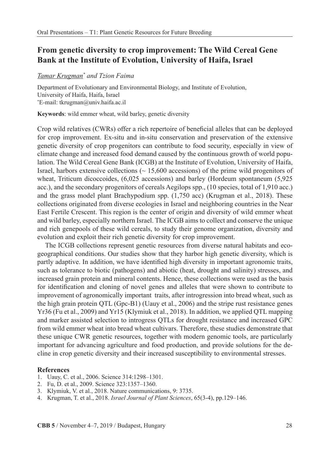## **From genetic diversity to crop improvement: The Wild Cereal Gene Bank at the Institute of Evolution, University of Haifa, Israel**

#### *Tamar Krugman\* and Tzion Faima*

Department of Evolutionary and Environmental Biology, and Institute of Evolution, University of Haifa, Haifa, Israel \* E-mail: tkrugman@univ.haifa.ac.il

**Keywords**: wild emmer wheat, wild barley, genetic diversity

Crop wild relatives (CWRs) offer a rich repertoire of beneficial alleles that can be deployed for crop improvement. Ex-situ and in-situ conservation and preservation of the extensive genetic diversity of crop progenitors can contribute to food security, especially in view of climate change and increased food demand caused by the continuous growth of world population. The Wild Cereal Gene Bank (ICGB) at the Institute of Evolution, University of Haifa, Israel, harbors extensive collections  $($   $\sim$  15,600 accessions) of the prime wild progenitors of wheat, Triticum dicoccoides, (6,025 accessions) and barley (Hordeum spontaneum (5,925 acc.), and the secondary progenitors of cereals Aegilops spp., (10 species, total of 1,910 acc.) and the grass model plant Brachypodium spp. (1,750 acc) (Krugman et al., 2018). These collections originated from diverse ecologies in Israel and neighboring countries in the Near East Fertile Crescent. This region is the center of origin and diversity of wild emmer wheat and wild barley, especially northern Israel. The ICGB aims to collect and conserve the unique and rich genepools of these wild cereals, to study their genome organization, diversity and evolution and exploit their rich genetic diversity for crop improvement.

The ICGB collections represent genetic resources from diverse natural habitats and ecogeographical conditions. Our studies show that they harbor high genetic diversity, which is partly adaptive. In addition, we have identified high diversity in important agronomic traits, such as tolerance to biotic (pathogens) and abiotic (heat, drought and salinity) stresses, and increased grain protein and mineral contents. Hence, these collections were used as the basis for identification and cloning of novel genes and alleles that were shown to contribute to improvement of agronomically important traits, after introgression into bread wheat, such as the high grain protein QTL (Gpc-B1) (Uauy et al., 2006) and the stripe rust resistance genes Yr36 (Fu et al., 2009) and Yr15 (Klymiuk et al., 2018). In addition, we applied QTL mapping and marker assisted selection to introgress QTLs for drought resistance and increased GPC from wild emmer wheat into bread wheat cultivars. Therefore, these studies demonstrate that these unique CWR genetic resources, together with modern genomic tools, are particularly important for advancing agriculture and food production, and provide solutions for the decline in crop genetic diversity and their increased susceptibility to environmental stresses.

#### **References**

- 1. Uauy, C. et al., 2006. Science 314:1298–1301.
- 2. Fu, D. et al., 2009. Science 323:1357–1360.
- 3. Klymiuk, V. et al., 2018. Nature communications, 9: 3735.
- 4. Krugman, T. et al., 2018.*Israel Journal of Plant Sciences*, 65(3-4), pp.129–146.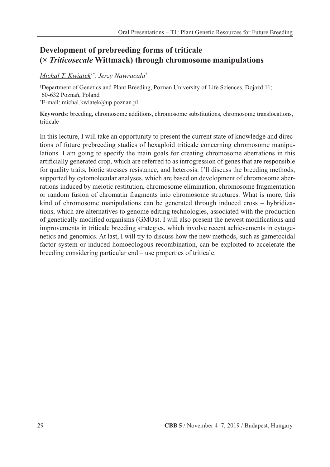## **Development of prebreeding forms of triticale (***× Triticosecale* **Wittmack) through chromosome manipulations**

## *Michał T. Kwiatek1\*, Jerzy Nawracała<sup>1</sup>*

1 Department of Genetics and Plant Breeding, Poznan University of Life Sciences, Dojazd 11; 60-632 Poznań, Poland \* E-mail: michal.kwiatek@up.poznan.pl

**Keywords**: breeding, chromosome additions, chromosome substitutions, chromosome translocations, triticale

In this lecture, I will take an opportunity to present the current state of knowledge and directions of future prebreeding studies of hexaploid triticale concerning chromosome manipulations. I am going to specify the main goals for creating chromosome aberrations in this artificially generated crop, which are referred to as introgression of genes that are responsible for quality traits, biotic stresses resistance, and heterosis. I'll discuss the breeding methods, supported by cytomolecular analyses, which are based on development of chromosome aberrations induced by meiotic restitution, chromosome elimination, chromosome fragmentation or random fusion of chromatin fragments into chromosome structures. What is more, this kind of chromosome manipulations can be generated through induced cross – hybridizations, which are alternatives to genome editing technologies, associated with the production of genetically modified organisms (GMOs). I will also present the newest modifications and improvements in triticale breeding strategies, which involve recent achievements in cytogenetics and genomics. At last, I will try to discuss how the new methods, such as gametocidal factor system or induced homoeologous recombination, can be exploited to accelerate the breeding considering particular end – use properties of triticale.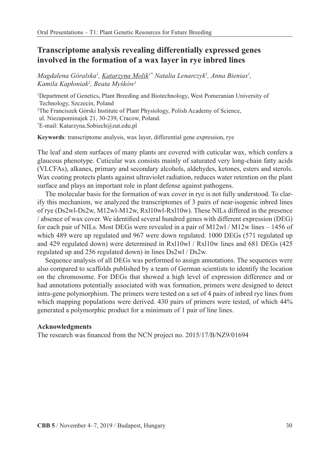## **Transcriptome analysis revealing differentially expressed genes involved in the formation of a wax layer in rye inbred lines**

Magdalena Góralska<sup>ı</sup>, <u>Katarzyna Molik</u>l\* Natalia Lenarczyk<sup>ı</sup>, Anna Bienias<sup>ı</sup>, *Kamila Kapłoniak<sup>2</sup> , Beata Myśków<sup>1</sup>*

1 Department of Genetics, Plant Breeding and Biotechnology, West Pomeranian University of Technology, Szczecin, Poland 2 The Franciszek Górski Institute of Plant Physiology, Polish Academy of Science, ul. Niezapominajek 21, 30-239, Cracow, Poland.\* E-mail: Katarzyna.Sobiech@zut.edu.pl

**Keywords**: transcriptome analysis, wax layer, differential gene expression, rye

The leaf and stem surfaces of many plants are covered with cuticular wax, which confers a glaucous phenotype. Cuticular wax consists mainly of saturated very long-chain fatty acids (VLCFAs), alkanes, primary and secondary alcohols, aldehydes, ketones, esters and sterols. Wax coating protects plants against ultraviolet radiation, reduces water retention on the plant surface and plays an important role in plant defense against pathogens.

The molecular basis for the formation of wax cover in rye is not fully understood. To clarify this mechanism, we analyzed the transcriptomes of 3 pairs of near-isogenic inbred lines of rye (Ds2wl-Ds2w, M12wl-M12w, Rxl10wl-Rxl10w). These NILs differed in the presence / absence of wax cover. We identified several hundred genes with different expression (DEG) for each pair of NILs. Most DEGs were revealed in a pair of M12wl / M12w lines – 1456 of which 489 were up regulated and 967 were down regulated. 1000 DEGs (571 regulated up and 429 regulated down) were determined in Rxl10wl / Rxl10w lines and 681 DEGs (425 regulated up and 256 regulated down) in lines Ds2wl / Ds2w.

Sequence analysis of all DEGs was performed to assign annotations. The sequences were also compared to scaffolds published by a team of German scientists to identify the location on the chromosome. For DEGs that showed a high level of expression difference and or had annotations potentially associated with wax formation, primers were designed to detect intra-gene polymorphism. The primers were tested on a set of 4 pairs of inbred rye lines from which mapping populations were derived. 430 pairs of primers were tested, of which 44% generated a polymorphic product for a minimum of 1 pair of line lines.

#### **Acknowledgments**

The research was financed from the NCN project no. 2015/17/B/NZ9/01694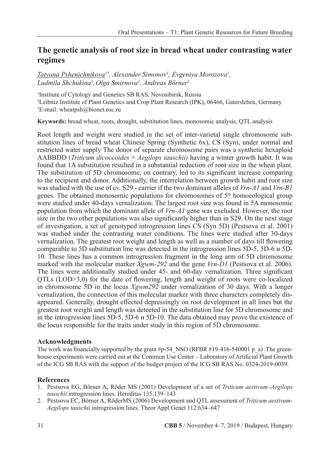## **The genetic analysis of root size in bread wheat under contrasting water regimes**

*Tatyana Pshenichnikova1\* , Alexander Simonov1 , Evgeniya Morozova1 , Ludmila Shchukina1 , Olga Smirnova1 , Andreas Börner2*

1 Institute of Cytology and Genetics SB RAS, Novosibirsk, Russia 2 Leibniz Institute of Plant Genetics and Crop Plant Research (IPK), 06466, Gatersleben, Germany \* E-mail: wheatpsh@bionet.nsc.ru

**Keywords:** bread wheat, roots, drought, substitution lines, monosomic analysis, QTL analysis

Root length and weight were studied in the set of inter-varietal single chromosome substitution lines of bread wheat Chinese Spring (Synthetic 6x), CS (Syn), under normal and restricted water supply The donor of separate chromosome pairs was a synthetic hexaploid AABBDD (*Triticum dicoccoides* × *Aegilops tauschii)* having a winter growth habit. It was found that 1A substitution resulted in a substantial reduction of root size in the wheat plant. The substitution of 5D chromosome, on contrary, led to its significant increase comparing to the recipient and donor. Additionally, the interrelation between growth habit and root size was studied with the use of cv. S29 - carrier if the two dominant alleles of *Vrn-A1* and *Vrn-B1* genes. The obtained monosomic populations for chromosomes of  $5<sup>th</sup>$  homoeological group were studied under 40-days vernalization. The largest root size was found in 5A monosomic population from which the dominant allele of *Vrn-A1* gene was excluded. However, the root size in the two other populations was also significantly higher than in S29. On the next stage of investigation, a set of genotyped introgression lines CS (Syn 5D) (Pestsova et al. 2001) was studied under the contrasting water conditions. The lines were studied after 30-days vernalization. The greatest root weight and length as well as a number of days till flowering comparable to 5D substitution line was detected in the introgression lines 5D-5, 5D-6 и 5D-10. These lines has a common introgression fragment in the long arm of 5D chromosome marked with the molecular marker *Xgwm-292* and the gene *Vrn-D1* (Pestsova et al. 2006). The lines were additionally studied under 45- and 60-day vernalization. Three significant QTLs (LOD>3,0) for the date of flowering, length and weight of roots were co-localized in chromosome 5D in the locus *Xgwm292* under vernalization of 30 days. With a longer vernalization, the connection of this molecular marker with three characters completely disappeared. Generally, drought effected depressingly on root development in all lines but the greatest root weight and length was detected in the substitution line for 5D chromosome and in the introgression lines 5D-5, 5D-6 и 5D-10. The data obtained may prove the existence of the locus responsible for the traits under study in this region of 5D chromosome.

#### **Acknowledgments**

The work was financially supported by the grant #p-54\_NSO (RFBR #19-416-540001 p\_a) .The greenhouse experiments were carried out at the Common Use Center – Laboratory of Artificial Plant Growth of the ICG SB RAS with the support of the budget project of the ICG SB RAS No. 0324-2019-0039.

#### **References**

- 1. Pestsova EG, Börner A, Röder MS (2001) Development of a set of *Triticum aestivum*–*Aegilops tauschii* introgression lines. Hereditas 135:139–143
- 2. Pestsova EC, Börner A, RöderMS (2006) Development and QTL assessment of *Triticum aestivum*-*Aegilops tauschii* introgression lines. Theor Appl Genet 112:634–647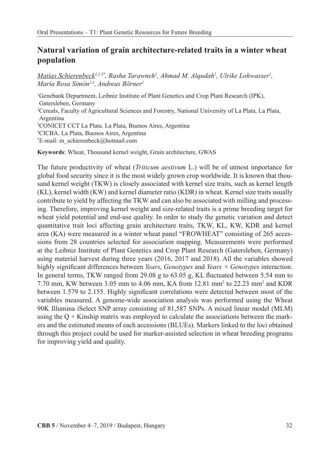## **Natural variation of grain architecture-related traits in a winter wheat population**

*Matias Schierenbeck<sup>1,2,3\*</sup>, Rasha Tarawneh<sup>1</sup>, Ahmad M. Alqudah<sup>1</sup>, Ulrike Lohwasser<sup>1</sup>, María Rosa Simón2,4, Andreas Börner1*

1 Genebank Department, Leibniz Institute of Plant Genetics and Crop Plant Research (IPK), Gatersleben, Germany 2 Cereals, Faculty of Agricultural Sciences and Forestry, National University of La Plata, La Plata, Argentina 3 CONICET CCT La Plata. La Plata, Buenos Aires, Argentina 4 CICBA. La Plata, Buenos Aires, Argentina \* E-mail: m\_schierenbeck@hotmail.com

**Keywords**: Wheat, Thousand kernel weight, Grain architecture, GWAS

The future productivity of wheat (*Triticum aestivum* L.) will be of utmost importance for global food security since it is the most widely grown crop worldwide. It is known that thousand kernel weight (TKW) is closely associated with kernel size traits, such as kernel length (KL), kernel width (KW) and kernel diameter ratio (KDR) in wheat. Kernel size traits usually contribute to yield by affecting the TKW and can also be associated with milling and processing. Therefore, improving kernel weight and size-related traits is a prime breeding target for wheat yield potential and end-use quality. In order to study the genetic variation and detect quantitative trait loci affecting grain architecture traits, TKW, KL, KW, KDR and kernel area (KA) were measured in a winter wheat panel "FROWHEAT" consisting of 265 accessions from 28 countries selected for association mapping. Measurements were performed at the Leibniz Institute of Plant Genetics and Crop Plant Research (Gatersleben, Germany) using material harvest during three years (2016, 2017 and 2018). All the variables showed highly significant differences between *Years*, *Genotypes* and *Years × Genotypes* interaction. In general terms, TKW ranged from 29.08 g to 63.05 g, KL fluctuated between 5.54 mm to 7.70 mm, KW between 3.05 mm to 4.06 mm, KA from  $12.81$  mm<sup>2</sup> to  $22.23$  mm<sup>2</sup> and KDR between 1.579 to 2.155. Highly significant correlations were detected between most of the variables measured. A genome-wide association analysis was performed using the Wheat 90K Illumina iSelect SNP array consisting of 81,587 SNPs. A mixed linear model (MLM) using the  $Q +$  Kinship matrix was employed to calculate the associations between the markers and the estimated means of each accessions (BLUEs). Markers linked to the loci obtained through this project could be used for marker-assisted selection in wheat breeding programs for improving yield and quality.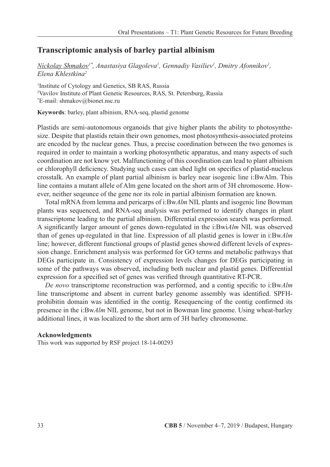## **Transcriptomic analysis of barley partial albinism**

 $Nickolay Shmakov<sup>1*</sup>, Anastasiya Glagoleva<sup>1</sup>, Gennadiy Vasililev<sup>1</sup>, Dmitry Afonnikov<sup>1</sup>,$ *Elena Khlestkina2*

1 Institute of Cytology and Genetics, SB RAS, Russia 2 Vavilov Institute of Plant Genetic Resources, RAS, St. Petersburg, Russia \* E-mail: shmakov@bionet.nsc.ru

**Keywords**: barley, plant albinism, RNA-seq, plastid genome

Plastids are semi-autonomous organoids that give higher plants the ability to photosynthesize. Despite that plastids retain their own genomes, most photosynthesis-associated proteins are encoded by the nuclear genes. Thus, a precise coordination between the two genomes is required in order to maintain a working photosynthetic apparatus, and many aspects of such coordination are not know yet. Malfunctioning of this coordination can lead to plant albinism or chlorophyll deficiency. Studying such cases can shed light on specifics of plastid-nucleus crosstalk. An example of plant partial albinism is barley near isogenic line i:BwAlm. This line contains a mutant allele of Alm gene located on the short arm of 3H chromosome. However, neither seqeunce of the gene nor its role in partial albinism formation are known.

Total mRNA from lemma and pericarps of i:Bw*Alm* NIL plants and isogenic line Bowman plants was sequenced, and RNA-seq analysis was performed to identify changes in plant transcriptome leading to the partial albinism. Differential expression search was performed. A significantly larger amount of genes down-regulated in the i:Bwi*Alm* NIL was observed than of genes up-regulated in that line. Expression of all plastid genes is lower in i:Bw*Alm* line; however, different functional groups of plastid genes showed different levels of expression change. Enrichment analysis was performed for GO terms and metabolic pathways that DEGs participate in. Consistency of expression levels changes for DEGs participating in some of the pathways was observed, including both nuclear and plastid genes. Differential expression for a specified set of genes was verified through quantitative RT-PCR.

*De novo* transcriptome reconstruction was performed, and a contig specific to i:Bw*Alm* line transcriptome and absent in current barley genome assembly was identified. SPFHprohibitin domain was identified in the contig. Resequencing of the contig confirmed its presence in the i:Bw*Alm* NIL genome, but not in Bowman line genome. Using wheat-barley additional lines, it was localized to the short arm of 3H barley chromosome.

#### **Acknowledgments**

This work was supported by RSF project 18-14-00293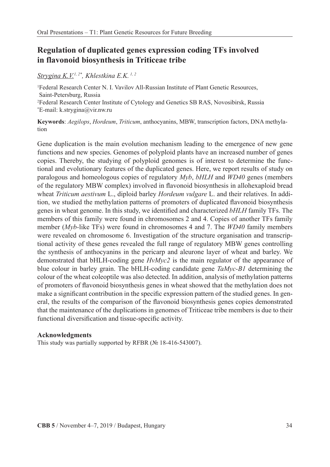## **Regulation of duplicated genes expression coding TFs involved in flavonoid biosynthesis in Triticeae tribe**

### *Strygina K.V.1, 2\*, Khlestkina E.K. 1, 2*

1 Federal Research Center N. I. Vavilov All-Russian Institute of Plant Genetic Resources, Saint-Petersburg, Russia 2 Federal Research Center Institute of Cytology and Genetics SB RAS, Novosibirsk, Russia \* E-mail: k.strygina@vir.nw.ru

**Keywords**: *Aegilops*, *Hordeum*, *Triticum*, anthocyanins, MBW, transcription factors, DNA methylation

Gene duplication is the main evolution mechanism leading to the emergence of new gene functions and new species. Genomes of polyploid plants have an increased number of genes copies. Thereby, the studying of polyploid genomes is of interest to determine the functional and evolutionary features of the duplicated genes. Here, we report results of study on paralogous and homeologous copies of regulatory *Myb*, *bHLH* and *WD40* genes (members of the regulatory MBW complex) involved in flavonoid biosynthesis in allohexaploid bread wheat *Triticum aestivum* L., diploid barley *Hordeum vulgare* L. and their relatives. In addition, we studied the methylation patterns of promoters of duplicated flavonoid biosynthesis genes in wheat genome. In this study, we identified and characterized *bHLH* family TFs. The members of this family were found in chromosomes 2 and 4. Copies of another TFs family member (*Myb-*like TFs) were found in chromosomes 4 and 7. The *WD40* family members were revealed on chromosome 6. Investigation of the structure organisation and transcriptional activity of these genes revealed the full range of regulatory MBW genes controlling the synthesis of anthocyanins in the pericarp and aleurone layer of wheat and barley. We demonstrated that bHLH-coding gene *HvMyc2* is the main regulator of the appearance of blue colour in barley grain. The bHLH-coding candidate gene *TaMyc-B1* determining the colour of the wheat coleoptile was also detected. In addition, analysis of methylation patterns of promoters of flavonoid biosynthesis genes in wheat showed that the methylation does not make a significant contribution in the specific expression pattern of the studied genes. In general, the results of the comparison of the flavonoid biosynthesis genes copies demonstrated that the maintenance of the duplications in genomes of Triticeae tribe members is due to their functional diversification and tissue-specific activity.

### **Acknowledgments**

This study was partially supported by RFBR (№ 18-416-543007).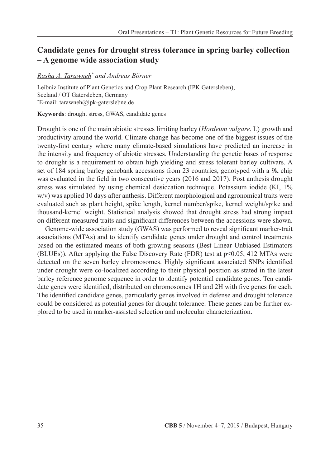## **Candidate genes for drought stress tolerance in spring barley collection – A genome wide association study**

### *Rasha A. Tarawneh\* and Andreas Börner*

Leibniz Institute of Plant Genetics and Crop Plant Research (IPK Gatersleben), Seeland / OT Gatersleben, Germany \* E-mail: tarawneh@ipk-gaterslebne.de

**Keywords**: drought stress, GWAS, candidate genes

Drought is one of the main abiotic stresses limiting barley (*Hordeum vulgare*. L) growth and productivity around the world. Climate change has become one of the biggest issues of the twenty-first century where many climate-based simulations have predicted an increase in the intensity and frequency of abiotic stresses. Understanding the genetic bases of response to drought is a requirement to obtain high yielding and stress tolerant barley cultivars. A set of 184 spring barley genebank accessions from 23 countries, genotyped with a 9k chip was evaluated in the field in two consecutive years (2016 and 2017). Post anthesis drought stress was simulated by using chemical desiccation technique. Potassium iodide (KI, 1% w/v) was applied 10 days after anthesis. Different morphological and agronomical traits were evaluated such as plant height, spike length, kernel number/spike, kernel weight/spike and thousand-kernel weight. Statistical analysis showed that drought stress had strong impact on different measured traits and significant differences between the accessions were shown.

Genome-wide association study (GWAS) was performed to reveal significant marker-trait associations (MTAs) and to identify candidate genes under drought and control treatments based on the estimated means of both growing seasons (Best Linear Unbiased Estimators (BLUEs)). After applying the False Discovery Rate (FDR) test at p<0.05, 412 MTAs were detected on the seven barley chromosomes. Highly significant associated SNPs identified under drought were co-localized according to their physical position as stated in the latest barley reference genome sequence in order to identify potential candidate genes. Ten candidate genes were identified, distributed on chromosomes 1H and 2H with five genes for each. The identified candidate genes, particularly genes involved in defense and drought tolerance could be considered as potential genes for drought tolerance. These genes can be further explored to be used in marker-assisted selection and molecular characterization.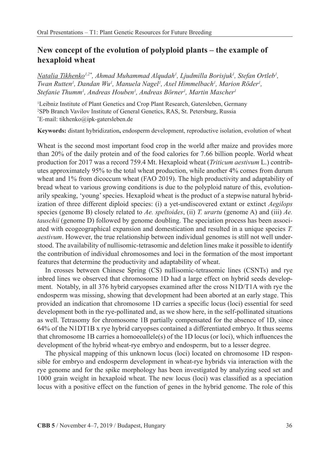## **New concept of the evolution of polyploid plants – the example of hexaploid wheat**

*Natalia Tikhenko1,2\*, Ahmad Muhammad Alqudah1 , Ljudmilla Borisjuk1 , Stefan Ortleb1 , Twan Rutten<sup>1</sup>, Dandan Wu<sup>1</sup>, Manuela Nagel<sup>1</sup>, Axel Himmelbach<sup>1</sup>, Marion Röder<sup>1</sup>, Stefanie Thumm1 , Andreas Houben1 , Andreas Börner1 , Martin Mascher1*

<sup>1</sup>Leibniz Institute of Plant Genetics and Crop Plant Research, Gatersleben, Germany <sup>2</sup>SPb Branch Vavilov Institute of General Genetics, RAS, St. Petersburg, Russia \*E-mail: tikhenko@ink-gatersleben.de E-mail: tikhenko@ipk-gatersleben.de

**Keywords:** distant hybridization**,** endosperm development, reproductive isolation, evolution of wheat

Wheat is the second most important food crop in the world after maize and provides more than 20% of the daily protein and of the food calories for 7.66 billion people. World wheat production for 2017 was a record 759.4 Mt. Hexaploid wheat (*Triticum aestivum* L.) contributes approximately 95% to the total wheat production, while another 4% comes from durum wheat and 1% from dicoccum wheat (FAO 2019). The high productivity and adaptability of bread wheat to various growing conditions is due to the polyploid nature of this, evolutionarily speaking, 'young' species. Hexaploid wheat is the product of a stepwise natural hybridization of three different diploid species: (i) a yet-undiscovered extant or extinct *Aegilops*  species (genome B) closely related to *Ae. speltoides*, (ii) *T. urartu* (genome A) and (iii) *Ae. tauschii* (genome D) followed by genome doubling. The speciation process has been associated with ecogeographical expansion and domestication and resulted in a unique species *T. aestivum*. However, the true relationship between individual genomes is still not well understood. The availability of nullisomic-tetrasomic and deletion lines make it possible to identify the contribution of individual chromosomes and loci in the formation of the most important features that determine the productivity and adaptability of wheat.

In crosses between Chinese Spring (CS) nullisomic-tetrasomic lines (CSNTs) and rye inbred lines we observed that chromosome 1D had a large effect on hybrid seeds development. Notably, in all 376 hybrid caryopses examined after the cross N1D/T1A with rye the endosperm was missing, showing that development had been aborted at an early stage. This provided an indication that chromosome 1D carries a specific locus (loci) essential for seed development both in the rye-pollinated and, as we show here, in the self-pollinated situations as well. Tetrasomy for chromosome 1B partially compensated for the absence of 1D, since 64% of the N1DT1B x rye hybrid caryopses contained a differentiated embryo. It thus seems that chromosome 1B carries a homoeoallele(s) of the 1D locus (or loci), which influences the development of the hybrid wheat-rye embryo and endosperm, but to a lesser degree.

The physical mapping of this unknown locus (loci) located on chromosome 1D responsible for embryo and endosperm development in wheat-rye hybrids via interaction with the rye genome and for the spike morphology has been investigated by analyzing seed set and 1000 grain weight in hexaploid wheat. The new locus (loci) was classified as a speciation locus with a positive effect on the function of genes in the hybrid genome. The role of this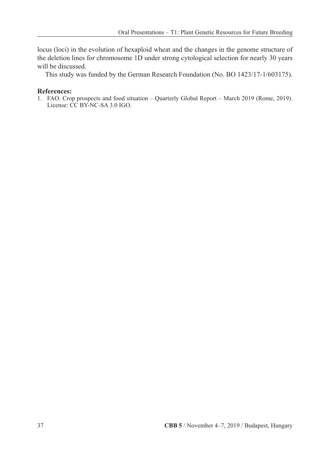locus (loci) in the evolution of hexaploid wheat and the changes in the genome structure of the deletion lines for chromosome 1D under strong cytological selection for nearly 30 years will be discussed.

This study was funded by the German Research Foundation (No. BO 1423/17-1/603175).

### **References:**

1. FAO. Crop prospects and food situation – Quarterly Global Report – March 2019 (Rome, 2019). License: CC BY-NC-SA 3.0 IGO.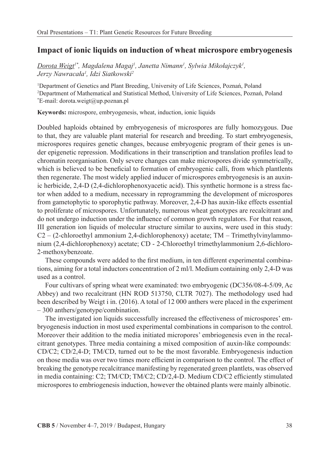### **Impact of ionic liquids on induction of wheat microspore embryogenesis**

*Dorota Weigt1\*, Magdalena Magaj1 , Janetta Nimann1 , Sylwia Mikołajczyk<sup>1</sup> , Jerzy Nawracała<sup>1</sup> , Idzi Siatkowski2*

1 Department of Genetics and Plant Breeding, University of Life Sciences, Poznań, Poland 2 Department of Mathematical and Statistical Method, University of Life Sciences, Poznań, Poland \* E-mail: dorota.weigt@up.poznan.pl

**Keywords:** microspore, embryogenesis, wheat, induction, ionic liquids

Doubled haploids obtained by embryogenesis of microspores are fully homozygous. Due to that, they are valuable plant material for research and breeding. To start embryogenesis, microspores requires genetic changes, because embryogenic program of their genes is under epigenetic repression. Modifications in their transcription and translation profiles lead to chromatin reorganisation. Only severe changes can make microspores divide symmetrically, which is believed to be beneficial to formation of embryogenic calli, from which plantlents then regenerate. The most widely applied inducer of microspores embryogenesis is an auxinic herbicide, 2,4-D (2,4-dichlorophenoxyacetic acid). This synthetic hormone is a stress factor when added to a medium, necessary in reprogramming the development of microspores from gametophytic to sporophytic pathway. Moreover, 2,4-D has auxin-like effects essential to proliferate of microspores. Unfortunately, numerous wheat genotypes are recalcitrant and do not undergo induction under the influence of common growth regulators. For that reason, III generation ion liquids of molecular structure similar to auxins, were used in this study:  $C2 - (2$ -chloroethyl ammonium 2,4-dichlorophenoxy) acetate; TM – Trimethylvinylammonium (2,4-dichlorophenoxy) acetate; CD - 2-Chloroethyl trimethylammonium 2,6-dichloro-2-methoxybenzoate.

These compounds were added to the first medium, in ten different experimental combinations, aiming for a total inductors concentration of 2 ml/l. Medium containing only 2,4-D was used as a control.

Four cultivars of spring wheat were examinated: two embryogenic (DC356/08-4-5/09, Ac Abbey) and two recalcitrant (HN ROD 513750, CLTR 7027). The methodology used had been described by Weigt i in. (2016). A total of 12 000 anthers were placed in the experiment – 300 anthers/genotype/combination.

The investigated ion liquids successfully increased the effectiveness of microspores' embryogenesis induction in most used experimental combinations in comparison to the control. Moreover their addition to the media initiated micropores' embriogenesis even in the recalcitrant genotypes. Three media containing a mixed composition of auxin-like compounds: CD/C2; CD/2,4-D; TM/CD, turned out to be the most favorable. Embryogenesis induction on those media was over two times more efficient in comparison to the control. The effect of breaking the genotype recalcitrance manifesting by regenerated green plantlets, was observed in media containing: C2; TM/CD; TM/C2; CD/2,4-D. Medium CD/C2 efficiently stimulated microspores to embriogenesis induction, however the obtained plants were mainly albinotic.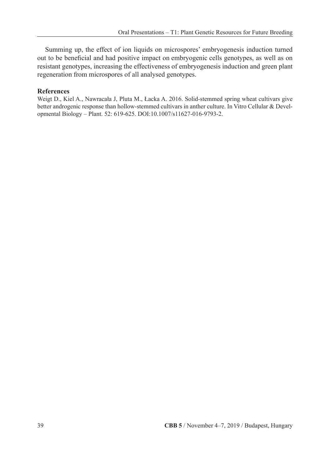Summing up, the effect of ion liquids on microspores' embryogenesis induction turned out to be beneficial and had positive impact on embryogenic cells genotypes, as well as on resistant genotypes, increasing the effectiveness of embryogenesis induction and green plant regeneration from microspores of all analysed genotypes.

### **References**

Weigt D., Kiel A., Nawracała J, Pluta M., Łacka A. 2016. Solid-stemmed spring wheat cultivars give better androgenic response than hollow-stemmed cultivars in anther culture. In Vitro Cellular & Developmental Biology – Plant. 52: 619-625. DOI:10.1007/s11627-016-9793-2.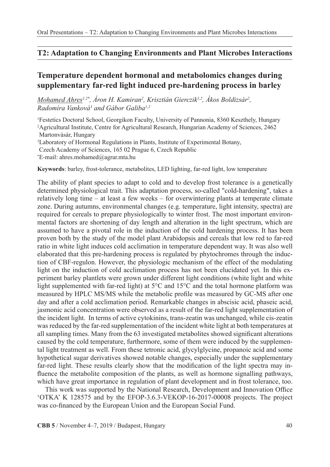### **T2: Adaptation to Changing Environments and Plant Microbes Interactions**

## **Temperature dependent hormonal and metabolomics changes during supplementary far-red light induced pre-hardening process in barley**

*Mohamed Ahres<sup>1,2\*</sup>, Aron H. Kamiran<sup>2</sup>, Krisztián Gierczik<sup>1,2</sup>, Akos Boldizsár<sup>2</sup>, Radomíra Vanková3 and Gábor Galiba1,2*

1 Festetics Doctoral School, Georgikon Faculty, University of Pannonia, 8360 Keszthely, Hungary 2 Agricultural Institute, Centre for Agricultural Research, Hungarian Academy of Sciences, 2462 Martonvásár, Hungary

3 Laboratory of Hormonal Regulations in Plants, Institute of Experimental Botany,

Czech Academy of Sciences, 165 02 Prague 6, Czech Republic

\* E-mail: ahres.mohamed@agrar.mta.hu

**Keywords**: barley, frost-tolerance, metabolites, LED lighting, far-red light, low temperature

The ability of plant species to adapt to cold and to develop frost tolerance is a genetically determined physiological trait. This adaptation process, so-called "cold-hardening", takes a relatively long time – at least a few weeks – for overwintering plants at temperate climate zone. During autumns, environmental changes (e.g. temperature, light intensity, spectra) are required for cereals to prepare physiologically to winter frost. The most important environmental factors are shortening of day length and alteration in the light spectrum, which are assumed to have a pivotal role in the induction of the cold hardening process. It has been proven both by the study of the model plant Arabidopsis and cereals that low red to far-red ratio in white light induces cold acclimation in temperature dependent way. It was also well elaborated that this pre-hardening process is regulated by phytochromes through the induction of CBF-regulon. However, the physiologic mechanism of the effect of the modulating light on the induction of cold acclimation process has not been elucidated yet. In this experiment barley plantlets were grown under different light conditions (white light and white light supplemented with far-red light) at 5°C and 15°C and the total hormone platform was measured by HPLC MS/MS while the metabolic profile was measured by GC-MS after one day and after a cold acclimation period. Remarkable changes in abscisic acid, phaseic acid, jasmonic acid concentration were observed as a result of the far-red light supplementation of the incident light. In terms of active cytokinins, trans-zeatin was unchanged, while cis-zeatin was reduced by the far-red supplementation of the incident white light at both temperatures at all sampling times. Many from the 63 investigated metabolites showed significant alterations caused by the cold temperature, furthermore, some of them were induced by the supplemental light treatment as well. From these tetronic acid, glycylglycine, propanoic acid and some hypothetical sugar derivatives showed notable changes, especially under the supplementary far-red light. These results clearly show that the modification of the light spectra may influence the metabolite composition of the plants, as well as hormone signalling pathways, which have great importance in regulation of plant development and in frost tolerance, too.

This work was supported by the National Research, Development and Innovation Office 'OTKA' K 128575 and by the EFOP-3.6.3-VEKOP-16-2017-00008 projects. The project was co-financed by the European Union and the European Social Fund.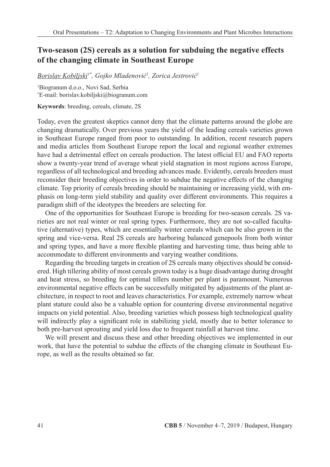## **Two-season (2S) cereals as a solution for subduing the negative effects of the changing climate in Southeast Europe**

*Borislav Kobiljski1\* , Gojko Mladenović<sup>1</sup> , Zorica Jestrović<sup>1</sup>*

1 Biogranum d.o.o., Novi Sad, Serbia \* E-mail: borislav.kobiljski@biogranum.com

**Keywords**: breeding, cereals, climate, 2S

Today, even the greatest skeptics cannot deny that the climate patterns around the globe are changing dramatically. Over previous years the yield of the leading cereals varieties grown in Southeast Europe ranged from poor to outstanding. In addition, recent research papers and media articles from Southeast Europe report the local and regional weather extremes have had a detrimental effect on cereals production. The latest official EU and FAO reports show a twenty-year trend of average wheat yield stagnation in most regions across Europe, regardless of all technological and breeding advances made. Evidently, cereals breeders must reconsider their breeding objectives in order to subdue the negative effects of the changing climate. Top priority of cereals breeding should be maintaining or increasing yield, with emphasis on long-term yield stability and quality over different environments. This requires a paradigm shift of the ideotypes the breeders are selecting for.

One of the opportunities for Southeast Europe is breeding for two-season cereals. 2S varieties are not real winter or real spring types. Furthermore, they are not so-called facultative (alternative) types, which are essentially winter cereals which can be also grown in the spring and vice-versa. Real 2S cereals are harboring balanced genepools from both winter and spring types, and have a more flexible planting and harvesting time, thus being able to accommodate to different environments and varying weather conditions.

Regarding the breeding targets in creation of 2S cereals many objectives should be considered. High tillering ability of most cereals grown today is a huge disadvantage during drought and heat stress, so breeding for optimal tillers number per plant is paramount. Numerous environmental negative effects can be successfully mitigated by adjustments of the plant architecture, in respect to root and leaves characteristics. For example, extremely narrow wheat plant stature could also be a valuable option for countering diverse environmental negative impacts on yield potential. Also, breeding varieties which possess high technological quality will indirectly play a significant role in stabilizing yield, mostly due to better tolerance to both pre-harvest sprouting and yield loss due to frequent rainfall at harvest time.

We will present and discuss these and other breeding objectives we implemented in our work, that have the potential to subdue the effects of the changing climate in Southeast Europe, as well as the results obtained so far.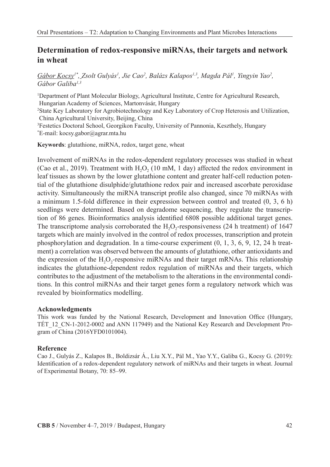## **Determination of redox-responsive miRNAs, their targets and network in wheat**

Gábor Kocsy<sup>1\*</sup>, Zsolt Gulyás<sup>1</sup>, Jie Cao<sup>2</sup>, Balázs Kalapos<sup>1,3</sup>, Magda Pál<sup>1</sup>, Yingyin Yao<sup>2</sup>, *Gábor Galiba1,3*

1 Department of Plant Molecular Biology, Agricultural Institute, Centre for Agricultural Research, Hungarian Academy of Sciences, Martonvásár, Hungary 2 State Key Laboratory for Agrobiotechnology and Key Laboratory of Crop Heterosis and Utilization, China Agricultural University, Beijing, China 3 Festetics Doctoral School, Georgikon Faculty, University of Pannonia, Keszthely, Hungary \* E-mail: kocsy.gabor@agrar.mta.hu

**Keywords**: glutathione, miRNA, redox, target gene, wheat

Involvement of miRNAs in the redox-dependent regulatory processes was studied in wheat (Cao et al., 2019). Treatment with  $H_2O_2$  (10 mM, 1 day) affected the redox environment in leaf tissues as shown by the lower glutathione content and greater half-cell reduction potential of the glutathione disulphide/glutathione redox pair and increased ascorbate peroxidase activity. Simultaneously the miRNA transcript profile also changed, since 70 miRNAs with a minimum 1.5-fold difference in their expression between control and treated (0, 3, 6 h) seedlings were determined. Based on degradome sequencing, they regulate the transcription of 86 genes. Bioinformatics analysis identified 6808 possible additional target genes. The transcriptome analysis corroborated the  $H<sub>o</sub>$ -responsiveness (24 h treatment) of 1647 targets which are mainly involved in the control of redox processes, transcription and protein phosphorylation and degradation. In a time-course experiment (0, 1, 3, 6, 9, 12, 24 h treatment) a correlation was observed between the amounts of glutathione, other antioxidants and the expression of the  $H_2O_2$ -responsive miRNAs and their target mRNAs. This relationship indicates the glutathione-dependent redox regulation of miRNAs and their targets, which contributes to the adjustment of the metabolism to the alterations in the environmental conditions. In this control miRNAs and their target genes form a regulatory network which was revealed by bioinformatics modelling.

### **Acknowledgments**

This work was funded by the National Research, Development and Innovation Office (Hungary, TÉT\_12\_CN-1-2012-0002 and ANN 117949) and the National Key Research and Development Program of China (2016YFD0101004).

### **Reference**

Cao J., Gulyás Z., Kalapos B., Boldizsár Á., Liu X.Y., Pál M., Yao Y.Y., Galiba G., Kocsy G. (2019): Identification of a redox-dependent regulatory network of miRNAs and their targets in wheat. Journal of Experimental Botany, 70: 85–99.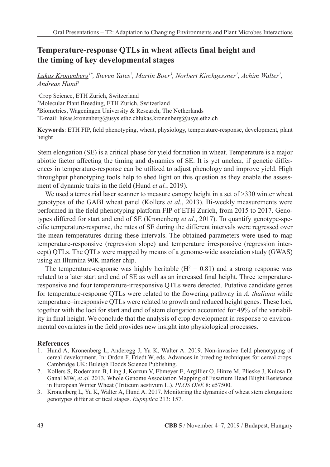## **Temperature-response QTLs in wheat affects final height and the timing of key developmental stages**

*Lukas Kronenberg1\*, Steven Yates2 , Martin Boer3 , Norbert Kirchgessner1 , Achim Walter1 , Andreas Hund1*

 Crop Science, ETH Zurich, Switzerland Molecular Plant Breeding, ETH Zurich, Switzerland Biometrics, Wageningen University & Research, The Netherlands \* E-mail: lukas.kronenberg@usys.ethz.chlukas.kronenberg@usys.ethz.ch

**Keywords**: ETH FIP, field phenotyping, wheat, physiology, temperature-response, development, plant height

Stem elongation (SE) is a critical phase for yield formation in wheat. Temperature is a major abiotic factor affecting the timing and dynamics of SE. It is yet unclear, if genetic differences in temperature-response can be utilized to adjust phenology and improve yield. High throughput phenotyping tools help to shed light on this question as they enable the assessment of dynamic traits in the field (Hund *et al.*, 2019).

We used a terrestrial laser scanner to measure canopy height in a set of  $>330$  winter wheat genotypes of the GABI wheat panel (Kollers *et al.*, 2013). Bi-weekly measurements were performed in the field phenotyping platform FIP of ETH Zurich, from 2015 to 2017. Genotypes differed for start and end of SE (Kronenberg *et al.*, 2017). To quantify genotype-specific temperature-response, the rates of SE during the different intervals were regressed over the mean temperatures during these intervals. The obtained parameters were used to map temperature-responsive (regression slope) and temperature irresponsive (regression intercept) QTLs. The QTLs were mapped by means of a genome-wide association study (GWAS) using an Illumina 90K marker chip.

The temperature-response was highly heritable ( $H<sup>2</sup> = 0.81$ ) and a strong response was related to a later start and end of SE as well as an increased final height. Three temperatureresponsive and four temperature-irresponsive QTLs were detected. Putative candidate genes for temperature-response QTLs were related to the flowering pathway in *A. thaliana* while temperature–irresponsive QTLs were related to growth and reduced height genes. These loci, together with the loci for start and end of stem elongation accounted for 49% of the variability in final height. We conclude that the analysis of crop development in response to environmental covariates in the field provides new insight into physiological processes.

### **References**

- 1. Hund A, Kronenberg L, Anderegg J, Yu K, Walter A. 2019. Non-invasive field phenotyping of cereal development. In: Ordon F, Friedt W, eds. Advances in breeding techniques for cereal crops. Cambridge UK: Buleigh Dodds Science Publishing.
- 2. Kollers S, Rodemann B, Ling J, Korzun V, Ebmeyer E, Argillier O, Hinze M, Plieske J, Kulosa D, Ganal MW, *et al.* 2013. Whole Genome Association Mapping of Fusarium Head Blight Resistance in European Winter Wheat (Triticum aestivum L.).*PLOS ONE* 8: e57500.
- 3. Kronenberg L, Yu K, Walter A, Hund A. 2017. Monitoring the dynamics of wheat stem elongation: genotypes differ at critical stages.*Euphytica* 213: 157.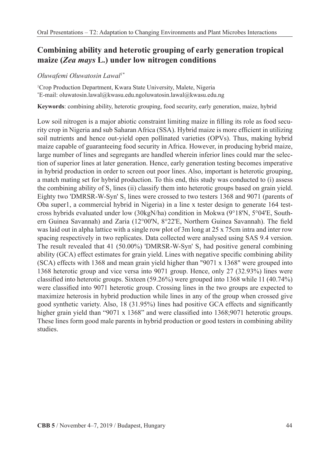## **Combining ability and heterotic grouping of early generation tropical maize (***Zea mays* **L.) under low nitrogen conditions**

*Oluwafemi Oluwatosin Lawal1\**

1 Crop Production Department, Kwara State University, Malete, Nigeria \* E-mail: oluwatosin.lawal@kwasu.edu.ngoluwatosin.lawal@kwasu.edu.ng

**Keywords**: combining ability, heterotic grouping, food security, early generation, maize, hybrid

Low soil nitrogen is a major abiotic constraint limiting maize in filling its role as food security crop in Nigeria and sub Saharan Africa (SSA). Hybrid maize is more efficient in utilizing soil nutrients and hence out-yield open pollinated varieties (OPVs). Thus, making hybrid maize capable of guaranteeing food security in Africa. However, in producing hybrid maize, large number of lines and segregants are handled wherein inferior lines could mar the selection of superior lines at later generation. Hence, early generation testing becomes imperative in hybrid production in order to screen out poor lines. Also, important is heterotic grouping, a match mating set for hybrid production. To this end, this study was conducted to (i) assess the combining ability of  $S_3$  lines (ii) classify them into heterotic groups based on grain yield. Eighty two 'DMRSR-W-Syn'  $S_3$  lines were crossed to two testers 1368 and 9071 (parents of Oba super1, a commercial hybrid in Nigeria) in a line x tester design to generate 164 testcross hybrids evaluated under low (30kgN/ha) condition in Mokwa (9°18'N, 5°04'E, Southern Guinea Savannah) and Zaria (12°00'N, 8°22'E, Northern Guinea Savannah). The field was laid out in alpha lattice with a single row plot of 3m long at 25 x 75cm intra and inter row spacing respectively in two replicates. Data collected were analysed using SAS 9.4 version. The result revealed that 41 (50.00%) 'DMRSR-W-Syn'  $S<sub>3</sub>$  had positive general combining ability (GCA) effect estimates for grain yield. Lines with negative specific combining ability (SCA) effects with 1368 and mean grain yield higher than "9071 x 1368" were grouped into 1368 heterotic group and vice versa into 9071 group. Hence, only 27 (32.93%) lines were classified into heterotic groups. Sixteen (59.26%) were grouped into 1368 while 11 (40.74%) were classified into 9071 heterotic group. Crossing lines in the two groups are expected to maximize heterosis in hybrid production while lines in any of the group when crossed give good synthetic variety. Also, 18 (31.95%) lines had positive GCA effects and significantly higher grain yield than "9071  $x$  1368" and were classified into 1368;9071 heterotic groups. These lines form good male parents in hybrid production or good testers in combining ability studies.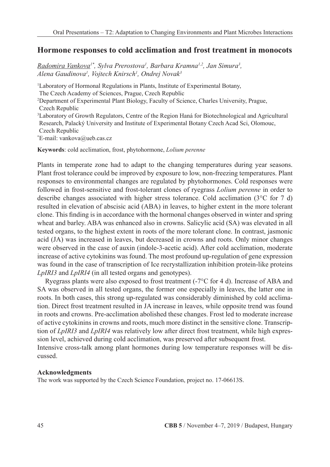## **Hormone responses to cold acclimation and frost treatment in monocots**

*Radomira Vankova1\*, Sylva Prerostova1 , Barbara Kramna1,2, Jan Simura3 , Alena Gaudinova1 , Vojtech Knirsch1 , Ondrej Novak3*

<sup>1</sup>Laboratory of Hormonal Regulations in Plants, Institute of Experimental Botany, The Czech Academy of Sciences, Prague, Czech Republic 2 Department of Experimental Plant Biology, Faculty of Science, Charles University, Prague, Czech Republic 3 Laboratory of Growth Regulators, Centre of the Region Haná for Biotechnological and Agricultural Research, Palacký University and Institute of Experimental Botany Czech Acad Sci, Olomouc, Czech Republic \* E-mail: vankova@ueb.cas.cz

**Keywords**: cold acclimation, frost, phytohormone, *Lolium perenne*

Plants in temperate zone had to adapt to the changing temperatures during year seasons. Plant frost tolerance could be improved by exposure to low, non-freezing temperatures. Plant responses to environmental changes are regulated by phytohormones. Cold responses were followed in frost-sensitive and frost-tolerant clones of ryegrass *Lolium perenne* in order to describe changes associated with higher stress tolerance. Cold acclimation ( $3^{\circ}$ C for 7 d) resulted in elevation of abscisic acid (ABA) in leaves, to higher extent in the more tolerant clone. This finding is in accordance with the hormonal changes observed in winter and spring wheat and barley. ABA was enhanced also in crowns. Salicylic acid (SA) was elevated in all tested organs, to the highest extent in roots of the more tolerant clone. In contrast, jasmonic acid (JA) was increased in leaves, but decreased in crowns and roots. Only minor changes were observed in the case of auxin (indole-3-acetic acid). After cold acclimation, moderate increase of active cytokinins was found. The most profound up-regulation of gene expression was found in the case of transcription of Ice recrystallization inhibition protein-like proteins *LpIRI3* and *LpIRI4* (in all tested organs and genotypes).

Ryegrass plants were also exposed to frost treatment (-7°C for 4 d). Increase of ABA and SA was observed in all tested organs, the former one especially in leaves, the latter one in roots. In both cases, this strong up-regulated was considerably diminished by cold acclimation. Direct frost treatment resulted in JA increase in leaves, while opposite trend was found in roots and crowns. Pre-acclimation abolished these changes. Frost led to moderate increase of active cytokinins in crowns and roots, much more distinct in the sensitive clone. Transcription of *LpIRI3* and *LpIRI4* was relatively low after direct frost treatment, while high expression level, achieved during cold acclimation, was preserved after subsequent frost. Intensive cross-talk among plant hormones during low temperature responses will be discussed.

#### **Acknowledgments**

The work was supported by the Czech Science Foundation, project no. 17-06613S.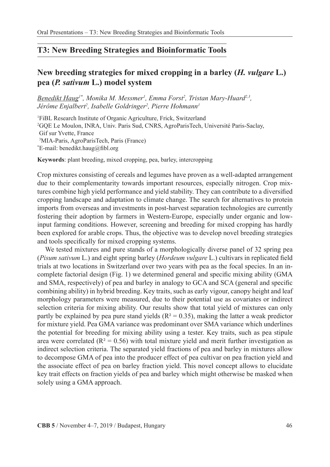## **T3: New Breeding Strategies and Bioinformatic Tools**

## **New breeding strategies for mixed cropping in a barley (***H. vulgare* **L.) pea (***P. sativum* **L.) model system**

*Benedikt Haug1\*, Monika M. Messmer1 , Emma Forst2 , Tristan Mary-Huard2,3,*  Jérôme Enjalbert<sup>2</sup>, Isabelle Goldringer<sup>2</sup>, Pierre Hohmann<sup>1</sup>

1 FiBL Research Institute of Organic Agriculture, Frick, Switzerland 2 GQE Le Moulon, INRA, Univ. Paris Sud, CNRS, AgroParisTech, Université Paris-Saclay, Gif sur Yvette, France 3 MIA-Paris, AgroParisTech, Paris (France) \* E-mail: benedikt.haug@fibl.org

**Keywords**: plant breeding, mixed cropping, pea, barley, intercropping

Crop mixtures consisting of cereals and legumes have proven as a well-adapted arrangement due to their complementarity towards important resources, especially nitrogen. Crop mixtures combine high yield performance and yield stability. They can contribute to a diversified cropping landscape and adaptation to climate change. The search for alternatives to protein imports from overseas and investments in post-harvest separation technologies are currently fostering their adoption by farmers in Western-Europe, especially under organic and lowinput farming conditions. However, screening and breeding for mixed cropping has hardly been explored for arable crops. Thus, the objective was to develop novel breeding strategies and tools specifically for mixed cropping systems.

We tested mixtures and pure stands of a morphologically diverse panel of 32 spring pea (*Pisum sativum* L.) and eight spring barley (*Hordeum vulgare* L.) cultivars in replicated field trials at two locations in Switzerland over two years with pea as the focal species. In an incomplete factorial design (Fig. 1) we determined general and specific mixing ability (GMA and SMA, respectively) of pea and barley in analogy to GCA and SCA (general and specific combining ability) in hybrid breeding. Key traits, such as early vigour, canopy height and leaf morphology parameters were measured, due to their potential use as covariates or indirect selection criteria for mixing ability. Our results show that total yield of mixtures can only partly be explained by pea pure stand yields ( $R^2 = 0.35$ ), making the latter a weak predictor for mixture yield. Pea GMA variance was predominant over SMA variance which underlines the potential for breeding for mixing ability using a tester. Key traits, such as pea stipule area were correlated ( $R^2 = 0.56$ ) with total mixture yield and merit further investigation as indirect selection criteria. The separated yield fractions of pea and barley in mixtures allow to decompose GMA of pea into the producer effect of pea cultivar on pea fraction yield and the associate effect of pea on barley fraction yield. This novel concept allows to elucidate key trait effects on fraction yields of pea and barley which might otherwise be masked when solely using a GMA approach.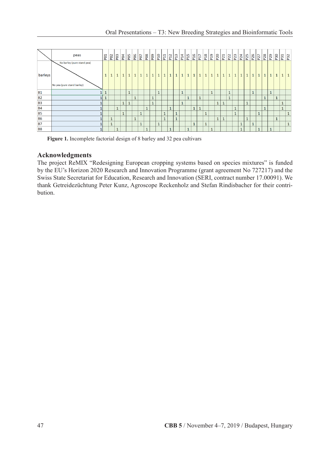|                | peas                                                     | P <sub>01</sub> | P <sub>02</sub> | P <sub>03</sub> | P <sub>D</sub> d | P <sub>DG</sub>      | PO <sub>6</sub> | P <sub>07</sub> | $\frac{8}{2}$  |              | P <sub>10</sub> | P <sub>11</sub> | $\frac{2}{2}$        |              | P <sub>14</sub> | P <sub>15</sub> | P <sub>16</sub> | P <sub>17</sub> | P <sub>18</sub> | P <sub>19</sub> | P <sub>20</sub> | P <sub>21</sub> | P <sub>22</sub> | P <sub>24</sub> |              | $\frac{125}{25}$ | P <sub>26</sub> | P <sub>27</sub> | P <sub>28</sub> | $\sqrt{29}$  | P30 |              | $\sqrt{32}$ |
|----------------|----------------------------------------------------------|-----------------|-----------------|-----------------|------------------|----------------------|-----------------|-----------------|----------------|--------------|-----------------|-----------------|----------------------|--------------|-----------------|-----------------|-----------------|-----------------|-----------------|-----------------|-----------------|-----------------|-----------------|-----------------|--------------|------------------|-----------------|-----------------|-----------------|--------------|-----|--------------|-------------|
| barleys        | No barley (pure stand pea)<br>No pea (pure stand barley) | $\mathbf{1}$    | $\mathbf{1}$    | $\mathbf{1}$    | $\mathbf{1}$     | $\mathbf{1}$         | $\mathbf{1}$    | $\mathbf{1}$    | $\mathbf{1}$   | $\mathbf{1}$ | $\mathbf{1}$    | $\mathbf{1}$    | $\mathbf{1}$         | $\mathbf{1}$ | $\mathbf{1}$    | $\mathbf{1}$    | $\mathbf{1}$    | $\mathbf{1}$    | $\mathbf{1}$    | $\mathbf{1}$    | $\mathbf{1}$    | $\mathbf{1}$    | $\mathbf{1}$    | $\mathbf{1}$    | $\mathbf{1}$ | $\mathbf{1}$     | $\mathbf{1}$    | $\mathbf{1}$    | $\mathbf{1}$    | $\mathbf{1}$ |     | $\mathbf{1}$ |             |
| <b>B1</b>      |                                                          | $\mathbf{1}$    |                 |                 |                  | $\blacktriangleleft$ |                 |                 |                |              | $\mathbf{1}$    |                 |                      |              | $\mathbf{1}$    |                 |                 |                 |                 | $\mathbf{1}$    |                 |                 | $\mathbf{1}$    |                 |              |                  | $\mathbf{1}$    |                 |                 |              |     |              |             |
| B <sub>2</sub> |                                                          |                 |                 |                 |                  |                      | $\mathbf{1}$    |                 |                |              |                 |                 |                      |              |                 | $\mathbf{1}$    |                 | $\mathbf{1}$    |                 |                 |                 |                 | $\mathbf{1}$    |                 |              |                  |                 |                 | $\overline{A}$  |              |     |              |             |
| B <sub>3</sub> |                                                          |                 |                 |                 | $\mathbf{1}$     | $\mathbf{1}$         |                 |                 |                |              |                 |                 |                      |              | $\mathbf{1}$    |                 |                 |                 |                 |                 |                 | ı               |                 |                 |              | $\overline{1}$   |                 |                 |                 |              |     | $\mathbf{1}$ |             |
| <b>B4</b>      |                                                          |                 |                 | $\mathbf{1}$    |                  |                      |                 |                 | $\overline{A}$ |              |                 |                 | $\mathbf{1}$         |              |                 |                 | $\overline{A}$  | $\mathbf{1}$    |                 |                 |                 |                 |                 | $\mathbf{1}$    |              |                  |                 |                 | $\overline{1}$  |              |     | $1\,$        |             |
| <b>B5</b>      |                                                          |                 |                 |                 | $\mathbf{1}$     |                      |                 | $\mathbf{1}$    |                |              |                 | $\mathbf{1}$    |                      | $\mathbf{1}$ |                 |                 |                 |                 | $\mathbf{1}$    |                 |                 |                 |                 | $\mathbf{1}$    |              |                  |                 | $\mathbf{1}$    |                 |              |     |              |             |
| <b>B6</b>      |                                                          |                 | $\mathbf{1}$    |                 |                  |                      | $\mathbf{1}$    |                 |                |              |                 |                 |                      | $\mathbf{1}$ |                 |                 |                 |                 |                 |                 |                 | <b>L</b>        |                 |                 |              |                  |                 |                 |                 |              |     |              |             |
| <b>B7</b>      |                                                          |                 | $\mathbf{1}$    |                 |                  |                      |                 | $\mathbf{1}$    |                |              | $\mathbf{1}$    |                 |                      |              |                 |                 | ×               |                 | $\mathbf{1}$    |                 |                 |                 |                 |                 |              |                  | $\mathbf{1}$    |                 |                 |              |     |              |             |
| B <sub>8</sub> |                                                          |                 |                 | $\mathbf{1}$    |                  |                      |                 |                 |                |              |                 |                 | $\blacktriangleleft$ |              |                 | $\mathbf{1}$    |                 |                 |                 | $\mathbf{1}$    |                 |                 |                 |                 | $\mathbf{1}$ |                  |                 | $\mathbf{1}$    |                 | $\mathbf{1}$ |     |              |             |

**Figure 1.** Incomplete factorial design of 8 barley and 32 pea cultivars

### **Acknowledgments**

The project ReMIX "Redesigning European cropping systems based on species mixtures" is funded by the EU's Horizon 2020 Research and Innovation Programme (grant agreement No 727217) and the Swiss State Secretariat for Education, Research and Innovation (SERI, contract number 17.00091). We thank Getreidezüchtung Peter Kunz, Agroscope Reckenholz and Stefan Rindisbacher for their contribution.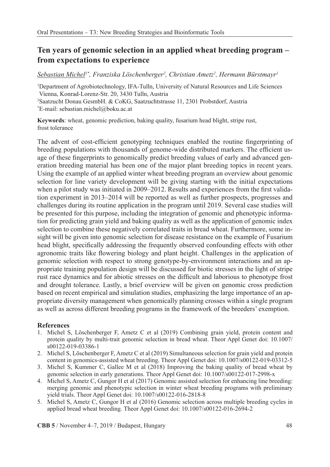## **Ten years of genomic selection in an applied wheat breeding program – from expectations to experience**

 $Sebastian Michel<sup>1*</sup>, Franziska Löschenberger<sup>2</sup>, Christian Ametz<sup>2</sup>, Hermann Bürstmayr<sup>1</sup>$ 

1 Department of Agrobiotechnology, IFA-Tulln, University of Natural Resources and Life Sciences Vienna, Konrad-Lorenz-Str. 20, 3430 Tulln, Austria 2 Saatzucht Donau GesmbH. & CoKG, Saatzuchtstrasse 11, 2301 Probstdorf, Austria \* E-mail: sebastian.michel@boku.ac.at

**Keywords**: wheat, genomic prediction, baking quality, fusarium head blight, stripe rust, frost tolerance

The advent of cost-efficient genotyping techniques enabled the routine fingerprinting of breeding populations with thousands of genome-wide distributed markers. The efficient usage of these fingerprints to genomically predict breeding values of early and advanced generation breeding material has been one of the major plant breeding topics in recent years. Using the example of an applied winter wheat breeding program an overview about genomic selection for line variety development will be giving starting with the initial expectations when a pilot study was initiated in 2009–2012. Results and experiences from the first validation experiment in 2013–2014 will be reported as well as further prospects, progresses and challenges during its routine application in the program until 2019. Several case studies will be presented for this purpose, including the integration of genomic and phenotypic information for predicting grain yield and baking quality as well as the application of genomic index selection to combine these negatively correlated traits in bread wheat. Furthermore, some insight will be given into genomic selection for disease resistance on the example of Fusarium head blight, specifically addressing the frequently observed confounding effects with other agronomic traits like flowering biology and plant height. Challenges in the application of genomic selection with respect to strong genotype-by-environment interactions and an appropriate training population design will be discussed for biotic stresses in the light of stripe rust race dynamics and for abiotic stresses on the difficult and laborious to phenotype frost and drought tolerance. Lastly, a brief overview will be given on genomic cross prediction based on recent empirical and simulation studies, emphasizing the large importance of an appropriate diversity management when genomically planning crosses within a single program as well as across different breeding programs in the framework of the breeders' exemption.

### **References**

- 1. Michel S, Löschenberger F, Ametz C et al (2019) Combining grain yield, protein content and protein quality by multi-trait genomic selection in bread wheat. Theor Appl Genet doi: 10.1007/ s00122-019-03386-1
- 2. Michel S, Löschenberger F, Ametz C et al (2019) Simultaneous selection for grain yield and protein content in genomics-assisted wheat breeding. Theor Appl Genet doi: 10.1007/s00122-019-03312-5
- 3. Michel S, Kummer C, Gallee M et al (2018) Improving the baking quality of bread wheat by genomic selection in early generations. Theor Appl Genet doi: 10.1007/s00122-017-2998-x
- 4. Michel S, Ametz C, Gungor H et al (2017) Genomic assisted selection for enhancing line breeding: merging genomic and phenotypic selection in winter wheat breeding programs with preliminary yield trials. Theor Appl Genet doi: 10.1007/s00122-016-2818-8
- 5. Michel S, Ametz C, Gungor H et al (2016) Genomic selection across multiple breeding cycles in applied bread wheat breeding. Theor Appl Genet doi: 10.1007/s00122-016-2694-2

**CBB 5** / November 4–7, 2019 / Budapest, Hungary 48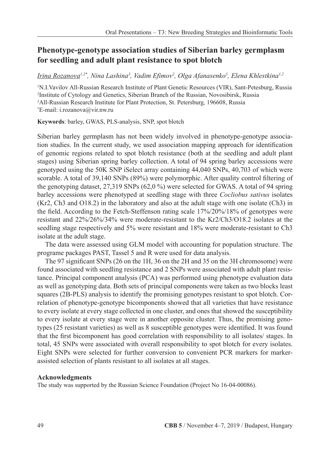## **Phenotype-genotype association studies of Siberian barley germplasm for seedling and adult plant resistance to spot blotch**

<u>Irina Rozanova',2\*, Nina Lashina3, Vadim Efimov<sup>2</sup>, Olga Afanasenko3, Elena Khlestkina<sup>1,2</sup></u>

<sup>1</sup>N.I. Vavilov All-Russian Research Institute of Plant Genetic Resources (VIR), Sant-Petesburg, Russia<br><sup>2</sup>Institute of Cytology and Genetics, Siberian Branch of the Russian, Novosibirsk, Russia <sup>2</sup>Institute of Cytology and Genetics, Siberian Branch of the Russian, Novosibirsk, Russia 3 All-Russian Research Institute for Plant Protection, St. Petersburg, 196608, Russia \* E-mail: i.rozanova@vir.nw.ru

**Keywords**: barley, GWAS, PLS-analysis, SNP, spot blotch

Siberian barley germplasm has not been widely involved in phenotype-genotype association studies. In the current study, we used association mapping approach for identification of genomic regions related to spot blotch resistance (both at the seedling and adult plant stages) using Siberian spring barley collection. A total of 94 spring barley accessions were genotyped using the 50K SNP iSelect array containing 44,040 SNPs, 40,703 of which were scorable. A total of 39,140 SNPs (89%) were polymorphic. After quality control filtering of the genotyping dataset, 27,319 SNPs (62,0 %) were selected for GWAS. A total of 94 spring barley accessions were phenotyped at seedling stage with three *Cocliobus sativus* isolates (Kr2, Ch3 and O18.2) in the laboratory and also at the adult stage with one isolate (Ch3) in the field. According to the Fetch-Steffenson rating scale 17%/20%/18% of genotypes were resistant and 22%/26%/34% were moderate-resistant to the Kr2/Ch3/O18.2 isolates at the seedling stage respectively and 5% were resistant and 18% were moderate-resistant to Ch3 isolate at the adult stage.

The data were assessed using GLM model with accounting for population structure. The programe packages PAST, Tassel 5 and R were used for data analysis.

The 97 significant SNPs (26 on the 1H, 36 on the 2H and 35 on the 3H chromosome) were found associated with seedling resistance and 2 SNPs were associated with adult plant resistance. Principal component analysis (PCA) was performed using phenotype evaluation data as well as genotyping data. Both sets of principal components were taken as two blocks least squares (2B-PLS) analysis to identify the promising genotypes resistant to spot blotch. Correlation of phenotype-genotype bicomponents showed that all varieties that have resistance to every isolate at every stage collected in one cluster, and ones that showed the susceptibility to every isolate at every stage were in another opposite cluster. Thus, the promising genotypes (25 resistant varieties) as well as 8 susceptible genotypes were identified. It was found that the first bicomponent has good correlation with responsibility to all isolates/ stages. In total, 45 SNPs were associated with overall responsibility to spot blotch for every isolates. Eight SNPs were selected for further conversion to convenient PCR markers for markerassisted selection of plants resistant to all isolates at all stages.

### **Acknowledgments**

The study was supported by the Russian Science Foundation (Project No 16-04-00086).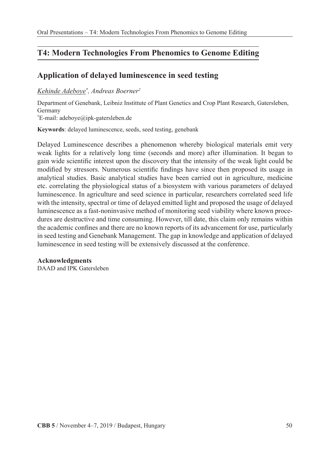## **T4: Modern Technologies From Phenomics to Genome Editing**

## **Application of delayed luminescence in seed testing**

### *Kehinde Adeboye\* , Andreas Boerner2*

Department of Genebank, Leibniz Instittute of Plant Genetics and Crop Plant Research, Gatersleben, Germany

\* E-mail: adeboye@ipk-gatersleben.de

**Keywords**: delayed luminescence, seeds, seed testing, genebank

Delayed Luminescence describes a phenomenon whereby biological materials emit very weak lights for a relatively long time (seconds and more) after illumination. It began to gain wide scientific interest upon the discovery that the intensity of the weak light could be modified by stressors. Numerous scientific findings have since then proposed its usage in analytical studies. Basic analytical studies have been carried out in agriculture, medicine etc. correlating the physiological status of a biosystem with various parameters of delayed luminescence. In agriculture and seed science in particular, researchers correlated seed life with the intensity, spectral or time of delayed emitted light and proposed the usage of delayed luminescence as a fast-noninvasive method of monitoring seed viability where known procedures are destructive and time consuming. However, till date, this claim only remains within the academic confines and there are no known reports of its advancement for use, particularly in seed testing and Genebank Management. The gap in knowledge and application of delayed luminescence in seed testing will be extensively discussed at the conference.

### **Acknowledgments**

DAAD and IPK Gatersleben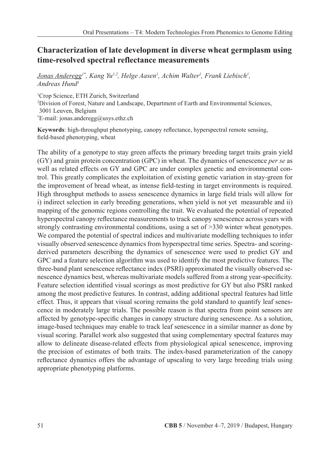## **Characterization of late development in diverse wheat germplasm using time-resolved spectral reflectance measurements**

*Jonas Anderegg<sup>1\*</sup>, Kang Yu<sup>1,2</sup>, Helge Aasen<sup>1</sup>, Achim Walter<sup>1</sup>, Frank Liebisch<sup>1</sup>, Andreas Hund1*

1 Crop Science, ETH Zurich, Switzerland 2 Division of Forest, Nature and Landscape, Department of Earth and Environmental Sciences, 3001 Leuven, Belgium \* E-mail: jonas.anderegg@usys.ethz.ch

**Keywords**: high-throughput phenotyping, canopy reflectance, hyperspectral remote sensing, field-based phenotyping, wheat

The ability of a genotype to stay green affects the primary breeding target traits grain yield (GY) and grain protein concentration (GPC) in wheat. The dynamics of senescence *per se* as well as related effects on GY and GPC are under complex genetic and environmental control. This greatly complicates the exploitation of existing genetic variation in stay-green for the improvement of bread wheat, as intense field-testing in target environments is required. High throughput methods to assess senescence dynamics in large field trials will allow for i) indirect selection in early breeding generations, when yield is not yet measurable and ii) mapping of the genomic regions controlling the trait. We evaluated the potential of repeated hyperspectral canopy reflectance measurements to track canopy senescence across years with strongly contrasting environmental conditions, using a set of >330 winter wheat genotypes. We compared the potential of spectral indices and multivariate modelling techniques to infer visually observed senescence dynamics from hyperspectral time series. Spectra- and scoringderived parameters describing the dynamics of senescence were used to predict GY and GPC and a feature selection algorithm was used to identify the most predictive features. The three-band plant senescence reflectance index (PSRI) approximated the visually observed senescence dynamics best, whereas multivariate models suffered from a strong year-specificity. Feature selection identified visual scorings as most predictive for GY but also PSRI ranked among the most predictive features. In contrast, adding additional spectral features had little effect. Thus, it appears that visual scoring remains the gold standard to quantify leaf senescence in moderately large trials. The possible reason is that spectra from point sensors are affected by genotype-specific changes in canopy structure during senescence. As a solution, image-based techniques may enable to track leaf senescence in a similar manner as done by visual scoring. Parallel work also suggested that using complementary spectral features may allow to delineate disease-related effects from physiological apical senescence, improving the precision of estimates of both traits. The index-based parameterization of the canopy reflectance dynamics offers the advantage of upscaling to very large breeding trials using appropriate phenotyping platforms.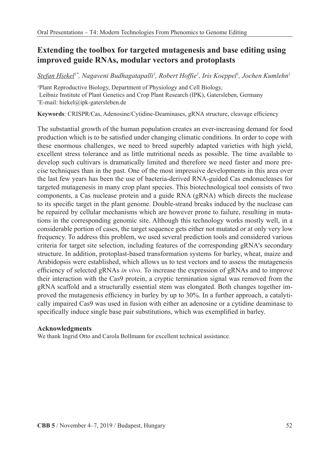## **Extending the toolbox for targeted mutagenesis and base editing using improved guide RNAs, modular vectors and protoplasts**

 $Stefan Hiekel<sup>1*</sup>, Nagaveni Budhagatapalli<sup>1</sup>, Robert Hoffie<sup>1</sup>, Iris Koeppel<sup>1</sup>, Jochen Kumlehn<sup>1</sup>$ 

1 Plant Reproductive Biology, Department of Physiology and Cell Biology, Leibniz Institute of Plant Genetics and Crop Plant Research (IPK), Gatersleben, Germany \* E-mail: hiekel@ipk-gatersleben.de

**Keywords**: CRISPR/Cas, Adenosine/Cytidine-Deaminases, gRNA structure, cleavage efficiency

The substantial growth of the human population creates an ever-increasing demand for food production which is to be satisfied under changing climatic conditions. In order to cope with these enormous challenges, we need to breed superbly adapted varieties with high yield, excellent stress tolerance and as little nutritional needs as possible. The time available to develop such cultivars is dramatically limited and therefore we need faster and more precise techniques than in the past. One of the most impressive developments in this area over the last few years has been the use of bacteria-derived RNA-guided Cas endonucleases for targeted mutagenesis in many crop plant species. This biotechnological tool consists of two components, a Cas nuclease protein and a guide RNA (gRNA) which directs the nuclease to its specific target in the plant genome. Double-strand breaks induced by the nuclease can be repaired by cellular mechanisms which are however prone to failure, resulting in mutations in the corresponding genomic site. Although this technology works mostly well, in a considerable portion of cases, the target sequence gets either not mutated or at only very low frequency. To address this problem, we used several prediction tools and considered various criteria for target site selection, including features of the corresponding gRNA's secondary structure. In addition, protoplast-based transformation systems for barley, wheat, maize and Arabidopsis were established, which allows us to test vectors and to assess the mutagenesis efficiency of selected gRNAs *in vivo*. To increase the expression of gRNAs and to improve their interaction with the Cas9 protein, a cryptic termination signal was removed from the gRNA scaffold and a structurally essential stem was elongated. Both changes together improved the mutagenesis efficiency in barley by up to 30%. In a further approach, a catalytically impaired Cas9 was used in fusion with either an adenosine or a cytidine deaminase to specifically induce single base pair substitutions, which was exemplified in barley.

### **Acknowledgments**

We thank Ingrid Otto and Carola Bollmann for excellent technical assistance.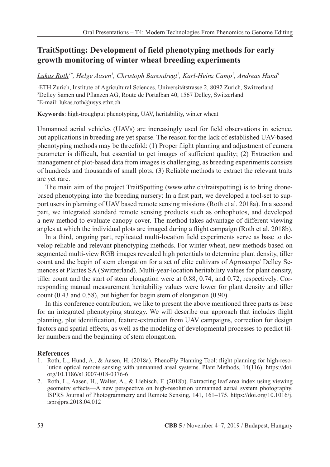## **TraitSpotting: Development of field phenotyping methods for early growth monitoring of winter wheat breeding experiments**

*Lukas Roth1\*, Helge Aasen1 , Christoph Barendregt2 , Karl-Heinz Camp2 , Andreas Hund1*

1 ETH Zurich, Institute of Agricultural Sciences, Universitätstrasse 2, 8092 Zurich, Switzerland 2 Delley Samen und Pflanzen AG, Route de Portalban 40, 1567 Delley, Switzerland \* E-mail: lukas.roth@usys.ethz.ch

**Keywords**: high-troughput phenotyping, UAV, heritability, winter wheat

Unmanned aerial vehicles (UAVs) are increasingly used for field observations in science, but applications in breeding are yet sparse. The reason for the lack of established UAV-based phenotyping methods may be threefold: (1) Proper flight planning and adjustment of camera parameter is difficult, but essential to get images of sufficient quality; (2) Extraction and management of plot-based data from images is challenging, as breeding experiments consists of hundreds and thousands of small plots; (3) Reliable methods to extract the relevant traits are yet rare.

The main aim of the project TraitSpotting (www.ethz.ch/traitspotting) is to bring dronebased phenotyping into the breeding nursery: In a first part, we developed a tool-set to support users in planning of UAV based remote sensing missions (Roth et al. 2018a). In a second part, we integrated standard remote sensing products such as orthophotos, and developed a new method to evaluate canopy cover. The method takes advantage of different viewing angles at which the individual plots are imaged during a flight campaign (Roth et al. 2018b).

In a third, ongoing part, replicated multi-location field experiments serve as base to develop reliable and relevant phenotyping methods. For winter wheat, new methods based on segmented multi-view RGB images revealed high potentials to determine plant density, tiller count and the begin of stem elongation for a set of elite cultivars of Agroscope/ Delley Semences et Plantes SA (Switzerland). Multi-year-location heritability values for plant density, tiller count and the start of stem elongation were at 0.88, 0.74, and 0.72, respectively. Corresponding manual measurement heritability values were lower for plant density and tiller count (0.43 and 0.58), but higher for begin stem of elongation (0.90).

In this conference contribution, we like to present the above mentioned three parts as base for an integrated phenotyping strategy. We will describe our approach that includes flight planning, plot identification, feature-extraction from UAV campaigns, correction for design factors and spatial effects, as well as the modeling of developmental processes to predict tiller numbers and the beginning of stem elongation.

#### **References**

- 1. Roth, L., Hund, A., & Aasen, H. (2018a). PhenoFly Planning Tool: flight planning for high-resolution optical remote sensing with unmanned areal systems. Plant Methods, 14(116). https://doi. org/10.1186/s13007-018-0376-6
- 2. Roth, L., Aasen, H., Walter, A., & Liebisch, F. (2018b). Extracting leaf area index using viewing geometry effects—A new perspective on high-resolution unmanned aerial system photography. ISPRS Journal of Photogrammetry and Remote Sensing, 141, 161–175. https://doi.org/10.1016/j. isprsjprs.2018.04.012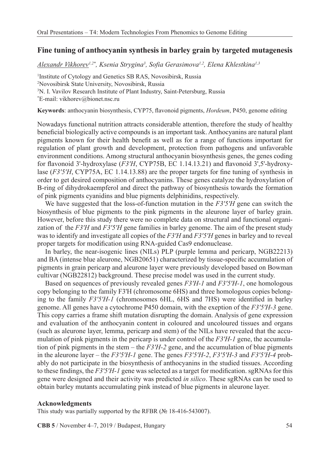### **Fine tuning of anthocyanin synthesis in barley grain by targeted mutagenesis**

*Alexandr Vikhorev1,2\*, Ksenia Strygina3 , Sofia Gerasimova1,2, Elena Khlestkina1,3*

 Institute of Cytology and Genetics SB RAS, Novosibirsk, Russia Novosibirsk State University, Novosibirsk, Russia N. I. Vavilov Research Institute of Plant Industry, Saint-Petersburg, Russia \* E-mail: vikhorev@bionet.nsc.ru

**Keywords**: anthocyanin biosynthesis, CYP75, flavonoid pigments, *Hordeum*, P450, genome editing

Nowadays functional nutrition attracts considerable attention, therefore the study of healthy beneficial biologically active compounds is an important task. Anthocyanins are natural plant pigments known for their health benefit as well as for a range of functions important for regulation of plant growth and development, protection from pathogens and unfavorable environment conditions. Among structural anthocyanin biosynthesis genes, the genes coding for flavonoid 3'-hydroxylase (*F3′H*, CYP75B, EC 1.14.13.21) and flavonoid 3',5'-hydroxylase (*F3′5′H*, CYP75A, EC 1.14.13.88) are the proper targets for fine tuning of synthesis in order to get desired composition of anthocyanins. These genes catalyze the hydroxylation of B-ring of dihydrokaempferol and direct the pathway of biosynthesis towards the formation of pink pigments cyanidins and blue pigments delphinidins, respectively.

We have suggested that the loss-of-function mutation in the *F3'5'H* gene can switch the biosynthesis of blue pigments to the pink pigments in the aleurone layer of barley grain. However, before this study there were no complete data on structural and functional organization of the *F3'H* and *F3'5'H* gene families in barley genome. The aim of the present study was to identify and investigate all copies of the *F3'H* and *F3'5'H* genes in barley and to reveal proper targets for modification using RNA-guided Cas9 endonuclease.

In barley, the near-isogenic lines (NILs) PLP (purple lemma and pericarp, NGB22213) and BA (intense blue aleurone, NGB20651) characterized by tissue-specific accumulation of pigments in grain pericarp and aleurone layer were previously developed based on Bowman cultivar (NGB22812) background. These precise model was used in the current study.

Based on sequences of previously revealed genes *F3'H-1* and *F3'5'H-1*, one homologous copy belonging to the family F3'H (chromosome 6HS) and three homologous copies belonging to the family *F3'5'H-1* (chromosomes 6HL, 6HS and 7HS) were identified in barley genome. All genes have a cytochrome P450 domain, with the exeption of the *F3'5'H-3* gene. This copy carries a frame shift mutation disrupting the domain. Analysis of gene expression and evaluation of the anthocyanin content in coloured and uncoloured tissues and organs (such as aleurone layer, lemma, pericarp and stem) of the NILs have revealed that the accumulation of pink pigments in the pericarp is under control of the *F3'H-1* gene, the accumulation of pink pigments in the stem – the  $F3'H-2$  gene, and the accumulation of blue pigments in the aleurone layer – the *F3'5'H-1* gene. The genes *F3'5'H-2*, *F3'5'H-3* and *F3'5'H-4* probably do not participate in the biosynthesis of anthocyanins in the studied tissues. According to these findings, the *F3'5'H-1* gene was selected as a target for modification. sgRNAs for this gene were designed and their activity was predicted *in silico*. These sgRNAs can be used to obtain barley mutants accumulating pink instead of blue pigments in aleurone layer.

#### **Acknowledgments**

This study was partially supported by the RFBR (№ 18-416-543007).

**CBB 5** / November 4–7, 2019 / Budapest, Hungary 54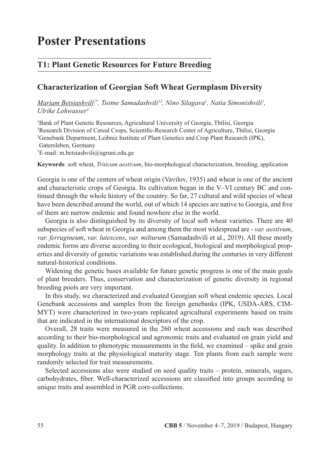# **Poster Presentations**

## **T1: Plant Genetic Resources for Future Breeding**

### **Characterization of Georgian Soft Wheat Germplasm Diversity**

*Mariam Betsiashvili<sup>1\*</sup>, Tsotne Samadashvili<sup>12</sup>, Nino Silagava<sup>1</sup>, Natia Simonishvili<sup>1</sup>, Ulrike Lohwasser3*

 Bank of Plant Genetic Resources, Agricultural University of Georgia, Tbilisi, Georgia Research Division of Cereal Crops, Scientific-Research Center of Agriculture, Tbilisi, Georgia Genebank Department, Leibniz Institute of Plant Genetics and Crop Plant Research (IPK), Gatersleben, Germany

\* E-mail: m.betsiashvili@agruni.edu.ge

**Keywords**: soft wheat, *Triticum aestivum*, bio-morphological characterization, breeding, application

Georgia is one of the centers of wheat origin (Vavilov, 1935) and wheat is one of the ancient and characteristic crops of Georgia. Its cultivation began in the V–VI century BC and continued through the whole history of the country. So far, 27 cultural and wild species of wheat have been described around the world, out of which 14 species are native to Georgia, and five of them are narrow endemic and found nowhere else in the world.

Georgia is also distinguished by its diversity of local soft wheat varieties. There are 40 subspecies of soft wheat in Georgia and among them the most widespread are - *var. aestivum*, *var. ferrugineum*, *var. lutescens*, *var. milturum* (Samadashvili et al., 2019). All these mostly endemic forms are diverse according to their ecological, biological and morphological properties and diversity of genetic variations was established during the centuries in very different natural-historical conditions.

Widening the genetic bases available for future genetic progress is one of the main goals of plant breeders. Thus, conservation and characterization of genetic diversity in regional breeding pools are very important.

In this study, we characterized and evaluated Georgian soft wheat endemic species. Local Genebank accessions and samples from the foreign genebanks (IPK, USDA-ARS, CIM-MYT) were characterized in two-years replicated agricultural experiments based on traits that are indicated in the international descriptors of the crop.

Overall, 28 traits were measured in the 260 wheat accessions and each was described according to their bio-morphological and agronomic traits and evaluated on grain yield and quality. In addition to phenotypic measurements in the field, we examined – spike and grain morphology traits at the physiological maturity stage. Ten plants from each sample were randomly selected for trait measurements.

Selected accessions also were studied on seed quality traits – protein, minerals, sugars, carbohydrates, fiber. Well-characterized accessions are classified into groups according to unique traits and assembled in PGR core-collections.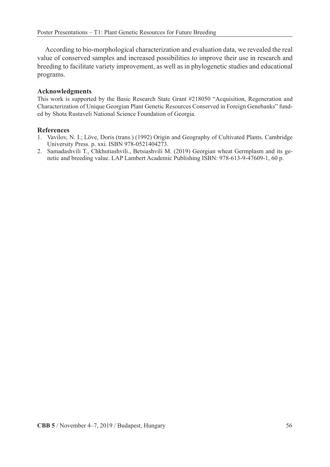According to bio-morphological characterization and evaluation data, we revealed the real value of conserved samples and increased possibilities to improve their use in research and breeding to facilitate variety improvement, as well as in phylogenetic studies and educational programs.

### **Acknowledgments**

This work is supported by the Basic Research State Grant #218050 "Acquisition, Regeneration and Characterization of Unique Georgian Plant Genetic Resources Conserved in Foreign Genebanks" funded by Shota Rustaveli National Science Foundation of Georgia.

### **References**

- 1. Vavilov, N. I.; Löve, Doris (trans.) (1992) Origin and Geography of Cultivated Plants. Cambridge University Press. p. xxi. ISBN 978-0521404273.
- 2. Samadashvili T., Chkhutiashvili., Betsiashvili M. (2019) Georgian wheat Germplasm and its genetic and breeding value. LAP Lambert Academic Publishing ISBN: 978-613-9-47609-1, 60 p.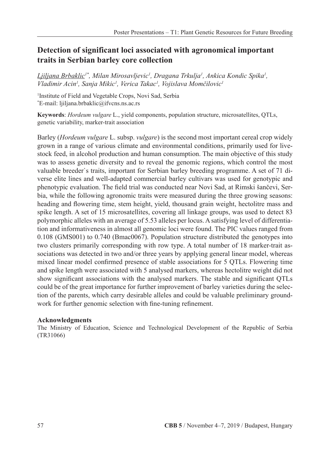## **Detection of significant loci associated with agronomical important traits in Serbian barley core collection**

*Ljiljana Brbaklic1\*, Milan Mirosavljevic1 , Dragana Trkulja1 , Ankica Kondic Spika1 , Vladimir Acin1 , Sanja Mikic1 , Verica Takac1 , Vojislava Momčilovic<sup>1</sup>*

1 Institute of Field and Vegetable Crops, Novi Sad, Serbia \* E-mail: ljiljana.brbaklic@ifvcns.ns.ac.rs

**Keywords**: *Hordeum vulgare* L., yield components, population structure, microsatellites, QTLs, genetic variability, marker-trait association

Barley (*Hordeum vulgare* L. subsp.*vulgare*) is the second most important cereal crop widely grown in a range of various climate and environmental conditions, primarily used for livestock feed, in alcohol production and human consumption. The main objective of this study was to assess genetic diversity and to reveal the genomic regions, which control the most valuable breeder`s traits, important for Serbian barley breeding programme. A set of 71 diverse elite lines and well-adapted commercial barley cultivars was used for genotypic and phenotypic evaluation. The field trial was conducted near Novi Sad, at Rimski šančevi, Serbia, while the following agronomic traits were measured during the three growing seasons: heading and flowering time, stem height, yield, thousand grain weight, hectolitre mass and spike length. A set of 15 microsatellites, covering all linkage groups, was used to detect 83 polymorphic alleles with an average of 5.53 alleles per locus. A satisfying level of differentiation and informativeness in almost all genomic loci were found. The PIC values ranged from 0.108 (GMS001) to 0.740 (Bmac0067). Population structure distributed the genotypes into two clusters primarily corresponding with row type. A total number of 18 marker-trait associations was detected in two and/or three years by applying general linear model, whereas mixed linear model confirmed presence of stable associations for 5 QTLs. Flowering time and spike length were associated with 5 analysed markers, whereas hectolitre weight did not show significant associations with the analysed markers. The stable and significant QTLs could be of the great importance for further improvement of barley varieties during the selection of the parents, which carry desirable alleles and could be valuable preliminary groundwork for further genomic selection with fine-tuning refinement.

### **Acknowledgments**

The Ministry of Education, Science and Technological Development of the Republic of Serbia (TR31066)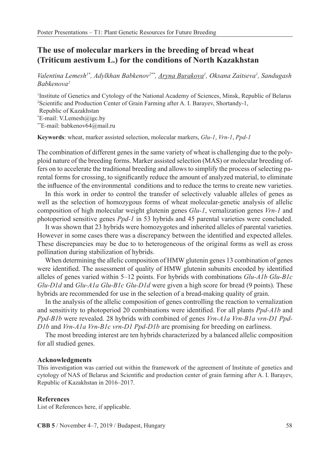## **The use of molecular markers in the breeding of bread wheat (Triticum aestivum L.) for the conditions of North Kazakhstan**

*Valentina Lemesh1\*, Adylkhan Babkenov2\*\*, Aryna Burakova1 , Oksana Zaitseva1 , Sandugash Babkenova2*

1 Institute of Genetics and Cytology of the National Academy of Sciences, Minsk, Republic of Belarus 2 Scientific and Production Center of Grain Farming after A. I. Barayev, Shortandy-1, Republic of Kazakhstan

\* E-mail: V.Lemesh@igc.by

\*\*E-mail: babkenov64@mail.ru

**Keywords**: wheat, marker assisted selection, molecular markers, *Glu-1*, *Vrn-1*, *Ppd-1*

The combination of different genes in the same variety of wheat is challenging due to the polyploid nature of the breeding forms. Marker assisted selection (MAS) or molecular breeding offers on to accelerate the traditional breeding and allows to simplify the process of selecting parental forms for crossing, to significantly reduce the amount of analyzed material, to eliminate the influence of the environmental conditions and to reduce the terms to create new varieties.

In this work in order to control the transfer of selectively valuable alleles of genes as well as the selection of homozygous forms of wheat molecular-genetic analysis of allelic composition of high molecular weight glutenin genes *Glu-1*, vernalization genes *Vrn-1* and photoperiod sensitive genes *Ppd-1* in 53 hybrids and 45 parental varieties were concluded.

It was shown that 23 hybrids were homozygotes and inherited alleles of parental varieties. However in some cases there was a discrepancy between the identified and expected alleles. These discrepancies may be due to to heterogeneous of the original forms as well as cross pollination during stabilization of hybrids.

When determining the allelic composition of HMW glutenin genes 13 combination of genes were identified. The assessment of quality of HMW glutenin subunits encoded by identified alleles of genes varied within 5–12 points. For hybrids with combinations *Glu-A1b Glu-B1c Glu-D1d* and *Glu-A1a Glu-B1c Glu-D1d* were given a high score for bread (9 points). These hybrids are recommended for use in the selection of a bread-making quality of grain.

In the analysis of the allelic composition of genes controlling the reaction to vernalization and sensitivity to photoperiod 20 combinations were identified. For all plants *Ppd-A1b* and *Ppd-B1b* were revealed. 28 hybrids with combined of genes *Vrn-A1a Vrn-B1a vrn-D1 Ppd-D1b* and *Vrn-A1a Vrn-B1c vrn-D1 Ppd-D1b* are promising for breeding on earliness.

The most breeding interest are ten hybrids characterized by a balanced allelic composition for all studied genes.

#### **Acknowledgments**

This investigation was carried out within the framework of the agreement of Institute of genetics and cytology of NAS of Belarus and Scientific and production center of grain farming after A. I. Barayev, Republic of Kazakhstan in 2016–2017.

#### **References**

List of References here, if applicable.

**CBB 5** / November 4–7, 2019 / Budapest, Hungary 58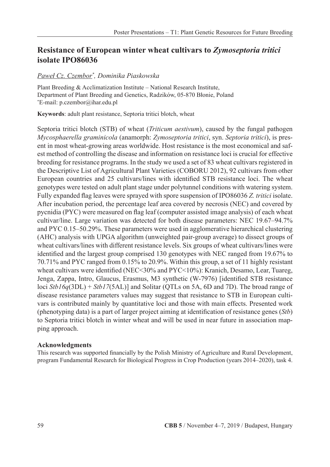## **Resistance of European winter wheat cultivars to** *Zymoseptoria tritici* **isolate IPO86036**

### *Paweł Cz. Czembor\* , Dominika Piaskowska*

Plant Breeding & Acclimatization Institute – National Research Institute, Department of Plant Breeding and Genetics, Radzików, 05-870 Błonie, Poland \* E-mail: p.czembor@ihar.edu.pl

**Keywords**: adult plant resistance, Septoria tritici blotch, wheat

Septoria tritici blotch (STB) of wheat (*Triticum aestivum*), caused by the fungal pathogen *Mycosphaerella graminicola* (anamorph: *Zymoseptoria tritici*, syn.*Septoria tritici*), is present in most wheat-growing areas worldwide. Host resistance is the most economical and safest method of controlling the disease and information on resistance loci is crucial for effective breeding for resistance programs. In the study we used a set of 83 wheat cultivars registered in the Descriptive List of Agricultural Plant Varieties (COBORU 2012), 92 cultivars from other European countries and 25 cultivars/lines with identified STB resistance loci. The wheat genotypes were tested on adult plant stage under polytunnel conditions with watering system. Fully expanded flag leaves were sprayed with spore suspension of IPO86036 *Z. tritici* isolate. After incubation period, the percentage leaf area covered by necrosis (NEC) and covered by pycnidia (PYC) were measured on flag leaf (computer assisted image analysis) of each wheat cultivar/line. Large variation was detected for both disease parameters: NEC 19.67–94.7% and PYC 0.15–50.29%. These parameters were used in agglomerative hierarchical clustering (AHC) analysis with UPGA algorithm (unweighted pair-group average) to dissect groups of wheat cultivars/lines with different resistance levels. Six groups of wheat cultivars/lines were identified and the largest group comprised 130 genotypes with NEC ranged from 19.67% to 70.71% and PYC ranged from 0.15% to 20.9%. Within this group, a set of 11 highly resistant wheat cultivars were identified (NEC<30% and PYC<10%): Kranich, Desamo, Lear, Tuareg, Jenga, Zappa, Intro, Glaucus, Erasmus, M3 synthetic (W-7976) [identified STB resistance loci *Stb16q*(3DL) + *Stb17*(5AL)] and Solitar (QTLs on 5A, 6D and 7D). The broad range of disease resistance parameters values may suggest that resistance to STB in European cultivars is contributed mainly by quantitative loci and those with main effects. Presented work (phenotyping data) is a part of larger project aiming at identification of resistance genes (*Stb*) to Septoria tritici blotch in winter wheat and will be used in near future in association mapping approach.

### **Acknowledgments**

This research was supported financially by the Polish Ministry of Agriculture and Rural Development, program Fundamental Research for Biological Progress in Crop Production (years 2014–2020), task 4.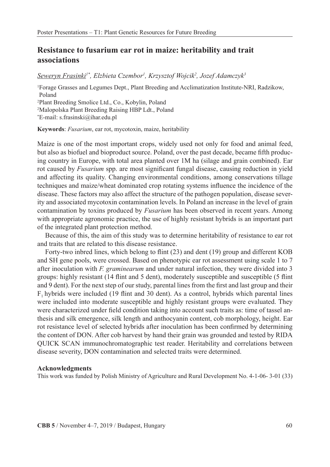## **Resistance to fusarium ear rot in maize: heritability and trait associations**

*Seweryn Frasinki1\*, Elzbieta Czembor1 , Krzysztof Wojcik2 , Jozef Adamczyk3*

1 Forage Grasses and Legumes Dept., Plant Breeding and Acclimatization Institute-NRI, Radzikow, Poland

2 Plant Breeding Smolice Ltd., Co., Kobylin, Poland 2 Malopolska Plant Breeding Raising HBP Ldt., Poland \* E-mail: s.frasinski@ihar.edu.pl

**Keywords**: *Fusarium*, ear rot, mycotoxin, maize, heritability

Maize is one of the most important crops, widely used not only for food and animal feed, but also as biofuel and bioproduct source. Poland, over the past decade, became fifth producing country in Europe, with total area planted over 1M ha (silage and grain combined). Ear rot caused by *Fusarium* spp. are most significant fungal disease, causing reduction in yield and affecting its quality. Changing environmental conditions, among conservations tillage techniques and maize/wheat dominated crop rotating systems influence the incidence of the disease. These factors may also affect the structure of the pathogen population, disease severity and associated mycotoxin contamination levels. In Poland an increase in the level of grain contamination by toxins produced by *Fusarium* has been observed in recent years. Among with appropriate agronomic practice, the use of highly resistant hybrids is an important part of the integrated plant protection method.

Because of this, the aim of this study was to determine heritability of resistance to ear rot and traits that are related to this disease resistance.

Forty-two inbred lines, which belong to flint (23) and dent (19) group and different KOB and SH gene pools, were crossed. Based on phenotypic ear rot assessment using scale 1 to 7 after inoculation with *F. graminearum* and under natural infection, they were divided into 3 groups: highly resistant (14 flint and 5 dent), moderately susceptible and susceptible (5 flint and 9 dent). For the next step of our study, parental lines from the first and last group and their  $F_1$ , hybrids were included (19 flint and 30 dent). As a control, hybrids which parental lines were included into moderate susceptible and highly resistant groups were evaluated. They were characterized under field condition taking into account such traits as: time of tassel anthesis and silk emergence, silk length and anthocyanin content, cob morphology, height. Ear rot resistance level of selected hybrids after inoculation has been confirmed by determining the content of DON. After cob harvest by hand their grain was grounded and tested by RIDA QUICK SCAN immunochromatographic test reader. Heritability and correlations between disease severity, DON contamination and selected traits were determined.

#### **Acknowledgments**

This work was funded by Polish Ministry of Agriculture and Rural Development No. 4-1-06- 3-01 (33)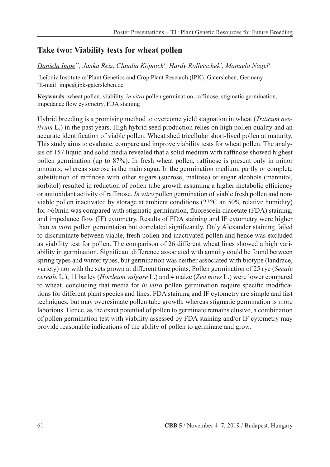## **Take two: Viability tests for wheat pollen**

### *Daniela Impe1\*, Janka Reiz, Claudia Köpnick1 , Hardy Rolletschek1 , Manuela Nagel1*

<sup>1</sup>Leibniz Institute of Plant Genetics and Crop Plant Research (IPK), Gatersleben, Germany \* E-mail: impe@ipk-gatersleben.de

**Keywords**: wheat pollen, viability, *in vitro* pollen germination, raffinose, stigmatic germination, impedance flow cytometry, FDA staining

Hybrid breeding is a promising method to overcome yield stagnation in wheat (*Triticum aestivum* L.) in the past years. High hybrid seed production relies on high pollen quality and an accurate identification of viable pollen. Wheat shed tricellular short-lived pollen at maturity. This study aims to evaluate, compare and improve viability tests for wheat pollen. The analysis of 157 liquid and solid media revealed that a solid medium with raffinose showed highest pollen germination (up to 87%). In fresh wheat pollen, raffinose is present only in minor amounts, whereas sucrose is the main sugar. In the germination medium, partly or complete substitution of raffinose with other sugars (sucrose, maltose) or sugar alcohols (mannitol, sorbitol) resulted in reduction of pollen tube growth assuming a higher metabolic efficiency or antioxidant activity of raffinose. *In vitro* pollen germination of viable fresh pollen and nonviable pollen inactivated by storage at ambient conditions (23°C an 50% relative humidity) for >60min was compared with stigmatic germination, fluorescein diacetate (FDA) staining, and impedance flow (IF) cytometry. Results of FDA staining and IF cytometry were higher than *in vitro* pollen germintaion but correlated significantly. Only Alexander staining failed to discriminate between viable, fresh pollen and inactivated pollen and hence was excluded as viability test for pollen. The comparison of 26 different wheat lines showed a high variability in germination. Significant difference associated with annuity could be found between spring types and winter types, but germination was neither associated with biotype (landrace, variety) nor with the sets grown at different time points. Pollen germination of 25 rye (*Secale cereale* L.), 11 barley (*Hordeum vulgare* L.) and 4 maize (*Zea mays* L.) were lower compared to wheat, concluding that media for *in vitro* pollen germination require specific modifications for different plant species and lines. FDA staining and IF cytometry are simple and fast techniques, but may overesimate pollen tube growth, whereas stigmatic germination is more laborious. Hence, as the exact potential of pollen to germinate remains elusive, a combination of pollen germination test with viability assessed by FDA staining and/or IF cytometry may provide reasonable indications of the ability of pollen to germinate and grow.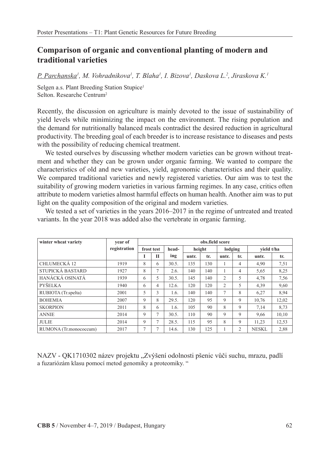## **Comparison of organic and conventional planting of modern and traditional varieties**

*P. Parchanska1 , M. Vohradnikova1 , T. Blaha1 , I. Bizova1 , Daskova L.2 , Jiraskova K.1*

Selgen a.s. Plant Breeding Station Stupice<sup>1</sup> Selton. Researche Centrum2

Recently, the discussion on agriculture is mainly devoted to the issue of sustainability of yield levels while minimizing the impact on the environment. The rising population and the demand for nutritionally balanced meals contradict the desired reduction in agricultural productivity. The breeding goal of each breeder is to increase resistance to diseases and pests with the possibility of reducing chemical treatment.

We tested ourselves by discussing whether modern varieties can be grown without treatment and whether they can be grown under organic farming. We wanted to compare the characteristics of old and new varieties, yield, agronomic characteristics and their quality. We compared traditional varieties and newly registered varieties. Our aim was to test the suitability of growing modern varieties in various farming regimes. In any case, critics often attribute to modern varieties almost harmful effects on human health. Another aim was to put light on the quality composition of the original and modern varieties.

We tested a set of varieties in the years 2016–2017 in the regime of untreated and treated variants. In the year 2018 was added also the vertebrate in organic farming.

| winter wheat variety   | vear of      | obs.field score |                |       |        |     |                |                |              |       |  |  |  |  |  |
|------------------------|--------------|-----------------|----------------|-------|--------|-----|----------------|----------------|--------------|-------|--|--|--|--|--|
|                        | registration | frost test      |                | head- | height |     | lodging        |                | vield t/ha   |       |  |  |  |  |  |
|                        |              |                 | П              | ing   | untr.  | tr. | untr.          | tr.            | untr.        | tr.   |  |  |  |  |  |
| CHLUMECKÁ 12           | 1919         | 8               | 6              | 30.5. | 135    | 130 |                | 4              | 4,90         | 7,51  |  |  |  |  |  |
| STUPICKÁ BASTARD       | 1927         | 8               | 7              | 2.6.  | 140    | 140 |                | 4              | 5.65         | 8,25  |  |  |  |  |  |
| HANÁCKÁ OSINATÁ        | 1939         | 6               | 5              | 30.5. | 145    | 140 | 2              | 5              | 4,78         | 7,56  |  |  |  |  |  |
| <b>PYŠELKA</b>         | 1940         | 6               | 4              | 12.6. | 120    | 120 | 2              | 5              | 4,39         | 9,60  |  |  |  |  |  |
| RUBIOTA (Tr.spelta)    | 2001         | 5               | 3              | 1.6.  | 140    | 140 | $\overline{7}$ | 8              | 6,27         | 8,94  |  |  |  |  |  |
| <b>BOHEMIA</b>         | 2007         | 9               | 8              | 29.5. | 120    | 95  | 9              | 9              | 10.76        | 12,02 |  |  |  |  |  |
| <b>SKORPION</b>        | 2011         | 8               | 6              | 1.6.  | 105    | 90  | 8              | 9              | 7,14         | 8,73  |  |  |  |  |  |
| <b>ANNIE</b>           | 2014         | 9               | 7              | 30.5. | 110    | 90  | 9              | 9              | 9.66         | 10,10 |  |  |  |  |  |
| <b>JULIE</b>           | 2014         | 9               | 7              | 28.5. | 115    | 95  | 8              | 9              | 11.23        | 12,53 |  |  |  |  |  |
| RUMONA (Tr.monococcum) | 2017         | 7               | $\overline{7}$ | 14.6. | 130    | 125 |                | $\overline{c}$ | <b>NESKL</b> | 2,88  |  |  |  |  |  |

NAZV - QK1710302 název projektu "Zvýšení odolnosti pšenic vůči suchu, mrazu, padlí a fuzariózám klasu pomocí metod genomiky a proteomiky. "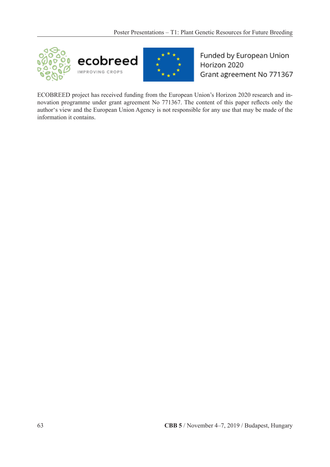



Funded by European Union Horizon 2020 Grant agreement No 771367

ECOBREED project has received funding from the European Union's Horizon 2020 research and innovation programme under grant agreement No 771367. The content of this paper reflects only the author's view and the European Union Agency is not responsible for any use that may be made of the information it contains.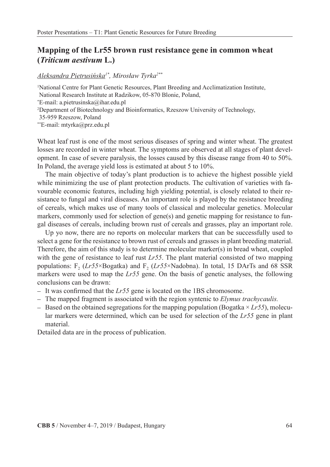## **Mapping of the Lr55 brown rust resistance gene in common wheat (***Triticum aestivum* **L.)**

### *Aleksandra Pietrusińska1\*, Mirosław Tyrka2\*\**

1 National Centre for Plant Genetic Resources, Plant Breeding and Acclimatization Institute, National Research Institute at Radzikow, 05-870 Blonie, Poland, \* E-mail: a.pietrusinska@ihar.edu.pl 2 Department of Biotechnology and Bioinformatics, Rzeszow University of Technology, 35-959 Rzeszow, Poland \*\*E-mail: mtyrka@prz.edu.pl

Wheat leaf rust is one of the most serious diseases of spring and winter wheat. The greatest losses are recorded in winter wheat. The symptoms are observed at all stages of plant development. In case of severe paralysis, the losses caused by this disease range from 40 to 50%. In Poland, the average yield loss is estimated at about 5 to 10%.

The main objective of today's plant production is to achieve the highest possible yield while minimizing the use of plant protection products. The cultivation of varieties with favourable economic features, including high yielding potential, is closely related to their resistance to fungal and viral diseases. An important role is played by the resistance breeding of cereals, which makes use of many tools of classical and molecular genetics. Molecular markers, commonly used for selection of gene(s) and genetic mapping for resistance to fungal diseases of cereals, including brown rust of cereals and grasses, play an important role.

Up yo now, there are no reports on molecular markers that can be successfully used to select a gene for the resistance to brown rust of cereals and grasses in plant breeding material. Therefore, the aim of this study is to determine molecular marker(s) in bread wheat, coupled with the gene of resistance to leaf rust *Lr55*. The plant material consisted of two mapping populations: F<sub>2</sub> (*Lr55*×Bogatka) and F<sub>2</sub> (*Lr55*×Nadobna). In total, 15 DArTs and 68 SSR markers were used to map the *Lr55* gene. On the basis of genetic analyses, the following conclusions can be drawn:

- It was confirmed that the *Lr55* gene is located on the 1BS chromosome.
- The mapped fragment is associated with the region syntenic to *Elymus trachycaulis.*
- $-$  Based on the obtained segregations for the mapping population (Bogatka  $\times Lr55$ ), molecular markers were determined, which can be used for selection of the *Lr55* gene in plant material.

Detailed data are in the process of publication.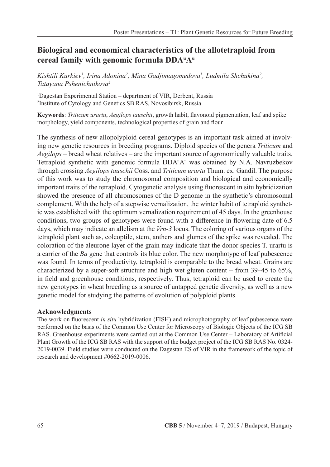## **Biological and economical characteristics of the allotetraploid from cereal family with genomic formula DDAu Au**

Kishtili Kurkiev<sup>1</sup>, Irina Adonina<sup>2</sup>, Mina Gadjimagomedova<sup>1</sup>, Ludmila Shchukina<sup>2</sup>, *Tatayana Pshenichnikova2*

1 Dagestan Experimental Station – department of VIR, Derbent, Russia 2 Institute of Cytology and Genetics SB RAS, Novosibirsk, Russia

**Keywords**: *Triticum urartu*, *Aegilops tauschii*, growth habit, flavonoid pigmentation, leaf and spike morphology, yield components, technological properties of grain and flour

The synthesis of new allopolyploid cereal genotypes is an important task aimed at involving new genetic resources in breeding programs. Diploid species of the genera *Triticum* and *Aegilops* – bread wheat relatives – are the important source of agronomically valuable traits. Tetraploid synthetic with genomic formula DDA<sup>TA</sup><sup>T</sup> was obtained by N.A. Navruzbekov through crossing *Aegilops tauschii* Coss. and *Triticum urartu* Thum. ex. Gandil. The purpose of this work was to study the chromosomal composition and biological and economically important traits of the tetraploid. Cytogenetic analysis using fluorescent in situ hybridization showed the presence of all chromosomes of the D genome in the synthetic's chromosomal complement. With the help of a stepwise vernalization, the winter habit of tetraploid synthetic was established with the optimum vernalization requirement of 45 days. In the greenhouse conditions, two groups of genotypes were found with a difference in flowering date of 6.5 days, which may indicate an allelism at the *Vrn-3* locus. The coloring of various organs of the tetraploid plant such as, coleoptile, stem, anthers and glumes of the spike was revealed. The coloration of the aleurone layer of the grain may indicate that the donor species T. urartu is a carrier of the *Ba* gene that controls its blue color. The new morphotype of leaf pubescence was found. In terms of productivity, tetraploid is comparable to the bread wheat. Grains are characterized by a super-soft structure and high wet gluten content – from 39–45 to 65%, in field and greenhouse conditions, respectively. Thus, tetraploid can be used to create the new genotypes in wheat breeding as a source of untapped genetic diversity, as well as a new genetic model for studying the patterns of evolution of polyploid plants.

### **Acknowledgments**

The work on fluorescent *in situ* hybridization (FISH) and microphotography of leaf pubescence were performed on the basis of the Common Use Center for Microscopy of Biologic Objects of the ICG SB RAS. Greenhouse experiments were carried out at the Common Use Center – Laboratory of Artificial Plant Growth of the ICG SB RAS with the support of the budget project of the ICG SB RAS No. 0324- 2019-0039. Field studies were conducted on the Dagestan ES of VIR in the framework of the topic of research and development #0662-2019-0006.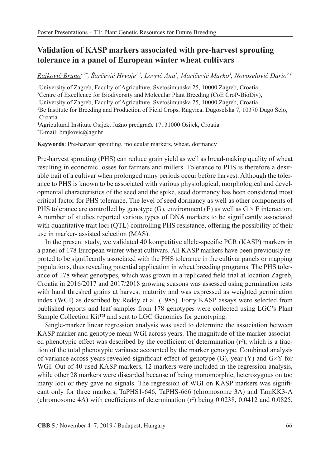## **Validation of KASP markers associated with pre-harvest sprouting tolerance in a panel of European winter wheat cultivars**

*Rajković Bruno1,2\*, Šarčević Hrvoje1,2, Lovrić Ana<sup>1</sup> , Maričević Marko<sup>3</sup> , Novoselović Dario2,4*

1 University of Zagreb, Faculty of Agriculture, Svetošimunska 25, 10000 Zagreb, Croatia 2 Centre of Excellence for Biodiversity and Molecular Plant Breeding (CoE CroP-BioDiv), University of Zagreb, Faculty of Agriculture, Svetošimunska 25, 10000 Zagreb, Croatia 3 Bc Institute for Breeding and Production of Field Crops, Rugvica, Dugoselska 7, 10370 Dugo Selo, Croatia

4 Agricultural Institute Osijek, Južno predgrađe 17, 31000 Osijek, Croatia \* E-mail: brajkovic@agr.hr

**Keywords**: Pre-harvest sprouting, molecular markers, wheat, dormancy

Pre-harvest sprouting (PHS) can reduce grain yield as well as bread-making quality of wheat resulting in economic losses for farmers and millers. Tolerance to PHS is therefore a desirable trait of a cultivar when prolonged rainy periods occur before harvest. Although the tolerance to PHS is known to be associated with various physiological, morphological and developmental characteristics of the seed and the spike, seed dormancy has been considered most critical factor for PHS tolerance. The level of seed dormancy as well as other components of PHS tolerance are controlled by genotype (G), environment (E) as well as  $G \times E$  interaction. A number of studies reported various types of DNA markers to be significantly associated with quantitative trait loci (QTL) controlling PHS resistance, offering the possibility of their use in marker- assisted selection (MAS).

In the present study, we validated 40 kompetitive allele-specific PCR (KASP) markers in a panel of 178 European winter wheat cultivars. All KASP markers have been previously reported to be significantly associated with the PHS tolerance in the cultivar panels or mapping populations, thus revealing potential application in wheat breeding programs. The PHS tolerance of 178 wheat genotypes, which was grown in a replicated field trial at location Zagreb, Croatia in 2016/2017 and 2017/2018 growing seasons was assessed using germination tests with hand threshed grains at harvest maturity and was expressed as weighted germination index (WGI) as described by Reddy et al. (1985). Forty KASP assays were selected from published reports and leaf samples from 178 genotypes were collected using LGC's Plant Sample Collection Kit™ and sent to LGC Genomics for genotyping.

Single-marker linear regression analysis was used to determine the association between KASP marker and genotype mean WGI across years. The magnitude of the marker-associated phenotypic effect was described by the coefficient of determination  $(r^2)$ , which is a fraction of the total phenotypic variance accounted by the marker genotype. Combined analysis of variance across years revealed significant effect of genotype  $(G)$ , year  $(Y)$  and  $G\times Y$  for WGI. Out of 40 used KASP markers, 12 markers were included in the regression analysis, while other 28 markers were discarded because of being monomorphic, heterozygous on too many loci or they gave no signals. The regression of WGI on KASP markers was significant only for three markers, TaPHS1-646, TaPHS-666 (chromosome 3A) and TamKK3-A (chromosome 4A) with coefficients of determination  $(r^2)$  being 0.0238, 0.0412 and 0.0825,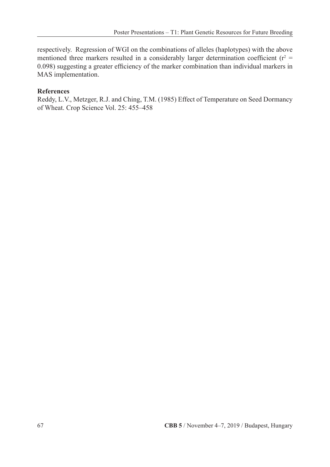respectively. Regression of WGI on the combinations of alleles (haplotypes) with the above mentioned three markers resulted in a considerably larger determination coefficient ( $r^2$  = 0.098) suggesting a greater efficiency of the marker combination than individual markers in MAS implementation.

### **References**

Reddy, L.V., Metzger, R.J. and Ching, T.M. (1985) Effect of Temperature on Seed Dormancy of Wheat. Crop Science Vol. 25: 455–458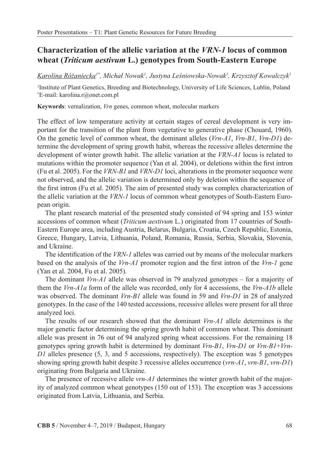## **Characterization of the allelic variation at the** *VRN-1* **locus of common wheat (***Triticum aestivum* **L.) genotypes from South-Eastern Europe**

*Karolina Różaniecka1\*, Michał Nowak<sup>1</sup> , Justyna Leśniowska-Nowak<sup>1</sup> , Krzysztof Kowalczyk1*

1 Institute of Plant Genetics, Breeding and Biotechnology, University of Life Sciences, Lublin, Poland \* E-mail: karolina.r@onet.com.pl

**Keywords**: vernalization, *Vrn* genes, common wheat, molecular markers

The effect of low temperature activity at certain stages of cereal development is very important for the transition of the plant from vegetative to generative phase (Chouard, 1960). On the genetic level of common wheat, the dominant alleles (*Vrn-A1*, *Vrn-B1*, *Vrn-D1*) determine the development of spring growth habit, whereas the recessive alleles determine the development of winter growth habit. The allelic variation at the *VRN-A1* locus is related to mutations within the promoter sequence (Yan et al. 2004), or deletions within the first intron (Fu et al. 2005). For the *VRN-B1* and *VRN-D1* loci, alterations in the promoter sequence were not observed, and the allelic variation is determined only by deletion within the sequence of the first intron (Fu et al. 2005). The aim of presented study was complex characterization of the allelic variation at the *VRN-1* locus of common wheat genotypes of South-Eastern European origin.

The plant research material of the presented study consisted of 94 spring and 153 winter accessions of common wheat (*Triticum aestivum* L.) originated from 17 countries of South-Eastern Europe area, including Austria, Belarus, Bulgaria, Croatia, Czech Republic, Estonia, Greece, Hungary, Latvia, Lithuania, Poland, Romania, Russia, Serbia, Slovakia, Slovenia, and Ukraine.

The identification of the *VRN-1* alleles was carried out by means of the molecular markers based on the analysis of the *Vrn-A1* promoter region and the first intron of the *Vrn-1* gene (Yan et al. 2004, Fu et al. 2005).

The dominant *Vrn-A1* allele was observed in 79 analyzed genotypes – for a majority of them the *Vrn-A1a* form of the allele was recorded, only for 4 accessions, the *Vrn-A1b* allele was observed. The dominant *Vrn-B1* allele was found in 59 and *Vrn-D1* in 28 of analyzed genotypes. In the case of the 140 tested accessions, recessive alleles were present for all three analyzed loci.

The results of our research showed that the dominant *Vrn-A1* allele determines is the major genetic factor determining the spring growth habit of common wheat. This dominant allele was present in 76 out of 94 analyzed spring wheat accessions. For the remaining 18 genotypes spring growth habit is determined by dominant *Vrn-B1*, *Vrn-D1* or *Vrn-B1*+*Vrn-D1* alleles presence (5, 3, and 5 accessions, respectively). The exception was 5 genotypes showing spring growth habit despite 3 recessive alleles occurrence (*vrn-A1*, *vrn-B1*, *vrn-D1*) originating from Bulgaria and Ukraine.

The presence of recessive allele *vrn-A1* determines the winter growth habit of the majority of analyzed common wheat genotypes (150 out of 153). The exception was 3 accessions originated from Latvia, Lithuania, and Serbia.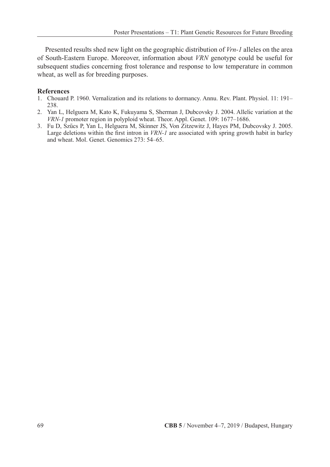Presented results shed new light on the geographic distribution of *Vrn-1* alleles on the area of South-Eastern Europe. Moreover, information about *VRN* genotype could be useful for subsequent studies concerning frost tolerance and response to low temperature in common wheat, as well as for breeding purposes.

#### **References**

- 1. Chouard P. 1960. Vernalization and its relations to dormancy. Annu. Rev. Plant. Physiol. 11: 191– 238.
- 2. Yan L, Helguera M, Kato K, Fukuyama S, Sherman J, Dubcovsky J. 2004. Allelic variation at the *VRN-1* promoter region in polyploid wheat. Theor. Appl. Genet. 109: 1677–1686.
- 3. Fu D, Szűcs P, Yan L, Helguera M, Skinner JS, Von Zitzewitz J, Hayes PM, Dubcovsky J. 2005. Large deletions within the first intron in *VRN-1* are associated with spring growth habit in barley and wheat. Mol. Genet. Genomics 273: 54–65.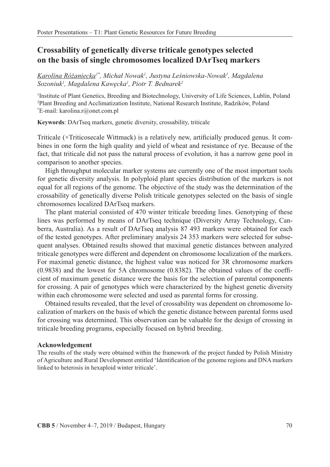### **Crossability of genetically diverse triticale genotypes selected on the basis of single chromosomes localized DArTseq markers**

*Karolina Różaniecka1\* , Michał Nowak<sup>1</sup> , Justyna Leśniowska-Nowak<sup>1</sup> , Magdalena Sozoniuk1 , Magdalena Kawęcka<sup>1</sup> , Piotr T. Bednarek2*

1 Institute of Plant Genetics, Breeding and Biotechnology, University of Life Sciences, Lublin, Poland 2 Plant Breeding and Acclimatization Institute, National Research Institute, Radzików, Poland \* E-mail: karolina.r@onet.com.pl

**Keywords**: DArTseq markers, genetic diversity, crossability, triticale

Triticale (×Triticosecale Wittmack) is a relatively new, artificially produced genus. It combines in one form the high quality and yield of wheat and resistance of rye. Because of the fact, that triticale did not pass the natural process of evolution, it has a narrow gene pool in comparison to another species.

High throughput molecular marker systems are currently one of the most important tools for genetic diversity analysis. In polyploid plant species distribution of the markers is not equal for all regions of the genome. The objective of the study was the determination of the crossability of genetically diverse Polish triticale genotypes selected on the basis of single chromosomes localized DArTseq markers.

The plant material consisted of 470 winter triticale breeding lines. Genotyping of these lines was performed by means of DArTseq technique (Diversity Array Technology, Canberra, Australia). As a result of DArTseq analysis 87 493 markers were obtained for each of the tested genotypes. After preliminary analysis 24 353 markers were selected for subsequent analyses. Obtained results showed that maximal genetic distances between analyzed triticale genotypes were different and dependent on chromosome localization of the markers. For maximal genetic distance, the highest value was noticed for 3R chromosome markers (0.9838) and the lowest for 5A chromosome (0.8382). The obtained values of the coefficient of maximum genetic distance were the basis for the selection of parental components for crossing. A pair of genotypes which were characterized by the highest genetic diversity within each chromosome were selected and used as parental forms for crossing.

Obtained results revealed, that the level of crossability was dependent on chromosome localization of markers on the basis of which the genetic distance between parental forms used for crossing was determined. This observation can be valuable for the design of crossing in triticale breeding programs, especially focused on hybrid breeding.

#### **Acknowledgement**

The results of the study were obtained within the framework of the project funded by Polish Ministry of Agriculture and Rural Development entitled 'Identification of the genome regions and DNA markers linked to heterosis in hexaploid winter triticale'.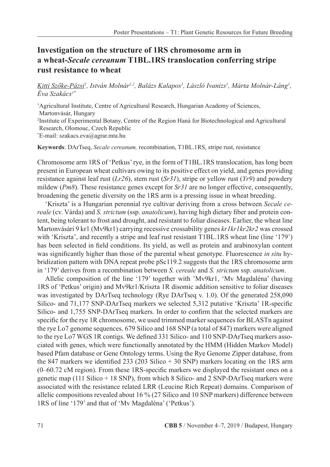### **Investigation on the structure of 1RS chromosome arm in a wheat-***Secale cereanum* **T1BL.1RS translocation conferring stripe rust resistance to wheat**

#### *Kitti Szőke-Pázsi<sup>1</sup> , István Molnár1,2, Balázs Kalapos1 , László Ivanizs1 , Márta Molnár-Láng1 , Éva Szakács1\**

<sup>1</sup>Agricultural Institute, Centre of Agricultural Research, Hungarian Academy of Sciences, Martonvásár, Hungary 2 Institute of Experimental Botany, Centre of the Region Haná for Biotechnological and Agricultural Research, Olomouc, Czech Republic \* E-mail: szakacs.eva@agrar.mta.hu

**Keywords**: DArTseq, *Secale cereanum,* recombination, T1BL.1RS, stripe rust, resistance

Chromosome arm 1RS of 'Petkus' rye, in the form of T1BL.1RS translocation, has long been present in European wheat cultivars owing to its positive effect on yield, and genes providing resistance against leaf rust (*Lr26*), stem rust (*Sr31*), stripe or yellow rust (*Yr9*) and powdery mildew (*Pm8*). These resistance genes except for *Sr31* are no longer effective, consequently, broadening the genetic diversity on the 1RS arm is a pressing issue in wheat breeding.

'Kriszta' is a Hungarian perennial rye cultivar deriving from a cross between *Secale cereale* (cv. Várda) and *S. strictum* (ssp.*anatolicum*), having high dietary fiber and protein content, being tolerant to frost and drought, and resistant to foliar diseases. Earlier, the wheat line Martonvásári 9 kr1 (Mv9kr1) carrying recessive crossability genes *kr1kr1kr2kr2* was crossed with 'Kriszta', and recently a stripe and leaf rust resistant T1BL.1RS wheat line (line '179') has been selected in field conditions. Its yield, as well as protein and arabinoxylan content was significantly higher than those of the parental wheat genotype. Fluorescence *in situ* hybridization pattern with DNA repeat probe pSc119.2 suggests that the 1RS chromosome arm in '179' derives from a recombination between *S. cereale* and *S. strictum* ssp.*anatolicum*.

Allelic composition of the line '179' together with 'Mv9kr1, 'Mv Magdaléna' (having 1RS of 'Petkus' origin) and Mv9kr1/Kriszta 1R disomic addition sensitive to foliar diseases was investigated by DArTseq technology (Rye DArTseq v. 1.0). Of the generated 258,090 Silico- and 71,177 SNP-DArTseq markers we selected 5,312 putative 'Kriszta' 1R-specific Silico- and 1,755 SNP-DArTseq markers. In order to confirm that the selected markers are specific for the rye 1R chromosome, we used trimmed marker sequences for BLASTn against the rye Lo7 genome sequences. 679 Silico and 168 SNP (a total of 847) markers were aligned to the rye Lo7 WGS 1R contigs. We defined 331 Silico- and 110 SNP-DArTseq markers associated with genes, which were functionally annotated by the HMM (Hidden Markov Model) based Pfam database or Gene Ontology terms. Using the Rye Genome Zipper database, from the 847 markers we identified 233 (203 Silico + 30 SNP) markers locating on the 1RS arm (0–60.72 cM region). From these 1RS-specific markers we displayed the resistant ones on a genetic map (111 Silico + 18 SNP), from which 8 Silico- and 2 SNP-DArTseq markers were associated with the resistance related LRR (Leucine Rich Repeat) domains. Comparison of allelic compositions revealed about 16 % (27 Silico and 10 SNP markers) difference between 1RS of line '179' and that of 'Mv Magdaléna' ('Petkus').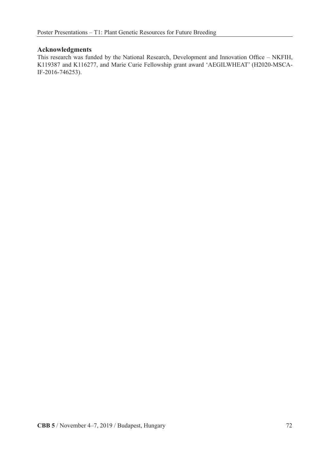#### **Acknowledgments**

This research was funded by the National Research, Development and Innovation Office – NKFIH, K119387 and K116277, and Marie Curie Fellowship grant award 'AEGILWHEAT' (H2020-MSCA-IF-2016-746253).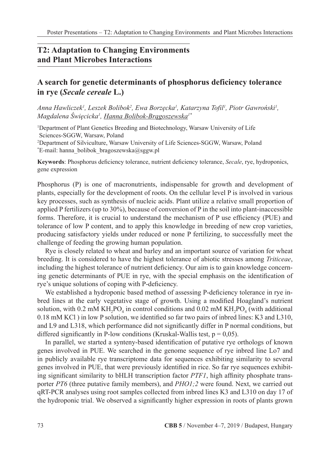### **T2: Adaptation to Changing Environments and Plant Microbes Interactions**

# **A search for genetic determinants of phosphorus deficiency tolerance in rye (***Secale cereale* **L.)**

*Anna Hawliczek1 , Leszek Bolibok2 , Ewa Borzęcka<sup>1</sup> , Katarzyna Tofil1 , Piotr Gawroński<sup>1</sup> , Magdalena Święcicka<sup>1</sup> , Hanna Bolibok-Brągoszewska1\**

1 Department of Plant Genetics Breeding and Biotechnology, Warsaw University of Life Sciences-SGGW, Warsaw, Poland 2 Department of Silviculture, Warsaw University of Life Sciences-SGGW, Warsaw, Poland \* E-mail: hanna\_bolibok\_bragoszewska@sggw.pl

**Keywords**: Phosphorus deficiency tolerance, nutrient deficiency tolerance, *Secale*, rye, hydroponics, gene expression

Phosphorus (P) is one of macronutrients, indispensable for growth and development of plants, especially for the development of roots. On the cellular level P is involved in various key processes, such as synthesis of nucleic acids. Plant utilize a relative small proportion of applied P fertilizers (up to 30%), because of conversion of P in the soil into plant-inaccessible forms. Therefore, it is crucial to understand the mechanism of P use efficiency (PUE) and tolerance of low P content, and to apply this knowledge in breeding of new crop varieties, producing satisfactory yields under reduced or none P fertilizing, to successfully meet the challenge of feeding the growing human population.

Rye is closely related to wheat and barley and an important source of variation for wheat breeding. It is considered to have the highest tolerance of abiotic stresses among *Triticeae*, including the highest tolerance of nutrient deficiency. Our aim is to gain knowledge concerning genetic determinants of PUE in rye, with the special emphasis on the identification of rye's unique solutions of coping with P-deficiency.

We established a hydroponic based method of assessing P-deficiency tolerance in rye inbred lines at the early vegetative stage of growth. Using a modified Hoagland's nutrient solution, with 0.2 mM KH<sub>2</sub>PO<sub>4</sub> in control conditions and 0.02 mM KH<sub>2</sub>PO<sub>4</sub> (with additional 0.18 mM KCl ) in low P solution, we identified so far two pairs of inbred lines: K3 and L310, and L9 and L318, which performance did not significantly differ in P normal conditions, but differed significantly in P-low conditions (Kruskal-Wallis test,  $p = 0.05$ ).

In parallel, we started a synteny-based identification of putative rye orthologs of known genes involved in PUE. We searched in the genome sequence of rye inbred line Lo7 and in publicly available rye transcriptome data for sequences exhibiting similarity to several genes involved in PUE, that were previously identified in rice. So far rye sequences exhibiting significant similarity to bHLH transcription factor *PTF1*, high affinity phosphate transporter *PT6* (three putative family members), and *PHO1;2* were found. Next, we carried out qRT-PCR analyses using root samples collected from inbred lines K3 and L310 on day 17 of the hydroponic trial. We observed a significantly higher expression in roots of plants grown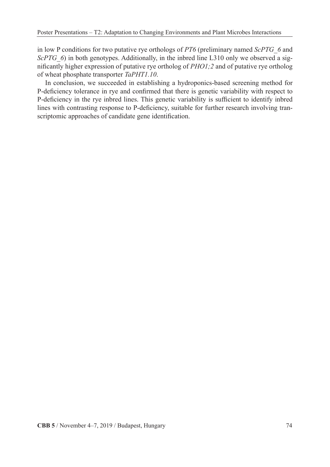in low P conditions for two putative rye orthologs of *PT6* (preliminary named *ScPTG\_6* and *ScPTG\_6*) in both genotypes. Additionally, in the inbred line L310 only we observed a significantly higher expression of putative rye ortholog of *PHO1;2* and of putative rye ortholog of wheat phosphate transporter *TaPHT1.10*.

In conclusion, we succeeded in establishing a hydroponics-based screening method for P-deficiency tolerance in rye and confirmed that there is genetic variability with respect to P-deficiency in the rye inbred lines. This genetic variability is sufficient to identify inbred lines with contrasting response to P-deficiency, suitable for further research involving transcriptomic approaches of candidate gene identification.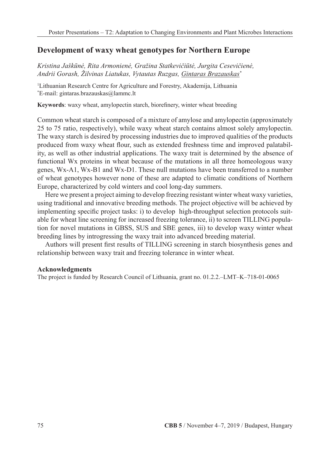### **Development of waxy wheat genotypes for Northern Europe**

*Kristina Jaškūnė, Rita Armonienė, Gražina Statkevičiūtė, Jurgita Cesevičienė, Andrii Gorash, Žilvinas Liatukas, Vytautas Ruzgas, Gintaras Brazauskas\**

1 Lithuanian Research Centre for Agriculture and Forestry, Akademija, Lithuania \* E-mail: gintaras.brazauskas@lammc.lt

**Keywords**: waxy wheat, amylopectin starch, biorefinery, winter wheat breeding

Common wheat starch is composed of a mixture of amylose and amylopectin (approximately 25 to 75 ratio, respectively), while waxy wheat starch contains almost solely amylopectin. The waxy starch is desired by processing industries due to improved qualities of the products produced from waxy wheat flour, such as extended freshness time and improved palatability, as well as other industrial applications. The waxy trait is determined by the absence of functional Wx proteins in wheat because of the mutations in all three homeologous waxy genes, Wx-A1, Wx-B1 and Wx-D1. These null mutations have been transferred to a number of wheat genotypes however none of these are adapted to climatic conditions of Northern Europe, characterized by cold winters and cool long-day summers.

Here we present a project aiming to develop freezing resistant winter wheat waxy varieties, using traditional and innovative breeding methods. The project objective will be achieved by implementing specific project tasks: i) to develop high-throughput selection protocols suitable for wheat line screening for increased freezing tolerance, ii) to screen TILLING population for novel mutations in GBSS, SUS and SBE genes, iii) to develop waxy winter wheat breeding lines by introgressing the waxy trait into advanced breeding material.

Authors will present first results of TILLING screening in starch biosynthesis genes and relationship between waxy trait and freezing tolerance in winter wheat.

#### **Acknowledgments**

The project is funded by Research Council of Lithuania, grant no. 01.2.2.–LMT–K–718-01-0065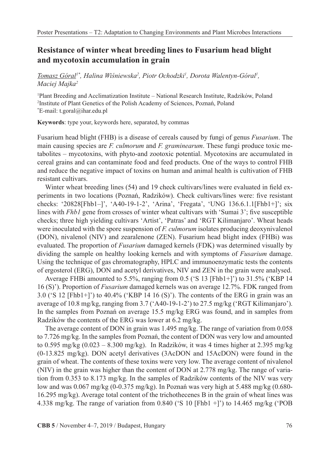# **Resistance of winter wheat breeding lines to Fusarium head blight and mycotoxin accumulation in grain**

*Tomasz Góral1\*, Halina Wiśniewska<sup>2</sup> , Piotr Ochodzki1 , Dorota Walentyn-Góral1 , Maciej Majka2*

1 Plant Breeding and Acclimatization Institute – National Research Institute, Radzików, Poland 2 Institute of Plant Genetics of the Polish Academy of Sciences, Poznań, Poland \* E-mail: t.goral@ihar.edu.pl

**Keywords**: type your, keywords here, separated, by commas

Fusarium head blight (FHB) is a disease of cereals caused by fungi of genus *Fusarium*. The main causing species are *F. culmorum* and *F. graminearum*. These fungi produce toxic metabolites – mycotoxins, with phyto-and zootoxic potential. Mycotoxins are accumulated in cereal grains and can contaminate food and feed products. One of the ways to control FHB and reduce the negative impact of toxins on human and animal health is cultivation of FHB resistant cultivars.

Winter wheat breeding lines (54) and 19 check cultivars/lines were evaluated in field experiments in two locations (Poznań, Radzików). Check cultivars/lines were: five resistant checks: '20828[Fhb1–]', 'A40-19-1-2', 'Arina', 'Fregata', 'UNG 136.6.1.1[Fhb1+]'; six lines with *Fhb1* gene from crosses of winter wheat cultivars with 'Sumai 3'; five susceptible checks; three high yielding cultivars 'Artist', 'Patras' and 'RGT Kilimanjaro'. Wheat heads were inoculated with the spore suspension of *F. culmorum* isolates producing deoxynivalenol (DON), nivalenol (NIV) and zearalenone (ZEN). Fusarium head blight index (FHBi) was evaluated. The proportion of *Fusarium* damaged kernels (FDK) was determined visually by dividing the sample on healthy looking kernels and with symptoms of *Fusarium* damage. Using the technique of gas chromatography, HPLC and immunoenzymatic tests the contents of ergosterol (ERG), DON and acetyl derivatives, NIV and ZEN in the grain were analysed.

Average FHBi amounted to 5.5%, ranging from 0.5 ('S 13 [Fhb1+]') to 31.5% ('KBP 14 16 (S)'). Proportion of *Fusarium* damaged kernels was on average 12.7%. FDK ranged from 3.0 ('S 12 [Fhb1+]') to 40.4% ('KBP 14 16 (S)'). The contents of the ERG in grain was an average of 10.8 mg/kg, ranging from 3.7 ('A40-19-1-2') to 27.5 mg/kg ('RGT Kilimanjaro'). In the samples from Poznań on average 15.5 mg/kg ERG was found, and in samples from Radzików the contents of the ERG was lower at 6.2 mg/kg.

The average content of DON in grain was 1.495 mg/kg. The range of variation from 0.058 to 7.726 mg/kg. In the samples from Poznań, the content of DON was very low and amounted to 0.595 mg/kg  $(0.023 - 8.300 \text{ mg/kg})$ . In Radzików, it was 4 times higher at 2.395 mg/kg (0-13.825 mg/kg). DON acetyl derivatives (3AcDON and 15AcDON) were found in the grain of wheat. The contents of these toxins were very low. The average content of nivalenol (NIV) in the grain was higher than the content of DON at 2.778 mg/kg. The range of variation from 0.353 to 8.173 mg/kg. In the samples of Radzików contents of the NIV was very low and was  $0.067$  mg/kg  $(0-0.375$  mg/kg). In Poznań was very high at  $5.488$  mg/kg  $(0.680-$ 16.295 mg/kg). Average total content of the trichothecenes B in the grain of wheat lines was 4.338 mg/kg. The range of variation from 0.840 ('S 10 [Fhb1 +]') to 14.465 mg/kg ('POB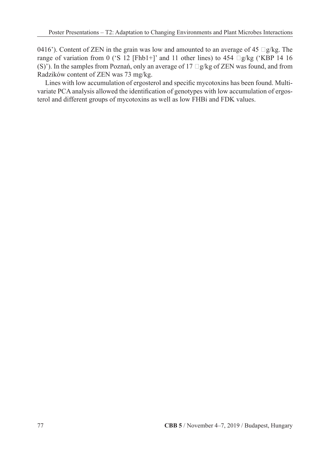0416'). Content of ZEN in the grain was low and amounted to an average of 45  $\Box g/kg$ . The range of variation from 0 ('S 12 [Fhb1+]' and 11 other lines) to 454  $\Box$ g/kg ('KBP 14 16 (S)'). In the samples from Poznań, only an average of  $17 \square g/kg$  of ZEN was found, and from Radzików content of ZEN was 73 mg/kg.

Lines with low accumulation of ergosterol and specific mycotoxins has been found. Multivariate PCA analysis allowed the identification of genotypes with low accumulation of ergosterol and different groups of mycotoxins as well as low FHBi and FDK values.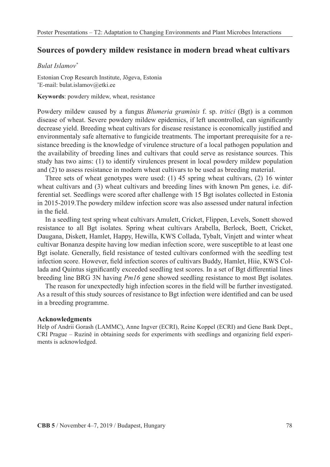### **Sources of powdery mildew resistance in modern bread wheat cultivars**

#### *Bulat Islamov\**

Estonian Crop Research Institute, Jõgeva, Estonia \* E-mail: bulat.islamov@etki.ee

**Keywords**: powdery mildew, wheat, resistance

Powdery mildew caused by a fungus *Blumeria graminis* f. sp.*tritici* (Bgt) is a common disease of wheat. Severe powdery mildew epidemics, if left uncontrolled, can significantly decrease yield. Breeding wheat cultivars for disease resistance is economically justified and environmentaly safe alternative to fungicide treatments. The important prerequisite for a resistance breeding is the knowledge of virulence structure of a local pathogen population and the availability of breeding lines and cultivars that could serve as resistance sources. This study has two aims: (1) to identify virulences present in local powdery mildew population and (2) to assess resistance in modern wheat cultivars to be used as breeding material.

Three sets of wheat genotypes were used: (1) 45 spring wheat cultivars, (2) 16 winter wheat cultivars and (3) wheat cultivars and breeding lines with known Pm genes, i.e. differential set. Seedlings were scored after challenge with 15 Bgt isolates collected in Estonia in 2015-2019.The powdery mildew infection score was also assessed under natural infection in the field.

In a seedling test spring wheat cultivars Amulett, Cricket, Flippen, Levels, Sonett showed resistance to all Bgt isolates. Spring wheat cultivars Arabella, Berlock, Boett, Cricket, Daugana, Diskett, Hamlet, Happy, Hewilla, KWS Collada, Tybalt, Vinjett and winter wheat cultivar Bonanza despite having low median infection score, were susceptible to at least one Bgt isolate. Generally, field resistance of tested cultivars conformed with the seedling test infection score. However, field infection scores of cultivars Buddy, Hamlet, Hiie, KWS Collada and Quintus significantly exceeded seedling test scores. In a set of Bgt differential lines breeding line BRG 3N having *Pm16* gene showed seedling resistance to most Bgt isolates.

The reason for unexpectedly high infection scores in the field will be further investigated. As a result of this study sources of resistance to Bgt infection were identified and can be used in a breeding programme.

#### **Acknowledgments**

Help of Andrii Gorash (LAMMC), Anne Ingver (ECRI), Reine Koppel (ECRI) and Gene Bank Dept., CRI Prague – Ruzině in obtaining seeds for experiments with seedlings and organizing field experiments is acknowledged.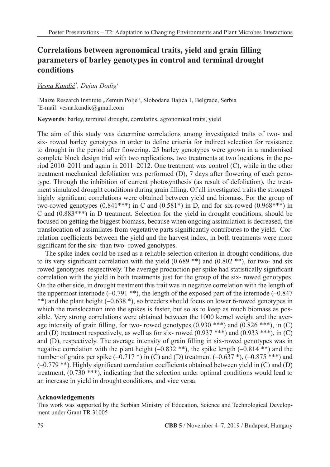# **Correlations between agronomical traits, yield and grain filling parameters of barley genotypes in control and terminal drought conditions**

### *Vesna Kandić<sup>1</sup> , Dejan Dodig1*

<sup>1</sup>Maize Research Institute "Zemun Polje", Slobodana Bajića 1, Belgrade, Serbia \* E-mail: vesna.kandic@gmail.com

**Keywords**: barley, terminal drought, correlatins, agronomical traits, yield

The aim of this study was determine correlations among investigated traits of two- and six- rowed barley genotypes in order to define criteria for indirect selection for resistance to drought in the period after flowering. 25 barley genotypes were grown in a randomised complete block design trial with two replications, two treatments at two locations, in the period 2010–2011 and again in 2011–2012. One treatment was control (C), while in the other treatment mechanical defoliation was performed (D), 7 days after flowering of each genotype. Through the inhibition of current photosynthesis (as result of defoliation), the treatment simulated drought conditions during grain filling. Of all investigated traits the strongest highly significant correlations were obtained between yield and biomass. For the group of two-rowed genotypes  $(0.841***)$  in C and  $(0.581*)$  in D, and for six-rowed  $(0.968***)$  in C and (0.883\*\*\*) in D treatment. Selection for the yield in drought conditions, should be focused on getting the biggest biomass, because when ongoing assimilation is decreased, the translocation of assimilates from vegetative parts significantly contributes to the yield. Correlation coefficients between the yield and the harvest index, in both treatments were more significant for the six- than two- rowed genotypes.

The spike index could be used as a reliable selection criterion in drought conditions, due to its very significant correlation with the yield  $(0.689 **)$  and  $(0.802 **)$ , for two- and six rowed genotypes respectively. The average production per spike had statistically significant correlation with the yield in both treatments just for the group of the six- rowed genotypes. On the other side, in drought treatment this trait was in negative correlation with the length of the uppermost internode  $(-0.791$  \*\*), the length of the exposed part of the internode  $(-0.847)$ \*\*) and the plant height (–0.638 \*), so breeders should focus on lower 6-rowed genotypes in which the translocation into the spikes is faster, but so as to keep as much biomass as possible. Very strong correlations were obtained between the 1000 kernel weight and the average intensity of grain filling, for two- rowed genotypes  $(0.930$ \*\*\*) and  $(0.826$ \*\*\*), in  $(C)$ and (D) treatment respectively, as well as for six-rowed  $(0.937$  \*\*\*) and  $(0.933$  \*\*\*), in (C) and (D), respectively. The average intensity of grain filling in six-rowed genotypes was in negative correlation with the plant height  $(-0.832$  \*\*), the spike length  $(-0.814$  \*\*) and the number of grains per spike  $(-0.717 \cdot \text{*})$  in (C) and (D) treatment  $(-0.637 \cdot \text{*})$ ,  $(-0.875 \cdot \text{*}*)$  and (–0.779 \*\*). Highly significant correlation coefficients obtained between yield in (C) and (D) treatment, (0.730 \*\*\*), indicating that the selection under optimal conditions would lead to an increase in yield in drought conditions, and vice versa.

#### **Acknowledgements**

This work was supported by the Serbian Ministry of Education, Science and Technological Development under Grant TR 31005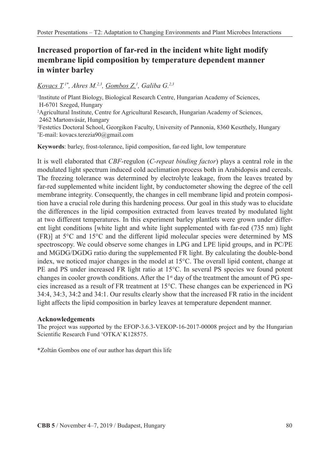# **Increased proportion of far-red in the incident white light modify membrane lipid composition by temperature dependent manner in winter barley**

### *Kovacs T. 1\*, Ahres M.2,3, Gombos Z.1 , Galiba G.2,3*

<sup>1</sup>Institute of Plant Biology, Biological Research Centre, Hungarian Academy of Sciences, H-6701 Szeged, Hungary

2 Agricultural Institute, Centre for Agricultural Research, Hungarian Academy of Sciences, 2462 Martonvásár, Hungary

3 Festetics Doctoral School, Georgikon Faculty, University of Pannonia, 8360 Keszthely, Hungary \* E-mail: kovacs.terezia90@gmail.com

**Keywords**: barley, frost-tolerance, lipid composition, far-red light, low temperature

It is well elaborated that *CBF*-regulon (*C-repeat binding factor*) plays a central role in the modulated light spectrum induced cold acclimation process both in Arabidopsis and cereals. The freezing tolerance was determined by electrolyte leakage, from the leaves treated by far-red supplemented white incident light, by conductometer showing the degree of the cell membrane integrity. Consequently, the changes in cell membrane lipid and protein composition have a crucial role during this hardening process. Our goal in this study was to elucidate the differences in the lipid composition extracted from leaves treated by modulated light at two different temperatures. In this experiment barley plantlets were grown under different light conditions [white light and white light supplemented with far-red (735 nm) light (FR)] at 5°C and 15°C and the different lipid molecular species were determined by MS spectroscopy. We could observe some changes in LPG and LPE lipid groups, and in PC/PE and MGDG/DGDG ratio during the supplemented FR light. By calculating the double-bond index, we noticed major changes in the model at 15°C. The overall lipid content, change at PE and PS under increased FR light ratio at 15°C. In several PS species we found potent changes in cooler growth conditions. After the  $1<sup>st</sup>$  day of the treatment the amount of PG species increased as a result of FR treatment at 15°C. These changes can be experienced in PG 34:4, 34:3, 34:2 and 34:1. Our results clearly show that the increased FR ratio in the incident light affects the lipid composition in barley leaves at temperature dependent manner.

#### **Acknowledgements**

The project was supported by the EFOP-3.6.3-VEKOP-16-2017-00008 project and by the Hungarian Scientific Research Fund 'OTKA' K128575.

\*Zoltán Gombos one of our author has depart this life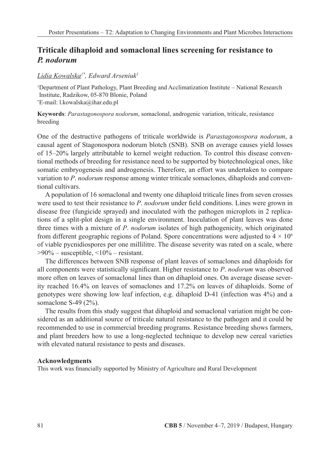# **Triticale dihaploid and somaclonal lines screening for resistance to**  *P. nodorum*

#### *Lidia Kowalska1\*, Edward Arseniuk1*

1 Department of Plant Pathology, Plant Breeding and Acclimatization Institute – National Research Institute, Radzikow, 05-870 Blonie, Poland \* E-mail: l.kowalska@ihar.edu.pl

**Keywords**: *Parastagonospora nodorum*, somaclonal, androgenic variation, triticale, resistance breeding

One of the destructive pathogens of triticale worldwide is *Parastagonospora nodorum*, a causal agent of Stagonospora nodorum blotch (SNB). SNB on average causes yield losses of 15–20% largely attributable to kernel weight reduction. To control this disease conventional methods of breeding for resistance need to be supported by biotechnological ones, like somatic embryogenesis and androgenesis. Therefore, an effort was undertaken to compare variation to *P*.*nodorum* response among winter triticale somaclones, dihaploids and conventional cultivars.

A population of 16 somaclonal and twenty one dihaploid triticale lines from seven crosses were used to test their resistance to *P*.*nodorum* under field conditions. Lines were grown in disease free (fungicide sprayed) and inoculated with the pathogen microplots in 2 replications of a split-plot design in a single environment. Inoculation of plant leaves was done three times with a mixture of *P*.*nodorum* isolates of high pathogenicity, which originated from different geographic regions of Poland. Spore concentrations were adjusted to  $4 \times 10^6$ of viable pycnidiospores per one millilitre. The disease severity was rated on a scale, where  $>90\%$  – susceptible,  $<10\%$  – resistant.

The differences between SNB response of plant leaves of somaclones and dihaploids for all components were statistically significant. Higher resistance to *P*.*nodorum* was observed more often on leaves of somaclonal lines than on dihaploid ones. On average disease severity reached 16.4% on leaves of somaclones and 17.2% on leaves of dihaploids. Some of genotypes were showing low leaf infection, e.g. dihaploid D-41 (infection was 4%) and a somaclone S-49 (2%).

The results from this study suggest that dihaploid and somaclonal variation might be considered as an additional source of triticale natural resistance to the pathogen and it could be recommended to use in commercial breeding programs. Resistance breeding shows farmers, and plant breeders how to use a long-neglected technique to develop new cereal varieties with elevated natural resistance to pests and diseases.

#### **Acknowledgments**

This work was financially supported by Ministry of Agriculture and Rural Development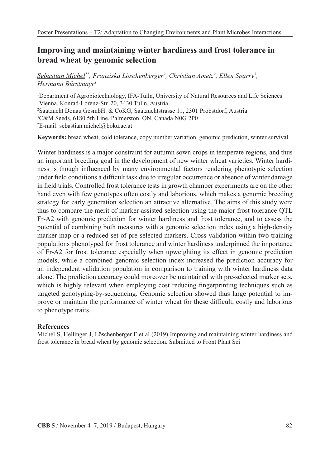# **Improving and maintaining winter hardiness and frost tolerance in bread wheat by genomic selection**

*Sebastian Michel1\*, Franziska Löschenberger2 , Christian Ametz2 , Ellen Sparry3 , Hermann Bürstmayr1*

1 Department of Agrobiotechnology, IFA-Tulln, University of Natural Resources and Life Sciences Vienna, Konrad-Lorenz-Str. 20, 3430 Tulln, Austria 2 Saatzucht Donau GesmbH. & CoKG, Saatzuchtstrasse 11, 2301 Probstdorf, Austria 3 C&M Seeds, 6180 5th Line, Palmerston, ON, Canada N0G 2P0 \* E-mail: sebastian.michel@boku.ac.at

**Keywords:** bread wheat, cold tolerance, copy number variation, genomic prediction, winter survival

Winter hardiness is a major constraint for autumn sown crops in temperate regions, and thus an important breeding goal in the development of new winter wheat varieties. Winter hardiness is though influenced by many environmental factors rendering phenotypic selection under field conditions a difficult task due to irregular occurrence or absence of winter damage in field trials. Controlled frost tolerance tests in growth chamber experiments are on the other hand even with few genotypes often costly and laborious, which makes a genomic breeding strategy for early generation selection an attractive alternative. The aims of this study were thus to compare the merit of marker-assisted selection using the major frost tolerance QTL Fr-A2 with genomic prediction for winter hardiness and frost tolerance, and to assess the potential of combining both measures with a genomic selection index using a high-density marker map or a reduced set of pre-selected markers. Cross-validation within two training populations phenotyped for frost tolerance and winter hardiness underpinned the importance of Fr-A2 for frost tolerance especially when upweighting its effect in genomic prediction models, while a combined genomic selection index increased the prediction accuracy for an independent validation population in comparison to training with winter hardiness data alone. The prediction accuracy could moreover be maintained with pre-selected marker sets, which is highly relevant when employing cost reducing fingerprinting techniques such as targeted genotyping-by-sequencing. Genomic selection showed thus large potential to improve or maintain the performance of winter wheat for these difficult, costly and laborious to phenotype traits.

#### **References**

Michel S, Hellinger J, Löschenberger F et al (2019) Improving and maintaining winter hardiness and frost tolerance in bread wheat by genomic selection. Submitted to Front Plant Sci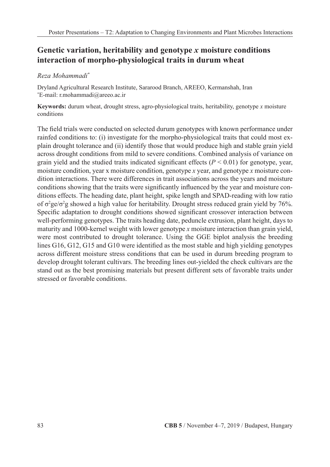# **Genetic variation, heritability and genotype** *x* **moisture conditions interaction of morpho-physiological traits in durum wheat**

### *Reza Mohammadi\**

Dryland Agricultural Research Institute, Sararood Branch, AREEO, Kermanshah, Iran \* E-mail: r.mohammadi@areeo.ac.ir

**Keywords:** durum wheat, drought stress, agro-physiological traits, heritability, genotype *x* moisture conditions

The field trials were conducted on selected durum genotypes with known performance under rainfed conditions to: (i) investigate for the morpho-physiological traits that could most explain drought tolerance and (ii) identify those that would produce high and stable grain yield across drought conditions from mild to severe conditions. Combined analysis of variance on grain yield and the studied traits indicated significant effects  $(P < 0.01)$  for genotype, year, moisture condition, year x moisture condition, genotype *x* year, and genotype *x* moisture condition interactions. There were differences in trait associations across the years and moisture conditions showing that the traits were significantly influenced by the year and moisture conditions effects. The heading date, plant height, spike length and SPAD-reading with low ratio of  $\sigma^2$ ge/ $\sigma^2$ g showed a high value for heritability. Drought stress reduced grain yield by 76%. Specific adaptation to drought conditions showed significant crossover interaction between well-performing genotypes. The traits heading date, peduncle extrusion, plant height, days to maturity and 1000-kernel weight with lower genotype *x* moisture interaction than grain yield, were most contributed to drought tolerance. Using the GGE biplot analysis the breeding lines G16, G12, G15 and G10 were identified as the most stable and high yielding genotypes across different moisture stress conditions that can be used in durum breeding program to develop drought tolerant cultivars. The breeding lines out-yielded the check cultivars are the stand out as the best promising materials but present different sets of favorable traits under stressed or favorable conditions.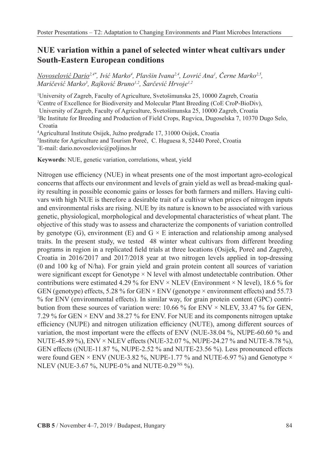# **NUE variation within a panel of selected winter wheat cultivars under South-Eastern European conditions**

*Novoselović Dario2,4\*, Ivić Marko<sup>4</sup> , Plavšin Ivana2,4, Lovrić Ana<sup>1</sup> , Černe Marko2,5, Maričević Marko<sup>3</sup> , Rajković Bruno1,2, Šarčević Hrvoje1,2*

 University of Zagreb, Faculty of Agriculture, Svetošimunska 25, 10000 Zagreb, Croatia Centre of Excellence for Biodiversity and Molecular Plant Breeding (CoE CroP-BioDiv), University of Zagreb, Faculty of Agriculture, Svetošimunska 25, 10000 Zagreb, Croatia Bc Institute for Breeding and Production of Field Crops, Rugvica, Dugoselska 7, 10370 Dugo Selo, Croatia Agricultural Institute Osijek, Južno predgrađe 17, 31000 Osijek, Croatia

5 Institute for Agriculture and Tourism Poreč, C. Huguesa 8, 52440 Poreč, Croatia \* E-mail: dario.novoselovic@poljinos.hr

**Keywords**: NUE, genetic variation, correlations, wheat, yield

Nitrogen use efficiency (NUE) in wheat presents one of the most important agro-ecological concerns that affects our environment and levels of grain yield as well as bread-making quality resulting in possible economic gains or losses for both farmers and millers. Having cultivars with high NUE is therefore a desirable trait of a cultivar when prices of nitrogen inputs and environmental risks are rising. NUE by its nature is known to be associated with various genetic, physiological, morphological and developmental characteristics of wheat plant. The objective of this study was to assess and characterize the components of variation controlled by genotype (G), environment (E) and  $G \times E$  interaction and relationship among analysed traits. In the present study, we tested 48 winter wheat cultivars from different breeding programs in region in a replicated field trials at three locations (Osijek, Poreč and Zagreb), Croatia in 2016/2017 and 2017/2018 year at two nitrogen levels applied in top-dressing (0 and 100 kg of N/ha). For grain yield and grain protein content all sources of variation were significant except for Genotype  $\times$  N level with almost undetectable contribution. Other contributions were estimated 4.29 % for ENV  $\times$  NLEV (Environment  $\times$  N level), 18.6 % for GEN (genotype) effects, 5.28 % for GEN  $\times$  ENV (genotype  $\times$  environment effects) and 55.73 % for ENV (environmental effects). In similar way, for grain protein content (GPC) contribution from these sources of variation were:  $10.66\%$  for ENV  $\times$  NLEV, 33.47 % for GEN, 7.29 % for GEN × ENV and 38.27 % for ENV. For NUE and its components nitrogen uptake efficiency (NUPE) and nitrogen utilization efficiency (NUTE), among different sources of variation, the most important were the effects of ENV (NUE-38.04 %, NUPE-60.60 % and NUTE-45.89 %), ENV × NLEV effects (NUE-32.07 %, NUPE-24.27 % and NUTE-8.78 %), GEN effects ((NUE-11.87 %, NUPE-2.52 % and NUTE-23.56 %). Less pronounced effects were found GEN  $\times$  ENV (NUE-3.82 %, NUPE-1.77 % and NUTE-6.97 %) and Genotype  $\times$ NLEV (NUE-3.67 %, NUPE-0 % and NUTE-0.29 NS %).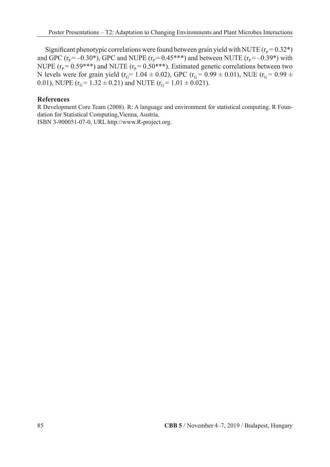Significant phenotypic correlations were found between grain yield with NUTE ( $r_p$ = 0.32\*) and GPC ( $r_{p} = -0.30*$ ), GPC and NUPE ( $r_{p} = 0.45***$ ) and between NUTE ( $r_{p} = -0.39*$ ) with NUPE ( $r_{p}$  = 0.59\*\*\*) and NUTE ( $r_{p}$  = 0.50\*\*\*). Estimated genetic correlations between two N levels were for grain yield ( $r_G$ = 1.04 ± 0.02), GPC ( $r_G$ = 0.99 ± 0.01), NUE ( $r_G$ = 0.99 ± 0.01), NUPE ( $r_G$  = 1.32  $\pm$  0.21) and NUTE ( $r_G$  = 1.01  $\pm$  0.021).

#### **References**

R Development Core Team (2008). R: A language and environment for statistical computing. R Foundation for Statistical Computing,Vienna, Austria.

ISBN 3-900051-07-0, URL http://www.R-project.org.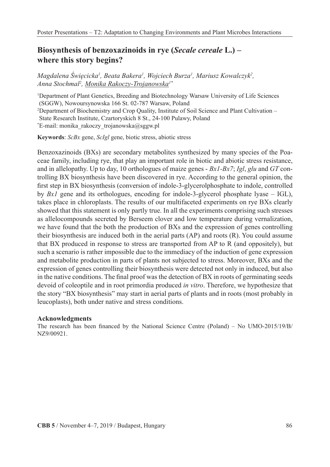# **Biosynthesis of benzoxazinoids in rye (***Secale cereale* **L.) – where this story begins?**

*Magdalena Święcicka<sup>1</sup> , Beata Bakera1 , Wojciech Burza1 , Mariusz Kowalczyk2 , Anna Stochmal2 , Monika Rakoczy-Trojanowska1\**

1 Department of Plant Genetics, Breeding and Biotechnology Warsaw University of Life Sciences (SGGW), Nowoursynowska 166 St. 02-787 Warsaw, Poland 2 Department of Biochemistry and Crop Quality, Institute of Soil Science and Plant Cultivation – State Research Institute, Czartoryskich 8 St., 24-100 Pulawy, Poland \* E-mail: monika\_rakoczy\_trojanowska@sggw.pl

**Keywords**: *ScBx* gene, *ScIgl* gene, biotic stress, abiotic stress

Benzoxazinoids (BXs) are secondary metabolites synthesized by many species of the Poaceae family, including rye, that play an important role in biotic and abiotic stress resistance, and in allelopathy. Up to day, 10 orthologues of maize genes - *Bx1-Bx7*; *Igl*, *glu* and *GT* controlling BX biosynthesis have been discovered in rye. According to the general opinion, the first step in BX biosynthesis (conversion of indole-3-glycerolphosphate to indole, controlled by *Bx1* gene and its orthologues, encoding for indole-3-glycerol phosphate lyase – IGL), takes place in chloroplasts. The results of our multifaceted experiments on rye BXs clearly showed that this statement is only partly true. In all the experiments comprising such stresses as allelocompounds secreted by Berseem clover and low temperature during vernalization, we have found that the both the production of BXs and the expression of genes controlling their biosynthesis are induced both in the aerial parts (AP) and roots (R). You could assume that BX produced in response to stress are transported from AP to R (and oppositely), but such a scenario is rather impossible due to the immediacy of the induction of gene expression and metabolite production in parts of plants not subjected to stress. Moreover, BXs and the expression of genes controlling their biosynthesis were detected not only in induced, but also in the native conditions. The final proof was the detection of BX in roots of germinating seeds devoid of coleoptile and in root primordia produced *in vitro*. Therefore, we hypothesize that the story "BX biosynthesis" may start in aerial parts of plants and in roots (most probably in leucoplasts), both under native and stress conditions.

#### **Acknowledgments**

The research has been financed by the National Science Centre (Poland) – No UMO-2015/19/B/ NZ9/00921.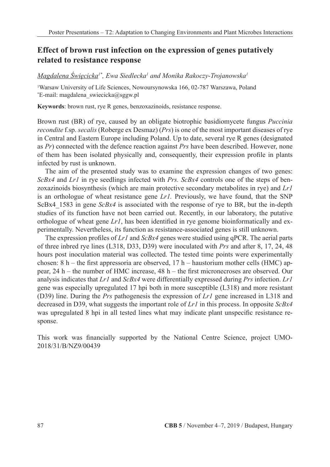### **Effect of brown rust infection on the expression of genes putatively related to resistance response**

*Magdalena Święcicka1\*, Ewa Siedlecka1 and Monika Rakoczy-Trojanowska1*

1 Warsaw University of Life Sciences, Nowoursynowska 166, 02-787 Warszawa, Poland \* E-mail: magdalena\_swiecicka@sggw.pl

**Keywords**: brown rust, rye R genes, benzoxazinoids, resistance response.

Brown rust (BR) of rye, caused by an obligate biotrophic basidiomycete fungus *Puccinia recondite* f.sp.*secalis* (Roberge ex Desmaz) (*Prs*) is one of the most important diseases of rye in Central and Eastern Europe including Poland. Up to date, several rye R genes (designated as *Pr*) connected with the defence reaction against *Prs* have been described. However, none of them has been isolated physically and, consequently, their expression profile in plants infected by rust is unknown.

The aim of the presented study was to examine the expression changes of two genes: *ScBx4* and *Lr1* in rye seedlings infected with *Prs. ScBx4* controls one of the steps of benzoxazinoids biosynthesis (which are main protective secondary metabolites in rye) and *Lr1* is an orthologue of wheat resistance gene *Lr1.* Previously, we have found, that the SNP ScBx4\_1583 in gene *ScBx4* is associated with the response of rye to BR, but the in-depth studies of its function have not been carried out. Recently, in our laboratory, the putative orthologue of wheat gene *Lr1*, has been identified in rye genome bioinformatically and experimentally. Nevertheless, its function as resistance-associated genes is still unknown.

The expression profiles of *Lr1* and *ScBx4* genes were studied using qPCR. The aerial parts of three inbred rye lines (L318, D33, D39) were inoculated with *Prs* and after 8, 17, 24, 48 hours post inoculation material was collected. The tested time points were experimentally chosen:  $8 h$  – the first appressoria are observed,  $17 h$  – haustorium mother cells (HMC) appear, 24 h – the number of HMC increase, 48 h – the first micronecroses are observed. Our analysis indicates that *Lr1* and *ScBx4* were differentially expressed during *Prs* infection.*Lr1* gene was especially upregulated 17 hpi both in more susceptible (L318) and more resistant (D39) line. During the *Prs* pathogenesis the expression of *Lr1* gene increased in L318 and decreased in D39, what suggests the important role of *Lr1* in this process. In opposite *ScBx4* was upregulated 8 hpi in all tested lines what may indicate plant unspecific resistance response.

This work was financially supported by the National Centre Science, project UMO-2018/31/B/NZ9/00439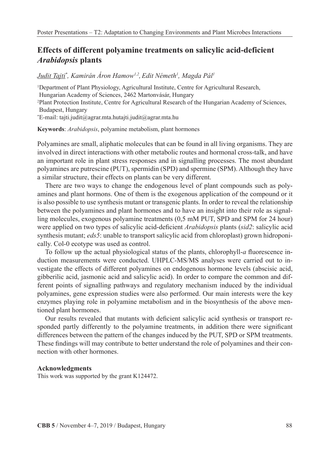### **Effects of different polyamine treatments on salicylic acid-deficient**  *Arabidopsis* **plants**

### *Judit Tajti\* , Kamirán Áron Hamow1,2,Edit Németh1 , Magda Pál1*

1 Department of Plant Physiology, Agricultural Institute, Centre for Agricultural Research, Hungarian Academy of Sciences, 2462 Martonvásár, Hungary 2 Plant Protection Institute, Centre for Agricultural Research of the Hungarian Academy of Sciences, Budapest, Hungary \* E-mail: tajti.judit@agrar.mta.hutajti.judit@agrar.mta.hu

**Keywords**: *Arabidopsis*, polyamine metabolism, plant hormones

Polyamines are small, aliphatic molecules that can be found in all living organisms. They are involved in direct interactions with other metabolic routes and hormonal cross-talk, and have an important role in plant stress responses and in signalling processes. The most abundant polyamines are putrescine (PUT), spermidin (SPD) and spermine (SPM). Although they have a similar structure, their effects on plants can be very different.

There are two ways to change the endogenous level of plant compounds such as polyamines and plant hormons. One of them is the exogenous application of the compound or it is also possible to use synthesis mutant or transgenic plants. In order to reveal the relationship between the polyamines and plant hormones and to have an insight into their role as signalling molecules, exogenous polyamine treatments (0,5 mM PUT, SPD and SPM for 24 hour) were applied on two types of salicylic acid-deficient *Arabidopsis* plants (*sid2*: salicylic acid synthesis mutant; *eds5*: unable to transport salicylic acid from chloroplast) grown hidroponically. Col-0 ecotype was used as control.

To follow up the actual physiological status of the plants, chlorophyll-*a* fluorescence induction measurements were conducted. UHPLC-MS/MS analyses were carried out to investigate the effects of different polyamines on endogenous hormone levels (abscisic acid, gibberilic acid, jasmonic acid and salicylic acid). In order to compare the common and different points of signalling pathways and regulatory mechanism induced by the individual polyamines, gene expression studies were also performed. Our main interests were the key enzymes playing role in polyamine metabolism and in the biosynthesis of the above mentioned plant hormones.

Our results revealed that mutants with deficient salicylic acid synthesis or transport responded partly differently to the polyamine treatments, in addition there were significant differences between the pattern of the changes induced by the PUT, SPD or SPM treatments. These findings will may contribute to better understand the role of polyamines and their connection with other hormones.

#### **Acknowledgments**

This work was supported by the grant K124472.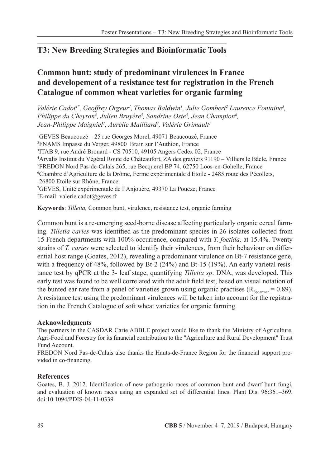# **T3: New Breeding Strategies and Bioinformatic Tools**

# **Common bunt: study of predominant virulences in France and developement of a resistance test for registration in the French Catalogue of common wheat varieties for organic farming**

*<u>Valérie Cadot</u><sup>1\*</sup>, Geoffrey Orgeur<sup>1</sup>, Thomas Baldwin<sup>1</sup>, Julie Gombert<sup>2</sup> Laurence Fontaine<sup>3</sup>, Philippe du Cheyron<sup>4</sup>, Julien Bruyère<sup>5</sup>, Sandrine Oste<sup>5</sup>, Jean Champion<sup>6</sup>,* Jean-Philippe Maigniel<sup>7</sup>, Aurélie Mailliard<sup>7</sup>, Valérie Grimault<sup>1</sup>

 GEVES Beaucouzé – 25 rue Georges Morel, 49071 Beaucouzé, France FNAMS Impasse du Verger, 49800 Brain sur l'Authion, France ITAB 9, rue André Brouard - CS 70510, 49105 Angers Cedex 02, France Arvalis Institut du Végétal Route de Châteaufort, ZA des graviers 91190 – Villiers le Bâcle, France FREDON Nord Pas-de-Calais 265, rue Becquerel BP 74, 62750 Loos-en-Gohelle, France Chambre d'Agriculture de la Drôme, Ferme expérimentale d'Etoile - 2485 route des Pécollets, 26800 Etoile sur Rhône, France GEVES, Unité expérimentale de l'Anjouère, 49370 La Pouëze, France \* E-mail: valerie.cadot@geves.fr

**Keywords**: *Tilletia,* Common bunt, virulence, resistance test, organic farming

Common bunt is a re-emerging seed-borne disease affecting particularly organic cereal farming.*Tilletia caries* was identified as the predominant species in 26 isolates collected from 15 French departments with 100% occurrence, compared with *T. foetida,* at 15.4%. Twenty strains of *T. caries* were selected to identify their virulences, from their behaviour on differential host range (Goates, 2012), revealing a predominant virulence on Bt-7 resistance gene, with a frequency of 48%, followed by Bt-2 (24%) and Bt-15 (19%). An early varietal resistance test by qPCR at the 3- leaf stage, quantifying *Tilletia sp*. DNA, was developed. This early test was found to be well correlated with the adult field test, based on visual notation of the bunted ear rate from a panel of varieties grown using organic practises  $(R_{S_{\text{maxmax}}} = 0.89)$ . A resistance test using the predominant virulences will be taken into account for the registration in the French Catalogue of soft wheat varieties for organic farming.

### **Acknowledgments**

The partners in the CASDAR Carie ABBLE project would like to thank the Ministry of Agriculture, Agri-Food and Forestry for its financial contribution to the "Agriculture and Rural Development" Trust Fund Account.

FREDON Nord Pas-de-Calais also thanks the Hauts-de-France Region for the financial support provided in co-financing.

### **References**

Goates, B. J. 2012. Identification of new pathogenic races of common bunt and dwarf bunt fungi, and evaluation of known races using an expanded set of differential lines. Plant Dis. 96:361–369. doi:10.1094/PDIS-04-11-0339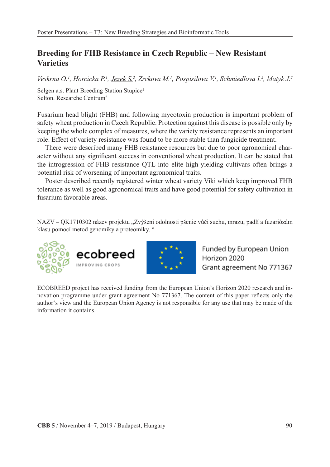# **Breeding for FHB Resistance in Czech Republic – New Resistant Varieties**

*Veskrna O.1 , Horcicka P.1 , Jezek S.2 , Zrckova M.1 , Pospisilova V.1 , Schmiedlova I.2 , Matyk J.2*

Selgen a.s. Plant Breeding Station Stupice<sup>1</sup> Selton. Researche Centrum2

Fusarium head blight (FHB) and following mycotoxin production is important problem of safety wheat production in Czech Republic. Protection against this disease is possible only by keeping the whole complex of measures, where the variety resistance represents an important role. Effect of variety resistance was found to be more stable than fungicide treatment.

There were described many FHB resistance resources but due to poor agronomical character without any significant success in conventional wheat production. It can be stated that the introgression of FHB resistance QTL into elite high-yielding cultivars often brings a potential risk of worsening of important agronomical traits.

Poster described recently registered winter wheat variety Viki which keep improved FHB tolerance as well as good agronomical traits and have good potential for safety cultivation in fusarium favorable areas.

NAZV – QK1710302 název projektu "Zvýšení odolnosti pšenic vůči suchu, mrazu, padlí a fuzariózám klasu pomocí metod genomiky a proteomiky. "





Funded by European Union Horizon 2020 Grant agreement No 771367

ECOBREED project has received funding from the European Union's Horizon 2020 research and innovation programme under grant agreement No 771367. The content of this paper reflects only the author's view and the European Union Agency is not responsible for any use that may be made of the information it contains.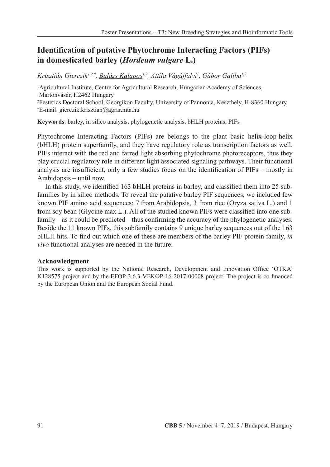# **Identification of putative Phytochrome Interacting Factors (PIFs) in domesticated barley (***Hordeum vulgare* **L.)**

Krisztián Gierczik<sup>1,2,\*</sup>, <u>Balázs Kalapos<sup>1,2</sup>, Attila Vágújfalvi<sup>1</sup>, Gábor Galiba<sup>1,2</sup></u>

1 Agricultural Institute, Centre for Agricultural Research, Hungarian Academy of Sciences, Martonvásár, H2462 Hungary

2 Festetics Doctoral School, Georgikon Faculty, University of Pannonia, Keszthely, H-8360 Hungary \* E-mail: gierczik.krisztian@agrar.mta.hu

**Keywords**: barley, in silico analysis, phylogenetic analysis, bHLH proteins, PIFs

Phytochrome Interacting Factors (PIFs) are belongs to the plant basic helix-loop-helix (bHLH) protein superfamily, and they have regulatory role as transcription factors as well. PIFs interact with the red and farred light absorbing phytochrome photoreceptors, thus they play crucial regulatory role in different light associated signaling pathways. Their functional analysis are insufficient, only a few studies focus on the identification of PIFs – mostly in Arabidopsis – until now.

In this study, we identified 163 bHLH proteins in barley, and classified them into 25 subfamilies by in silico methods. To reveal the putative barley PIF sequences, we included few known PIF amino acid sequences: 7 from Arabidopsis, 3 from rice (Oryza sativa L.) and 1 from soy bean (Glycine max L.). All of the studied known PIFs were classified into one subfamily – as it could be predicted – thus confirming the accuracy of the phylogenetic analyses. Beside the 11 known PIFs, this subfamily contains 9 unique barley sequences out of the 163 bHLH hits. To find out which one of these are members of the barley PIF protein family, *in vivo* functional analyses are needed in the future.

#### **Acknowledgment**

This work is supported by the National Research, Development and Innovation Office 'OTKA' K128575 project and by the EFOP-3.6.3-VEKOP-16-2017-00008 project. The project is co-financed by the European Union and the European Social Fund.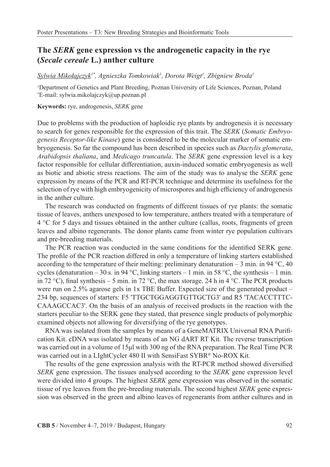### **The** *SERK* **gene expression vs the androgenetic capacity in the rye (***Secale cereale* **L.) anther culture**

*Sylwia Mikołajczyk1\*, Agnieszka Tomkowiak1 , Dorota Weigt1 , Zbigniew Broda1*

1 Department of Genetics and Plant Breeding, Poznan University of Life Sciences, Poznan, Poland \* E-mail: sylwia.mikolajczyk@up.poznan.pl

#### **Keywords:** rye, androgenesis, *SERK* gene

Due to problems with the production of haploidic rye plants by androgenesis it is necessary to search for genes responsible for the expression of this trait. The *SERK* (*Somatic Embryogenesis Receptor-like Kinase*) gene is considered to be the molecular marker of somatic embryogenesis. So far the compound has been described in species such as *Dactylis glomerata*, *Arabidopsis thaliana*, and *Medicago truncatula*. The *SERK* gene expression level is a key factor responsible for cellular differentiation, auxin-induced somatic embryogenesis as well as biotic and abiotic stress reactions. The aim of the study was to analyse the *SERK* gene expression by means of the PCR and RT-PCR technique and determine its usefulness for the selection of rye with high embryogenicity of microspores and high efficiency of androgenesis in the anther culture.

The research was conducted on fragments of different tissues of rye plants: the somatic tissue of leaves, anthers unexposed to low temperature, anthers treated with a temperature of 4 °C for 5 days and tissues obtained in the anther culture (callus, roots, fragments of green leaves and albino regenerants. The donor plants came from winter rye population cultivars and pre-breeding materials.

The PCR reaction was conducted in the same conditions for the identified SERK gene. The profile of the PCR reaction differed in only a temperature of linking starters established according to the temperature of their melting: preliminary denaturation  $-3$  min. in 94 °C, 40 cycles (denaturation – 30 s. in 94 °C, linking starters – 1 min. in 58 °C, the synthesis – 1 min. in 72 °C), final synthesis – 5 min. in 72 °C, the max storage. 24 h in 4 °C. The PCR products were run on 2.5% agarose gels in 1x TBE Buffer. Expected size of the generated product – 234 bp, sequences of starters: F5 'TTGCTGGAGGTGTTGCTG3' and R5 'TACACCTTTC-CAAAGCCAC3'. On the basis of an analysis of received products in the reaction with the starters peculiar to the SERK gene they stated, that presence single products of polymorphic examined objects not allowing for diversifying of the rye genotypes.

RNA was isolated from the samples by means of a GeneMATRIX Universal RNA Purification Kit. cDNA was isolated by means of an NG dART RT Kit. The reverse transcription was carried out in a volume of 15μl with 300 ng of the RNA preparation. The Real Time PCR was carried out in a LIghtCycler 480 II with SensiFast SYBR® No-ROX Kit.

The results of the gene expression analysis with the RT-PCR method showed diversified *SERK* gene expression. The tissues analysed according to the *SERK* gene expression level were divided into 4 groups. The highest *SERK* gene expression was observed in the somatic tissue of rye leaves from the pre-breeding materials. The second highest *SERK* gene expression was observed in the green and albino leaves of regenerants from anther cultures and in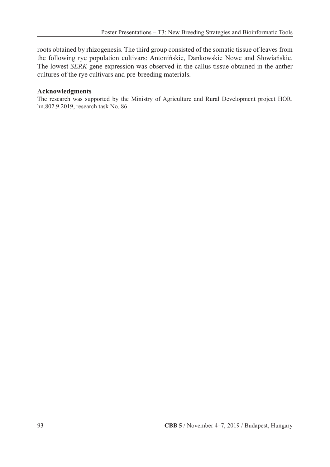roots obtained by rhizogenesis. The third group consisted of the somatic tissue of leaves from the following rye population cultivars: Antonińskie, Dankowskie Nowe and Słowiańskie. The lowest *SERK* gene expression was observed in the callus tissue obtained in the anther cultures of the rye cultivars and pre-breeding materials.

#### **Acknowledgments**

The research was supported by the Ministry of Agriculture and Rural Development project HOR. hn.802.9.2019, research task No. 86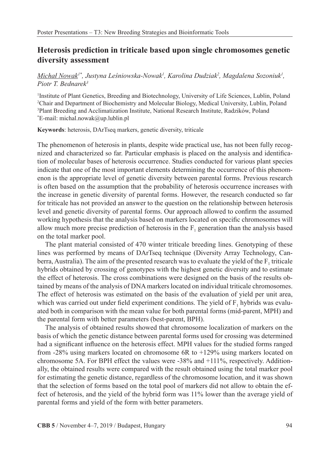### **Heterosis prediction in triticale based upon single chromosomes genetic diversity assessment**

### *Michał Nowak1\*, Justyna Leśniowska-Nowak<sup>1</sup> , Karolina Dudziak2 , Magdalena Sozoniuk1 , Piotr T. Bednarek3*

 Institute of Plant Genetics, Breeding and Biotechnology, University of Life Sciences, Lublin, Poland Chair and Department of Biochemistry and Molecular Biology, Medical University, Lublin, Poland Plant Breeding and Acclimatization Institute, National Research Institute, Radzików, Poland \* E-mail: michal.nowak@up.lublin.pl

**Keywords**: heterosis, DArTseq markers, genetic diversity, triticale

The phenomenon of heterosis in plants, despite wide practical use, has not been fully recognized and characterized so far. Particular emphasis is placed on the analysis and identification of molecular bases of heterosis occurrence. Studies conducted for various plant species indicate that one of the most important elements determining the occurrence of this phenomenon is the appropriate level of genetic diversity between parental forms. Previous research is often based on the assumption that the probability of heterosis occurrence increases with the increase in genetic diversity of parental forms. However, the research conducted so far for triticale has not provided an answer to the question on the relationship between heterosis level and genetic diversity of parental forms. Our approach allowed to confirm the assumed working hypothesis that the analysis based on markers located on specific chromosomes will allow much more precise prediction of heterosis in the  $F_1$  generation than the analysis based on the total marker pool.

The plant material consisted of 470 winter triticale breeding lines. Genotyping of these lines was performed by means of DArTseq technique (Diversity Array Technology, Canberra, Australia). The aim of the presented research was to evaluate the yield of the  $F_1$  triticale hybrids obtained by crossing of genotypes with the highest genetic diversity and to estimate the effect of heterosis. The cross combinations were designed on the basis of the results obtained by means of the analysis of DNA markers located on individual triticale chromosomes. The effect of heterosis was estimated on the basis of the evaluation of yield per unit area, which was carried out under field experiment conditions. The yield of  $F<sub>1</sub>$  hybrids was evaluated both in comparison with the mean value for both parental forms (mid-parent, MPH) and the parental form with better parameters (best-parent, BPH).

The analysis of obtained results showed that chromosome localization of markers on the basis of which the genetic distance between parental forms used for crossing was determined had a significant influence on the heterosis effect. MPH values for the studied forms ranged from -28% using markers located on chromosome 6R to +129% using markers located on chromosome 5A. For BPH effect the values were -38% and +111%, respectively. Additionally, the obtained results were compared with the result obtained using the total marker pool for estimating the genetic distance, regardless of the chromosome location, and it was shown that the selection of forms based on the total pool of markers did not allow to obtain the effect of heterosis, and the yield of the hybrid form was 11% lower than the average yield of parental forms and yield of the form with better parameters.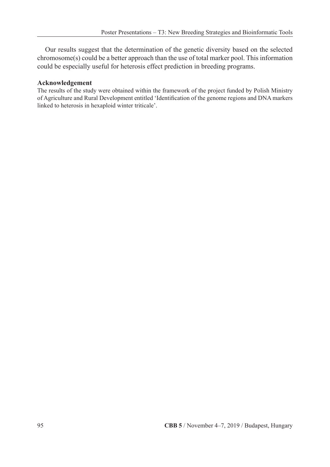Our results suggest that the determination of the genetic diversity based on the selected chromosome(s) could be a better approach than the use of total marker pool. This information could be especially useful for heterosis effect prediction in breeding programs.

#### **Acknowledgement**

The results of the study were obtained within the framework of the project funded by Polish Ministry of Agriculture and Rural Development entitled 'Identification of the genome regions and DNA markers linked to heterosis in hexaploid winter triticale'.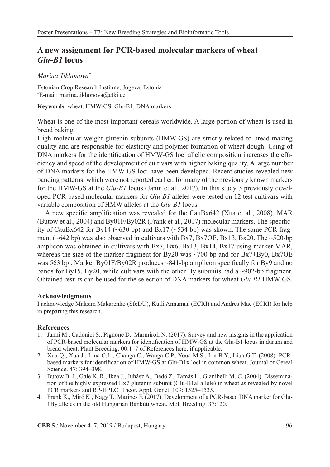### **A new assignment for PCR-based molecular markers of wheat**  *Glu-B1* **locus**

#### *Marina Tikhonova\**

Estonian Crop Research Institute, Jogeva, Estonia \* E-mail: marina.tikhonova@etki.ee

**Keywords**: wheat, HMW-GS, Glu-B1, DNA markers

Wheat is one of the most important cereals worldwide. A large portion of wheat is used in bread baking.

High molecular weight glutenin subunits (HMW-GS) are strictly related to bread-making quality and are responsible for elasticity and polymer formation of wheat dough. Using of DNA markers for the identification of HMW-GS loci allelic composition increases the efficiency and speed of the development of cultivars with higher baking quality. A large number of DNA markers for the HMW-GS loci have been developed. Recent studies revealed new banding patterns, which were not reported earlier, for many of the previously known markers for the HMW-GS at the *Glu-B1* locus (Janni et al., 2017). In this study 3 previously developed PCR-based molecular markers for *Glu-B1* alleles were tested on 12 test cultivars with variable composition of HMW alleles at the *Glu-B1* locus.

A new specific amplification was revealed for the CauBx642 (Xua et al., 2008), MAR (Butow et al., 2004) and By01F/By02R (Frank et al., 2017) molecular markers. The specificity of CauBx642 for By14 ( $\sim$ 630 bp) and Bx17 ( $\sim$ 534 bp) was shown. The same PCR fragment ( $\sim$ 642 bp) was also observed in cultivars with Bx7, Bx7OE, Bx13, Bx20. The  $\sim$ 520-bp amplicon was obtained in cultivars with Bx7, Bx6, Bx13, Bx14, Bx17 using marker MAR, whereas the size of the marker fragment for  $By20$  was  $\sim$ 700 bp and for  $Bx7+By0$ ,  $Bx7OE$ was 563 bp. Marker By01F/By02R produces ~841-bp amplicon specifically for By9 and no bands for By15, By20, while cultivars with the other By subunits had a  $\sim$ 902-bp fragment. Obtained results can be used for the selection of DNA markers for wheat *Glu-B1* HMW-GS.

#### **Acknowledgments**

I acknowledge Maksim Makarenko (SfeDU), Külli Annamaa (ECRI) and Andres Mäe (ECRI) for help in preparing this research.

#### **References**

- 1. Janni M., Cadonici S., Pignone D., Marmiroli N. (2017). Survey and new insights in the application of PCR-based molecular markers for identification of HMW-GS at the Glu-B1 locus in durum and bread wheat. Plant Breeding. 00:1–7.of References here, if applicable.
- 2. Xua Q., Xua J., Liua C.L., Changa C., Wanga C.P., Youa M.S., Lia B.Y., Liua G.T. (2008). PCRbased markers for identification of HMW-GS at Glu-B1x loci in common wheat. Journal of Cereal Science. 47: 394–398.
- 3. Butow B. J., Gale K. R., Ikea J., Juhász A., Bedö Z., Tamás L., Gianibelli M. C. (2004). Dissemination of the highly expressed Bx7 glutenin subunit (Glu-B1al allele) in wheat as revealed by novel PCR markers and RP-HPLC. Theor. Appl. Genet. 109: 1525–1535.
- 4. Frank K., Miró K., Nagy T., Marincs F. (2017). Development of a PCR-based DNA marker for Glu-1By alleles in the old Hungarian Bánkúti wheat. Mol. Breeding. 37:120.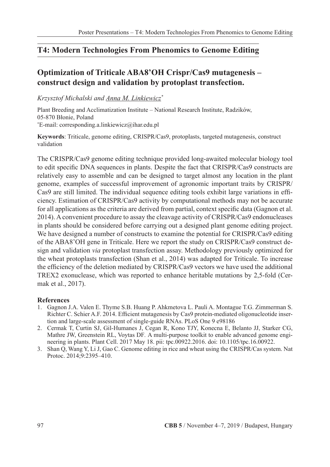### **T4: Modern Technologies From Phenomics to Genome Editing**

# **Optimization of Triticale ABA8'OH Crispr/Cas9 mutagenesis – construct design and validation by protoplast transfection.**

*Krzysztof Michalski and Anna M. Linkiewicz\**

Plant Breeding and Acclimatization Institute – National Research Institute, Radzików, 05-870 Błonie, Poland \* E-mail: corresponding.a.linkiewicz@ihar.edu.pl

**Keywords**: Triticale, genome editing, CRISPR/Cas9, protoplasts, targeted mutagenesis, construct validation

The CRISPR/Cas9 genome editing technique provided long-awaited molecular biology tool to edit specific DNA sequences in plants. Despite the fact that CRISPR/Cas9 constructs are relatively easy to assemble and can be designed to target almost any location in the plant genome, examples of successful improvement of agronomic important traits by CRISPR/ Cas9 are still limited. The individual sequence editing tools exhibit large variations in efficiency. Estimation of CRISPR/Cas9 activity by computational methods may not be accurate for all applications as the criteria are derived from partial, context specific data (Gagnon et al. 2014). A convenient procedure to assay the cleavage activity of CRISPR/Cas9 endonucleases in plants should be considered before carrying out a designed plant genome editing project. We have designed a number of constructs to examine the potential for CRISPR/Cas9 editing of the ABA8'OH gene in Triticale. Here we report the study on CRISPR/Cas9 construct design and validation *via* protoplast transfection assay. Methodology previously optimized for the wheat protoplasts transfection (Shan et al., 2014) was adapted for Triticale. To increase the efficiency of the deletion mediated by CRISPR/Cas9 vectors we have used the additional TREX2 exonuclease, which was reported to enhance heritable mutations by 2,5-fold (Cermak et al., 2017).

#### **References**

- 1. Gagnon J.A. Valen E. Thyme S.B. Huang P. Ahkmetova L. Pauli A. Montague T.G. Zimmerman S. Richter C. Schier A.F. 2014. Efficient mutagenesis by Cas9 protein-mediated oligonucleotide insertion and large-scale assessment of single-guide RNAs. PLoS One 9 e98186
- 2. Cermak T, Curtin SJ, Gil-Humanes J, Cegan R, Kono TJY, Konecna E, Belanto JJ, Starker CG, Mathre JW, Greenstein RL, Voytas DF*.* A multi-purpose toolkit to enable advanced genome engineering in plants. Plant Cell. 2017 May 18. pii: tpc.00922.2016. doi: 10.1105/tpc.16.00922.
- 3. Shan Q, Wang Y, Li J, Gao C. Genome editing in rice and wheat using the CRISPR/Cas system. Nat Protoc. 2014;9:2395–410.